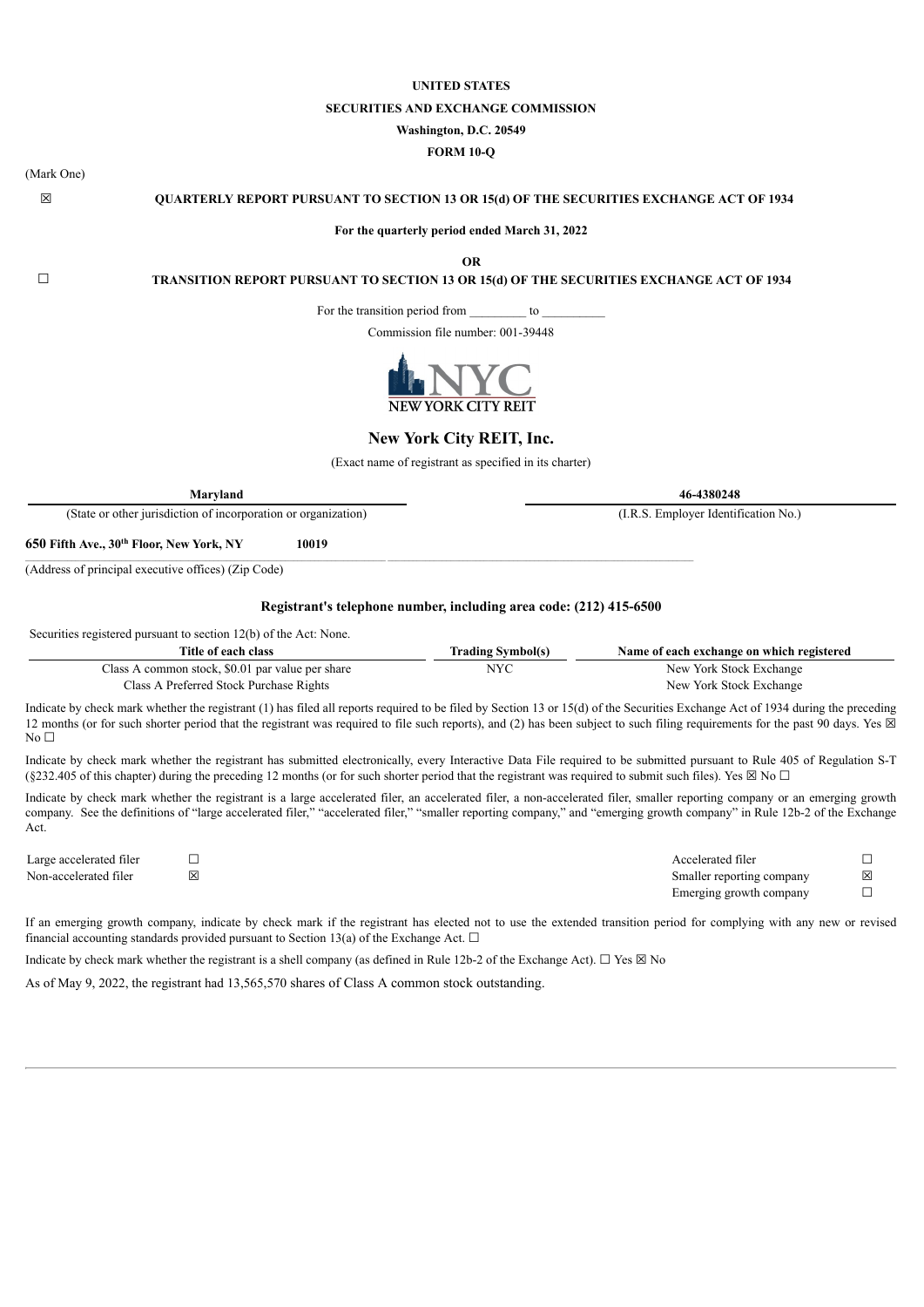### **UNITED STATES**

#### **SECURITIES AND EXCHANGE COMMISSION**

# **Washington, D.C. 20549**

## **FORM 10-Q**

| (Mark One) |                                                                                                |
|------------|------------------------------------------------------------------------------------------------|
| 冈          | <b>QUARTERLY REPORT PURSUANT TO SECTION 13 OR 15(d) OF THE SECURITIES EXCHANGE ACT OF 1934</b> |
|            | For the quarterly period ended March 31, 2022                                                  |
|            | OR                                                                                             |
|            | TRANSITION REPORT PURSUANT TO SECTION 13 OR 15(d) OF THE SECURITIES EXCHANGE ACT OF 1934       |
|            | For the transition period from to                                                              |
|            | Commission file number: 001-39448                                                              |
|            | NEW YORK CITY REIT                                                                             |

# **New York City REIT, Inc.**

(Exact name of registrant as specified in its charter)

**Maryland 46-4380248**

(State or other jurisdiction of incorporation or organization) (I.R.S. Employer Identification No.)

**650 Fifth Ave., 30 Floor, New York, NY 10019 th**

(Address of principal executive offices) (Zip Code)

# **Registrant's telephone number, including area code: (212) 415-6500**

| Securities registered pursuant to section 12(b) of the Act: None. |                          |                                           |
|-------------------------------------------------------------------|--------------------------|-------------------------------------------|
| Title of each class                                               | <b>Trading Symbol(s)</b> | Name of each exchange on which registered |

 $\_$  , and the state of the state of the state of the state of the state of the state of the state of the state of the state of the state of the state of the state of the state of the state of the state of the state of the

| -------------------                              |   |                         |
|--------------------------------------------------|---|-------------------------|
| Class A common stock, \$0.01 par value per share | w | New York Stock Exchange |
| Class A Preferred Stock Purchase Rights          |   | New York Stock Exchange |

Indicate by check mark whether the registrant (1) has filed all reports required to be filed by Section 13 or 15(d) of the Securities Exchange Act of 1934 during the preceding 12 months (or for such shorter period that the registrant was required to file such reports), and (2) has been subject to such filing requirements for the past 90 days. Yes  $\boxtimes$  $N_0$  $\Box$ 

Indicate by check mark whether the registrant has submitted electronically, every Interactive Data File required to be submitted pursuant to Rule 405 of Regulation S-T (§232.405 of this chapter) during the preceding 12 months (or for such shorter period that the registrant was required to submit such files). Yes  $\boxtimes$  No  $\Box$ 

Indicate by check mark whether the registrant is a large accelerated filer, an accelerated filer, a non-accelerated filer, smaller reporting company or an emerging growth company. See the definitions of "large accelerated filer," "accelerated filer," "smaller reporting company," and "emerging growth company" in Rule 12b-2 of the Exchange Act.

| Large accelerated filer |   | Accelerated filer         |  |
|-------------------------|---|---------------------------|--|
| Non-accelerated filer   | ⊠ | Smaller reporting company |  |
|                         |   | Emerging growth company   |  |

If an emerging growth company, indicate by check mark if the registrant has elected not to use the extended transition period for complying with any new or revised financial accounting standards provided pursuant to Section 13(a) of the Exchange Act.  $\Box$ 

Indicate by check mark whether the registrant is a shell company (as defined in Rule 12b-2 of the Exchange Act).  $\Box$  Yes  $\boxtimes$  No

<span id="page-0-0"></span>As of May 9, 2022, the registrant had 13,565,570 shares of Class A common stock outstanding.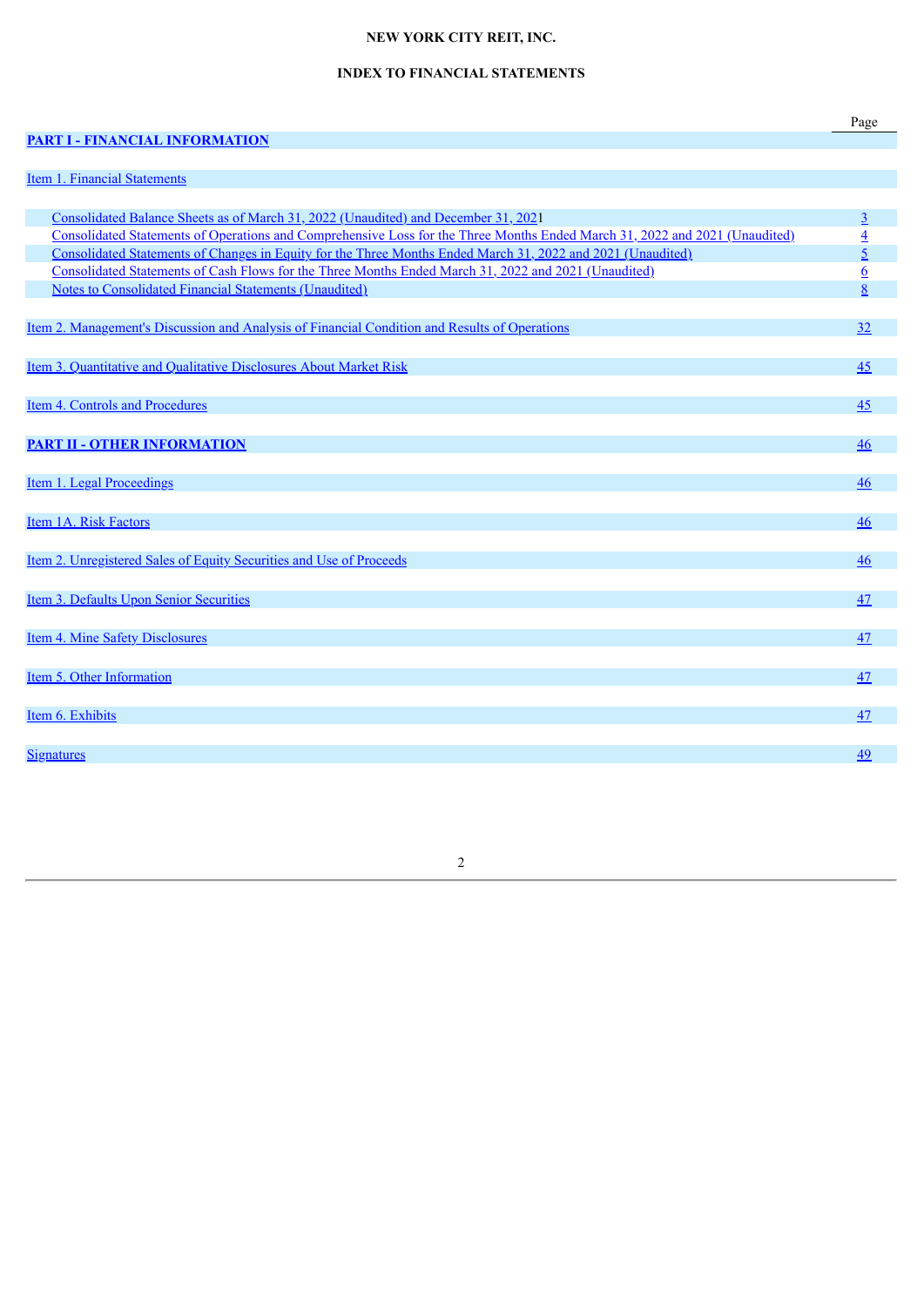# **INDEX TO FINANCIAL STATEMENTS**

# **PART I - FINANCIAL [INFORMATION](#page-1-0)**

Page

<span id="page-1-1"></span><span id="page-1-0"></span>

| <b>Item 1. Financial Statements</b>                                                                                         |                 |
|-----------------------------------------------------------------------------------------------------------------------------|-----------------|
|                                                                                                                             |                 |
| Consolidated Balance Sheets as of March 31, 2022 (Unaudited) and December 31, 2021                                          | $\overline{3}$  |
| Consolidated Statements of Operations and Comprehensive Loss for the Three Months Ended March 31, 2022 and 2021 (Unaudited) | $\overline{4}$  |
| Consolidated Statements of Changes in Equity for the Three Months Ended March 31, 2022 and 2021 (Unaudited)                 | $\overline{5}$  |
| Consolidated Statements of Cash Flows for the Three Months Ended March 31, 2022 and 2021 (Unaudited)                        | $\underline{6}$ |
| Notes to Consolidated Financial Statements (Unaudited)                                                                      | 8               |
|                                                                                                                             |                 |
| Item 2. Management's Discussion and Analysis of Financial Condition and Results of Operations                               | 32              |
|                                                                                                                             |                 |
| Item 3. Quantitative and Qualitative Disclosures About Market Risk                                                          | 45              |
|                                                                                                                             |                 |
| Item 4. Controls and Procedures                                                                                             | 45              |
|                                                                                                                             |                 |
| <b>PART II - OTHER INFORMATION</b>                                                                                          | 46              |
|                                                                                                                             |                 |
| Item 1. Legal Proceedings                                                                                                   | 46              |
|                                                                                                                             |                 |
|                                                                                                                             |                 |
| Item 1A. Risk Factors                                                                                                       | 46              |
|                                                                                                                             |                 |
| <u>Item 2. Unregistered Sales of Equity Securities and Use of Proceeds</u>                                                  | 46              |
|                                                                                                                             |                 |
| Item 3. Defaults Upon Senior Securities                                                                                     | 47              |
|                                                                                                                             |                 |
| Item 4. Mine Safety Disclosures                                                                                             | 47              |
|                                                                                                                             |                 |
| Item 5. Other Information                                                                                                   | 47              |
|                                                                                                                             |                 |
| Item 6. Exhibits                                                                                                            | 47              |
|                                                                                                                             |                 |
| <b>Signatures</b>                                                                                                           | 49              |
|                                                                                                                             |                 |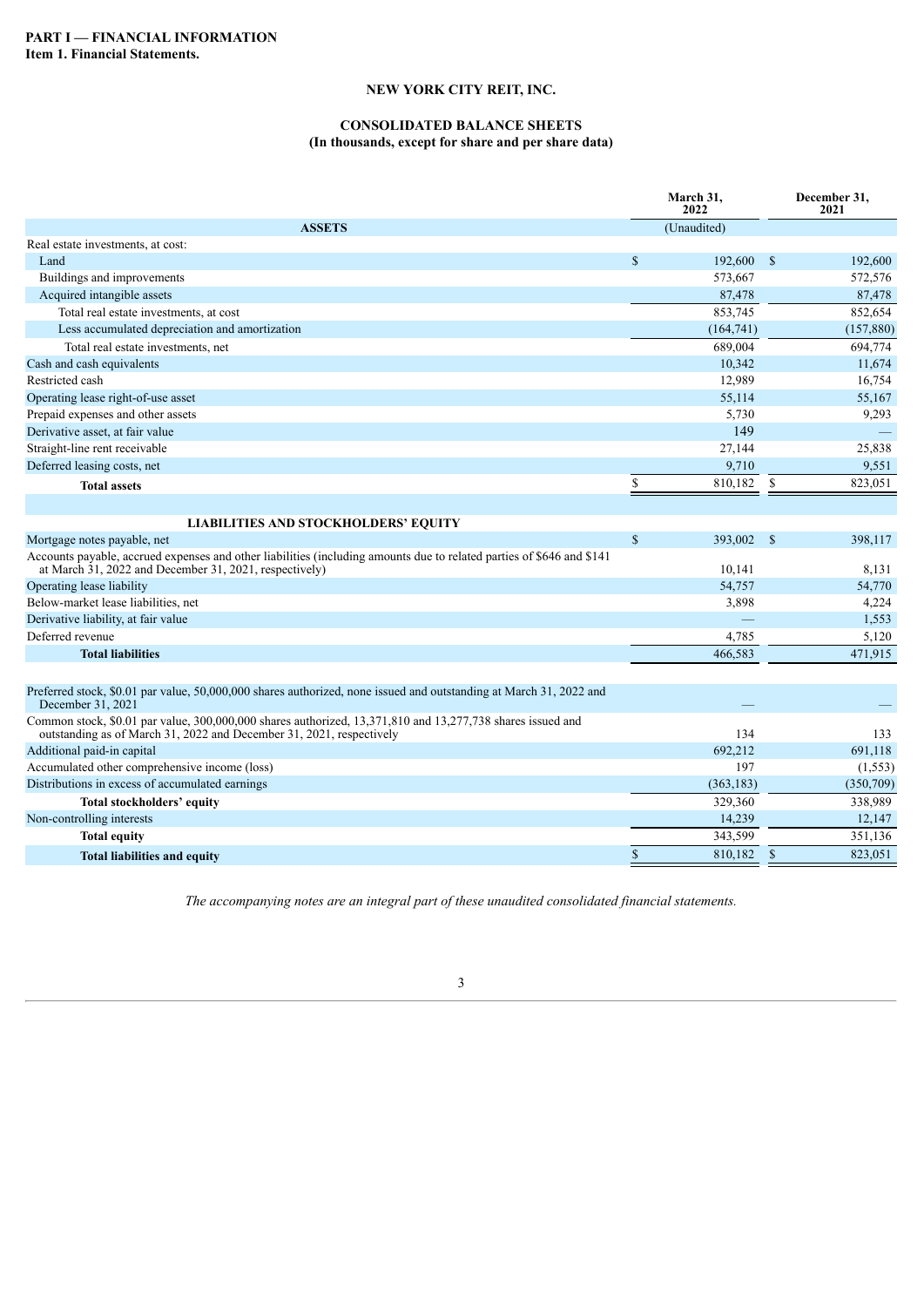# **CONSOLIDATED BALANCE SHEETS**

# **(In thousands, except for share and per share data)**

|                                                                                                                                                                                    |              | March 31,<br>2022 |               | December 31,<br>2021 |
|------------------------------------------------------------------------------------------------------------------------------------------------------------------------------------|--------------|-------------------|---------------|----------------------|
| <b>ASSETS</b>                                                                                                                                                                      |              | (Unaudited)       |               |                      |
| Real estate investments, at cost:                                                                                                                                                  |              |                   |               |                      |
| Land                                                                                                                                                                               | $\mathbb{S}$ | 192,600           | $\mathbb{S}$  | 192,600              |
| Buildings and improvements                                                                                                                                                         |              | 573,667           |               | 572,576              |
| Acquired intangible assets                                                                                                                                                         |              | 87,478            |               | 87,478               |
| Total real estate investments, at cost                                                                                                                                             |              | 853,745           |               | 852,654              |
| Less accumulated depreciation and amortization                                                                                                                                     |              | (164, 741)        |               | (157, 880)           |
| Total real estate investments, net                                                                                                                                                 |              | 689,004           |               | 694,774              |
| Cash and cash equivalents                                                                                                                                                          |              | 10,342            |               | 11,674               |
| Restricted cash                                                                                                                                                                    |              | 12,989            |               | 16,754               |
| Operating lease right-of-use asset                                                                                                                                                 |              | 55,114            |               | 55,167               |
| Prepaid expenses and other assets                                                                                                                                                  |              | 5,730             |               | 9,293                |
| Derivative asset, at fair value                                                                                                                                                    |              | 149               |               |                      |
| Straight-line rent receivable                                                                                                                                                      |              | 27,144            |               | 25,838               |
| Deferred leasing costs, net                                                                                                                                                        |              | 9,710             |               | 9,551                |
| <b>Total assets</b>                                                                                                                                                                | \$           | 810,182           | \$            | 823,051              |
|                                                                                                                                                                                    |              |                   |               |                      |
| <b>LIABILITIES AND STOCKHOLDERS' EQUITY</b>                                                                                                                                        |              |                   |               |                      |
| Mortgage notes payable, net                                                                                                                                                        | $\mathbb{S}$ | 393,002           | $\mathbb{S}$  | 398,117              |
| Accounts payable, accrued expenses and other liabilities (including amounts due to related parties of \$646 and \$141<br>at March 31, 2022 and December 31, 2021, respectively)    |              | 10,141            |               | 8,131                |
| Operating lease liability                                                                                                                                                          |              | 54,757            |               | 54,770               |
| Below-market lease liabilities, net                                                                                                                                                |              | 3,898             |               | 4,224                |
| Derivative liability, at fair value                                                                                                                                                |              |                   |               | 1,553                |
| Deferred revenue                                                                                                                                                                   |              | 4,785             |               | 5,120                |
| <b>Total liabilities</b>                                                                                                                                                           |              | 466.583           |               | 471,915              |
| Preferred stock, \$0.01 par value, 50,000,000 shares authorized, none issued and outstanding at March 31, 2022 and<br>December 31, 2021                                            |              |                   |               |                      |
| Common stock, \$0.01 par value, 300,000,000 shares authorized, 13,371,810 and 13,277,738 shares issued and<br>outstanding as of March 31, 2022 and December 31, 2021, respectively |              | 134               |               | 133                  |
| Additional paid-in capital                                                                                                                                                         |              | 692,212           |               | 691,118              |
| Accumulated other comprehensive income (loss)                                                                                                                                      |              | 197               |               | (1,553)              |
| Distributions in excess of accumulated earnings                                                                                                                                    |              | (363, 183)        |               | (350,709)            |
| <b>Total stockholders' equity</b>                                                                                                                                                  |              | 329,360           |               | 338,989              |
| Non-controlling interests                                                                                                                                                          |              | 14,239            |               | 12,147               |
| <b>Total equity</b>                                                                                                                                                                |              | 343,599           |               | 351,136              |
| <b>Total liabilities and equity</b>                                                                                                                                                | $\mathbb{S}$ | 810,182           | $\mathcal{S}$ | 823,051              |

<span id="page-2-0"></span>*The accompanying notes are an integral part of these unaudited consolidated financial statements.*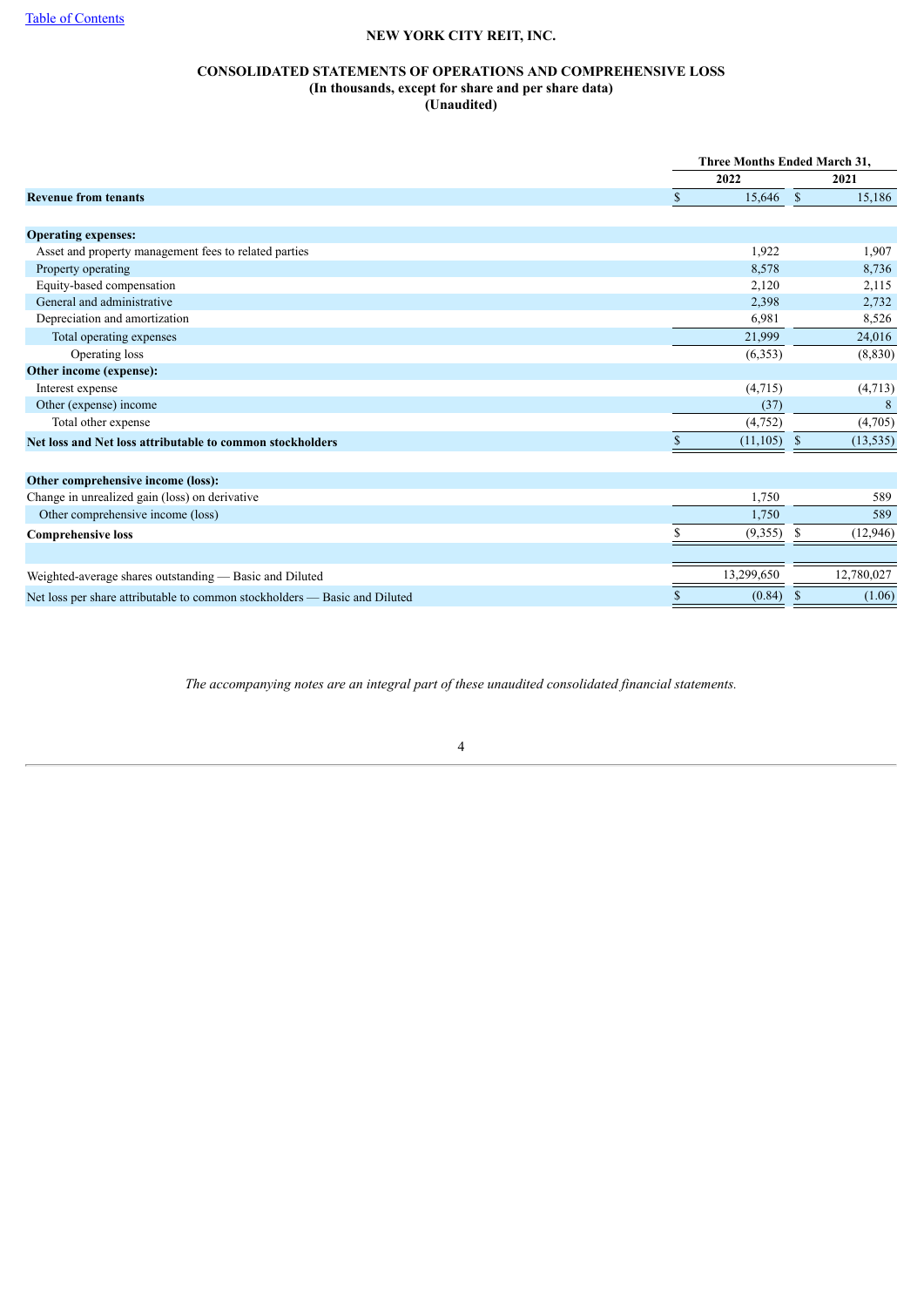# **CONSOLIDATED STATEMENTS OF OPERATIONS AND COMPREHENSIVE LOSS (In thousands, except for share and per share data)**

**(Unaudited)**

|                                                                            | <b>Three Months Ended March 31,</b> |               |            |
|----------------------------------------------------------------------------|-------------------------------------|---------------|------------|
|                                                                            | 2022                                |               | 2021       |
| <b>Revenue from tenants</b>                                                | 15,646<br>\$                        | $\mathbf S$   | 15,186     |
| <b>Operating expenses:</b>                                                 |                                     |               |            |
| Asset and property management fees to related parties                      | 1,922                               |               | 1,907      |
| Property operating                                                         | 8,578                               |               | 8,736      |
| Equity-based compensation                                                  | 2,120                               |               | 2,115      |
| General and administrative                                                 | 2,398                               |               | 2,732      |
| Depreciation and amortization                                              | 6,981                               |               | 8,526      |
| Total operating expenses                                                   | 21,999                              |               | 24,016     |
| Operating loss                                                             | (6,353)                             |               | (8,830)    |
| Other income (expense):                                                    |                                     |               |            |
| Interest expense                                                           | (4,715)                             |               | (4,713)    |
| Other (expense) income                                                     | (37)                                |               | 8          |
| Total other expense                                                        | (4,752)                             |               | (4,705)    |
| Net loss and Net loss attributable to common stockholders                  | (11, 105)<br>\$                     | <sup>\$</sup> | (13, 535)  |
| Other comprehensive income (loss):                                         |                                     |               |            |
| Change in unrealized gain (loss) on derivative                             | 1,750                               |               | 589        |
| Other comprehensive income (loss)                                          | 1,750                               |               | 589        |
| <b>Comprehensive loss</b>                                                  | (9,355)                             | S             | (12, 946)  |
|                                                                            |                                     |               |            |
| Weighted-average shares outstanding — Basic and Diluted                    | 13,299,650                          |               | 12,780,027 |
| Net loss per share attributable to common stockholders — Basic and Diluted | (0.84)<br>\$                        | <sup>\$</sup> | (1.06)     |

<span id="page-3-0"></span>*The accompanying notes are an integral part of these unaudited consolidated financial statements.*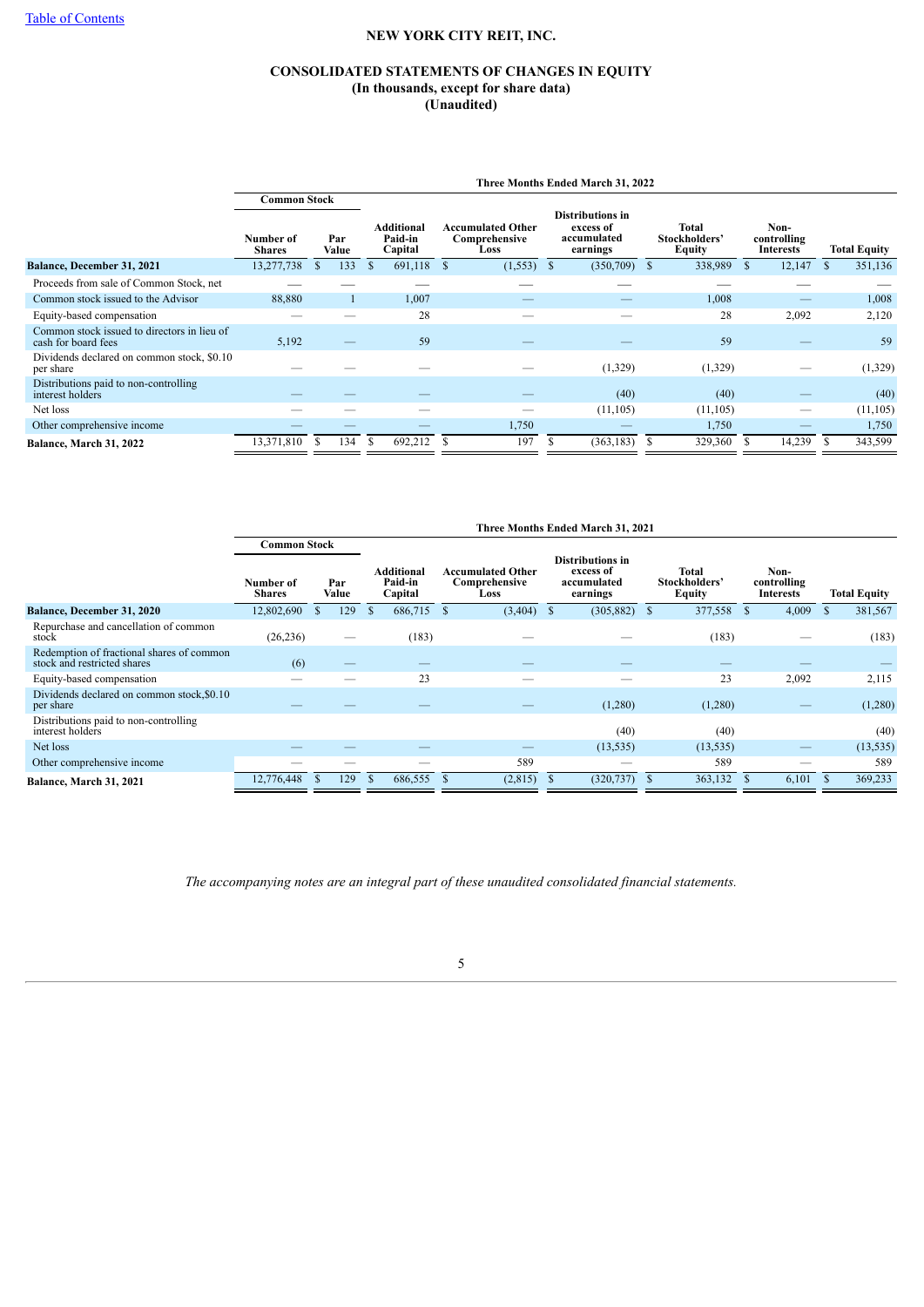# **CONSOLIDATED STATEMENTS OF CHANGES IN EQUITY (In thousands, except for share data) (Unaudited)**

|                                                                    | Three Months Ended March 31, 2022 |    |              |               |                                         |               |                                                   |               |                                                                 |  |                                         |  |                                         |               |                     |
|--------------------------------------------------------------------|-----------------------------------|----|--------------|---------------|-----------------------------------------|---------------|---------------------------------------------------|---------------|-----------------------------------------------------------------|--|-----------------------------------------|--|-----------------------------------------|---------------|---------------------|
|                                                                    | Common Stock                      |    |              |               |                                         |               |                                                   |               |                                                                 |  |                                         |  |                                         |               |                     |
|                                                                    | Number of<br><b>Shares</b>        |    | Par<br>Value |               | <b>Additional</b><br>Paid-in<br>Capital |               | <b>Accumulated Other</b><br>Comprehensive<br>Loss |               | <b>Distributions in</b><br>excess of<br>accumulated<br>earnings |  | Total<br>Stockholders'<br><b>Equity</b> |  | Non-<br>controlling<br><b>Interests</b> |               | <b>Total Equity</b> |
| Balance, December 31, 2021                                         | 13,277,738                        |    | 133          | <sup>\$</sup> | 691,118 \$                              |               | (1, 553)                                          | <sup>\$</sup> | $(350,709)$ \$                                                  |  | 338,989                                 |  | 12,147                                  | <sup>\$</sup> | 351,136             |
| Proceeds from sale of Common Stock, net                            |                                   |    |              |               |                                         |               |                                                   |               |                                                                 |  |                                         |  |                                         |               |                     |
| Common stock issued to the Advisor                                 | 88,880                            |    |              |               | 1,007                                   |               |                                                   |               |                                                                 |  | 1,008                                   |  |                                         |               | 1,008               |
| Equity-based compensation                                          |                                   |    |              |               | 28                                      |               |                                                   |               |                                                                 |  | 28                                      |  | 2,092                                   |               | 2,120               |
| Common stock issued to directors in lieu of<br>cash for board fees | 5,192                             |    |              |               | 59                                      |               |                                                   |               |                                                                 |  | 59                                      |  |                                         |               | 59                  |
| Dividends declared on common stock, \$0.10<br>per share            |                                   |    |              |               |                                         |               |                                                   |               | (1,329)                                                         |  | (1,329)                                 |  |                                         |               | (1,329)             |
| Distributions paid to non-controlling<br>interest holders          |                                   |    |              |               |                                         |               |                                                   |               | (40)                                                            |  | (40)                                    |  |                                         |               | (40)                |
| Net loss                                                           |                                   |    |              |               |                                         |               |                                                   |               | (11, 105)                                                       |  | (11, 105)                               |  |                                         |               | (11, 105)           |
| Other comprehensive income                                         |                                   |    |              |               |                                         |               | 1,750                                             |               |                                                                 |  | 1,750                                   |  |                                         |               | 1,750               |
| Balance, March 31, 2022                                            | 13,371,810                        | -S | 134          | -S            | 692,212                                 | <sup>\$</sup> | 197                                               |               | (363, 183)                                                      |  | 329,360                                 |  | 14,239                                  | -S            | 343,599             |

|                                                                          | Three Months Ended March 31, 2021 |  |              |               |                                  |  |                                                   |               |                                                                 |      |                                         |                                         |              |                     |
|--------------------------------------------------------------------------|-----------------------------------|--|--------------|---------------|----------------------------------|--|---------------------------------------------------|---------------|-----------------------------------------------------------------|------|-----------------------------------------|-----------------------------------------|--------------|---------------------|
|                                                                          | <b>Common Stock</b>               |  |              |               |                                  |  |                                                   |               |                                                                 |      |                                         |                                         |              |                     |
|                                                                          | Number of<br><b>Shares</b>        |  | Par<br>Value |               | Additional<br>Paid-in<br>Capital |  | <b>Accumulated Other</b><br>Comprehensive<br>Loss |               | <b>Distributions in</b><br>excess of<br>accumulated<br>earnings |      | Total<br>Stockholders'<br><b>Equity</b> | Non-<br>controlling<br><b>Interests</b> |              | <b>Total Equity</b> |
| <b>Balance, December 31, 2020</b>                                        | 12,802,690                        |  | 129          | <sup>\$</sup> | 686,715 \$                       |  | (3,404)                                           | <sup>\$</sup> | (305, 882)                                                      | - \$ | 377,558                                 | 4,009                                   | <sup>S</sup> | 381,567             |
| Repurchase and cancellation of common<br>stock                           | (26, 236)                         |  |              |               | (183)                            |  |                                                   |               |                                                                 |      | (183)                                   |                                         |              | (183)               |
| Redemption of fractional shares of common<br>stock and restricted shares | (6)                               |  |              |               | —                                |  |                                                   |               |                                                                 |      |                                         |                                         |              |                     |
| Equity-based compensation                                                |                                   |  |              |               | 23                               |  |                                                   |               |                                                                 |      | 23                                      | 2,092                                   |              | 2,115               |
| Dividends declared on common stock, \$0.10<br>per share                  |                                   |  |              |               |                                  |  |                                                   |               | (1,280)                                                         |      | (1,280)                                 |                                         |              | (1,280)             |
| Distributions paid to non-controlling<br>interest holders                |                                   |  |              |               |                                  |  |                                                   |               | (40)                                                            |      | (40)                                    |                                         |              | (40)                |
| Net loss                                                                 |                                   |  |              |               |                                  |  |                                                   |               | (13, 535)                                                       |      | (13, 535)                               |                                         |              | (13, 535)           |
| Other comprehensive income                                               |                                   |  |              |               |                                  |  | 589                                               |               |                                                                 |      | 589                                     |                                         |              | 589                 |
| Balance, March 31, 2021                                                  | 12,776,448                        |  | 129          | -\$           | 686,555                          |  | (2,815)                                           |               | (320, 737)                                                      | - \$ | 363,132                                 | 6,101                                   | - 85         | 369,233             |

<span id="page-4-0"></span>*The accompanying notes are an integral part of these unaudited consolidated financial statements.*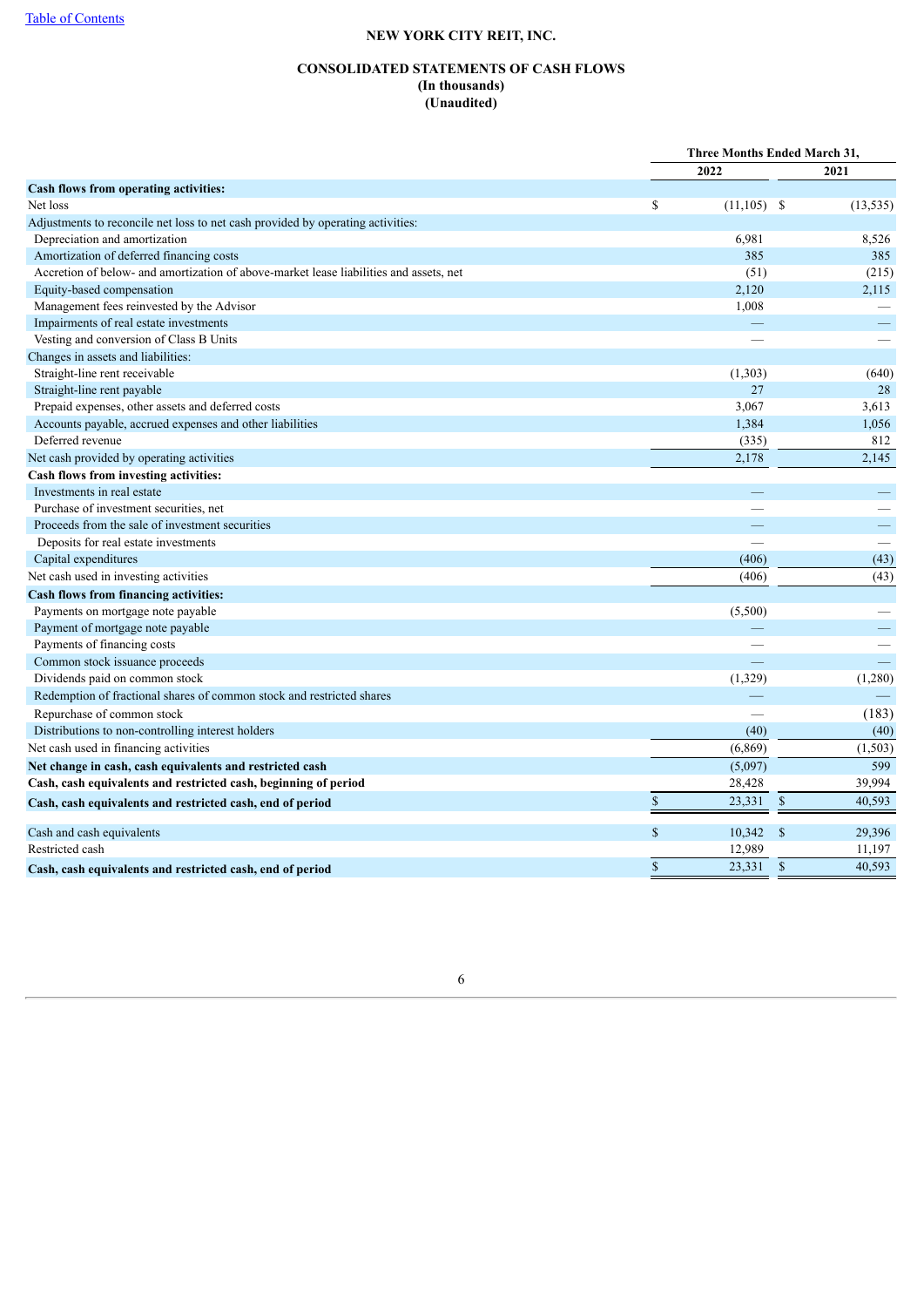# **CONSOLIDATED STATEMENTS OF CASH FLOWS**

# **(In thousands) (Unaudited)**

|                                                                                        |               | <b>Three Months Ended March 31,</b> |               |           |  |
|----------------------------------------------------------------------------------------|---------------|-------------------------------------|---------------|-----------|--|
|                                                                                        |               | 2022                                |               | 2021      |  |
| Cash flows from operating activities:                                                  |               |                                     |               |           |  |
| Net loss                                                                               | \$            | $(11, 105)$ \$                      |               | (13, 535) |  |
| Adjustments to reconcile net loss to net cash provided by operating activities:        |               |                                     |               |           |  |
| Depreciation and amortization                                                          |               | 6,981                               |               | 8,526     |  |
| Amortization of deferred financing costs                                               |               | 385                                 |               | 385       |  |
| Accretion of below- and amortization of above-market lease liabilities and assets, net |               | (51)                                |               | (215)     |  |
| Equity-based compensation                                                              |               | 2,120                               |               | 2,115     |  |
| Management fees reinvested by the Advisor                                              |               | 1,008                               |               |           |  |
| Impairments of real estate investments                                                 |               |                                     |               |           |  |
| Vesting and conversion of Class B Units                                                |               |                                     |               |           |  |
| Changes in assets and liabilities:                                                     |               |                                     |               |           |  |
| Straight-line rent receivable                                                          |               | (1,303)                             |               | (640)     |  |
| Straight-line rent payable                                                             |               | 27                                  |               | 28        |  |
| Prepaid expenses, other assets and deferred costs                                      |               | 3,067                               |               | 3,613     |  |
| Accounts payable, accrued expenses and other liabilities                               |               | 1,384                               |               | 1,056     |  |
| Deferred revenue                                                                       |               | (335)                               |               | 812       |  |
| Net cash provided by operating activities                                              |               | 2,178                               |               | 2,145     |  |
| Cash flows from investing activities:                                                  |               |                                     |               |           |  |
| Investments in real estate                                                             |               |                                     |               |           |  |
| Purchase of investment securities, net                                                 |               |                                     |               |           |  |
| Proceeds from the sale of investment securities                                        |               |                                     |               |           |  |
| Deposits for real estate investments                                                   |               |                                     |               |           |  |
| Capital expenditures                                                                   |               | (406)                               |               | (43)      |  |
| Net cash used in investing activities                                                  |               | (406)                               |               | (43)      |  |
| Cash flows from financing activities:                                                  |               |                                     |               |           |  |
| Payments on mortgage note payable                                                      |               | (5,500)                             |               |           |  |
| Payment of mortgage note payable                                                       |               |                                     |               |           |  |
| Payments of financing costs                                                            |               |                                     |               |           |  |
| Common stock issuance proceeds                                                         |               |                                     |               |           |  |
| Dividends paid on common stock                                                         |               | (1,329)                             |               | (1,280)   |  |
| Redemption of fractional shares of common stock and restricted shares                  |               |                                     |               |           |  |
| Repurchase of common stock                                                             |               |                                     |               | (183)     |  |
| Distributions to non-controlling interest holders                                      |               | (40)                                |               | (40)      |  |
| Net cash used in financing activities                                                  |               | (6, 869)                            |               | (1, 503)  |  |
| Net change in cash, cash equivalents and restricted cash                               |               | (5,097)                             |               | 599       |  |
| Cash, cash equivalents and restricted cash, beginning of period                        |               | 28,428                              |               | 39,994    |  |
| Cash, cash equivalents and restricted cash, end of period                              | $\mathsf{\$}$ | 23,331                              | $\mathcal{S}$ | 40,593    |  |
|                                                                                        |               |                                     |               |           |  |
| Cash and cash equivalents                                                              | \$            | 10,342                              | $\mathbf{s}$  | 29,396    |  |
| Restricted cash                                                                        |               | 12,989                              |               | 11,197    |  |
| Cash, cash equivalents and restricted cash, end of period                              | $\mathbb{S}$  | 23,331                              | $\mathbf{s}$  | 40,593    |  |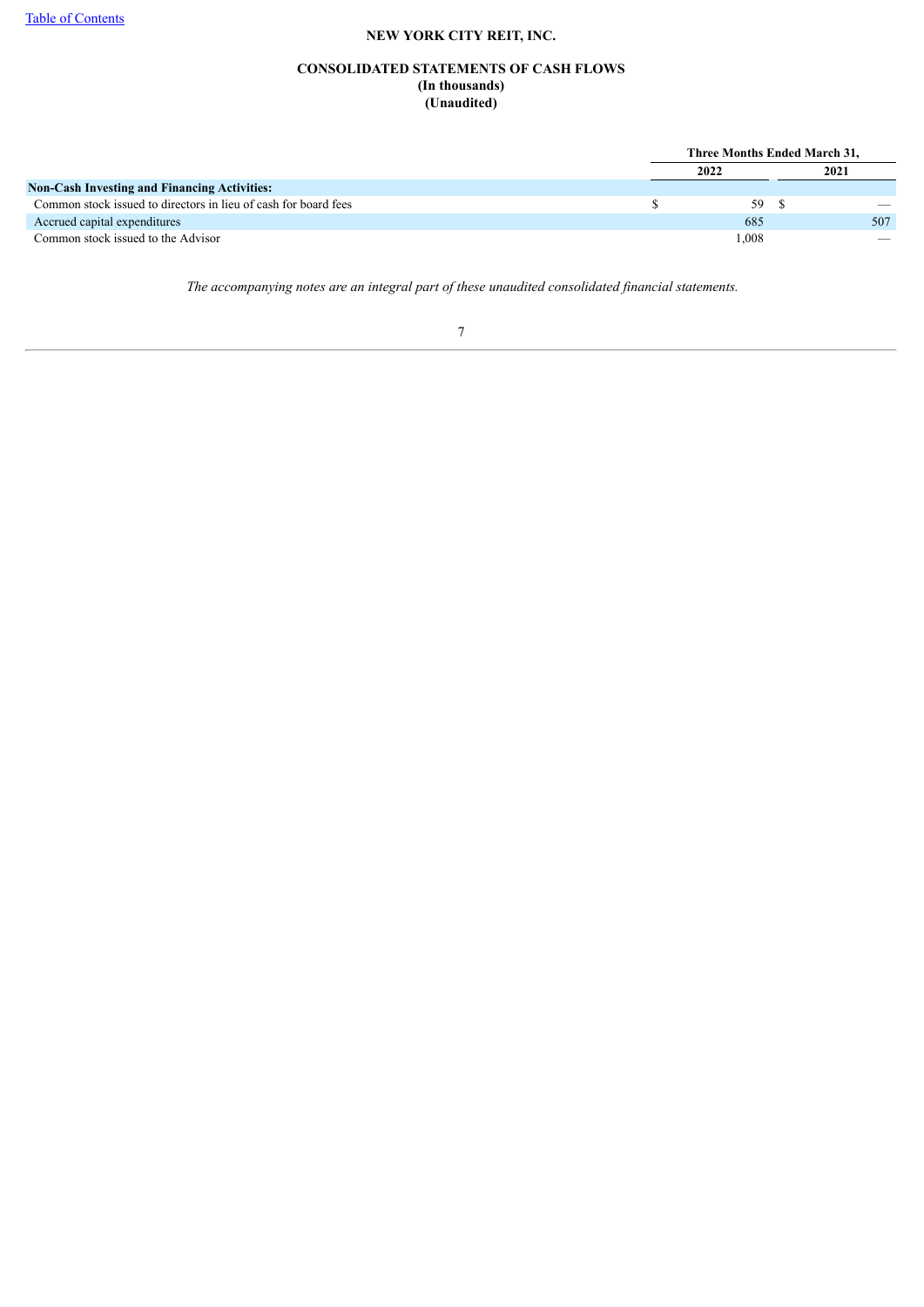# **CONSOLIDATED STATEMENTS OF CASH FLOWS**

# **(In thousands)**

# **(Unaudited)**

|                                                                 | <b>Three Months Ended March 31.</b> |  |      |  |  |  |
|-----------------------------------------------------------------|-------------------------------------|--|------|--|--|--|
|                                                                 | 2022                                |  | 2021 |  |  |  |
| <b>Non-Cash Investing and Financing Activities:</b>             |                                     |  |      |  |  |  |
| Common stock issued to directors in lieu of cash for board fees | 59 S                                |  |      |  |  |  |
| Accrued capital expenditures                                    | 685                                 |  | 507  |  |  |  |
| Common stock issued to the Advisor                              | 1.008                               |  |      |  |  |  |

<span id="page-6-0"></span>*The accompanying notes are an integral part of these unaudited consolidated financial statements.*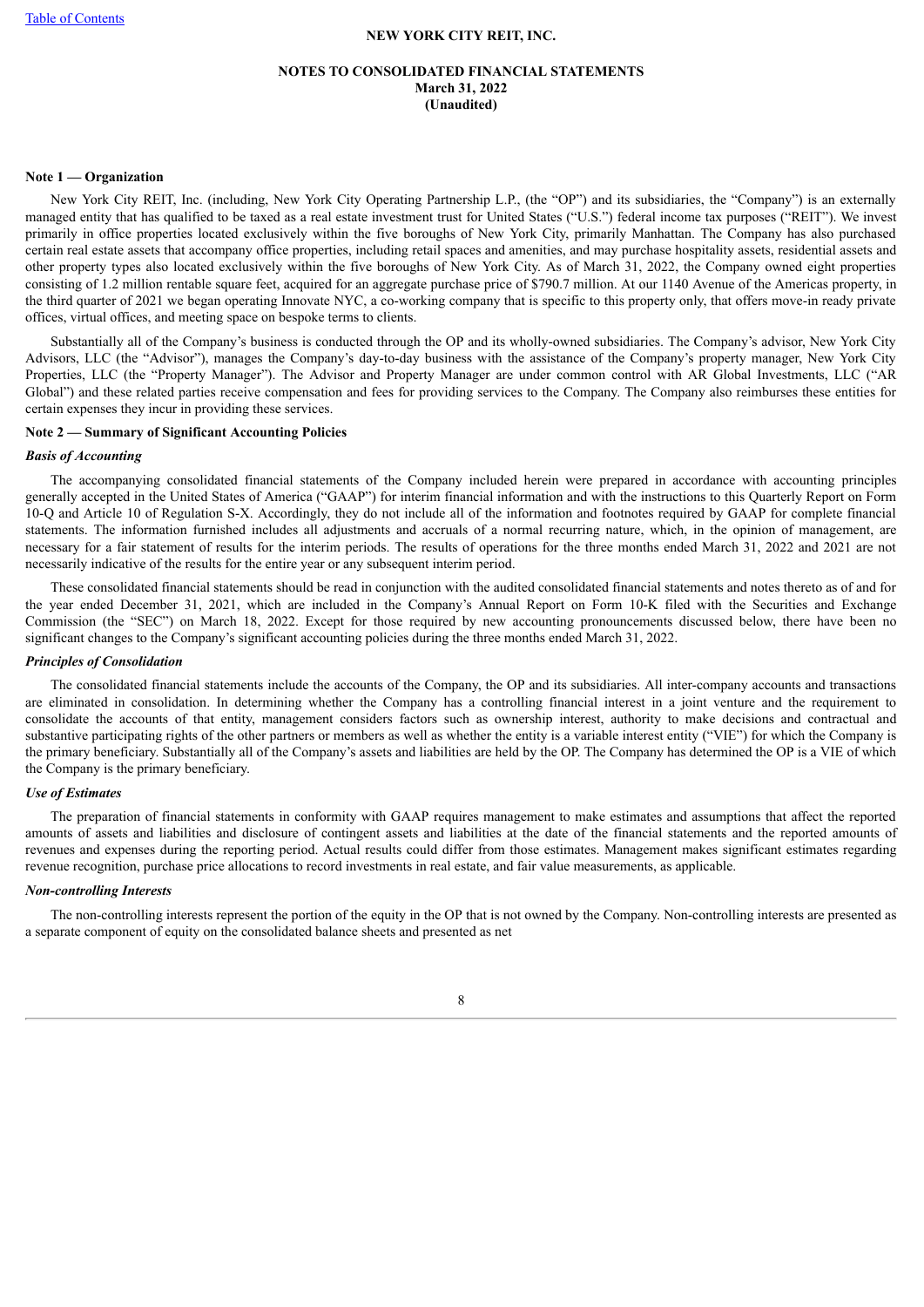### **NOTES TO CONSOLIDATED FINANCIAL STATEMENTS March 31, 2022 (Unaudited)**

#### **Note 1 — Organization**

New York City REIT, Inc. (including, New York City Operating Partnership L.P., (the "OP") and its subsidiaries, the "Company") is an externally managed entity that has qualified to be taxed as a real estate investment trust for United States ("U.S.") federal income tax purposes ("REIT"). We invest primarily in office properties located exclusively within the five boroughs of New York City, primarily Manhattan. The Company has also purchased certain real estate assets that accompany office properties, including retail spaces and amenities, and may purchase hospitality assets, residential assets and other property types also located exclusively within the five boroughs of New York City. As of March 31, 2022, the Company owned eight properties consisting of 1.2 million rentable square feet, acquired for an aggregate purchase price of \$790.7 million. At our 1140 Avenue of the Americas property, in the third quarter of 2021 we began operating Innovate NYC, a co-working company that is specific to this property only, that offers move-in ready private offices, virtual offices, and meeting space on bespoke terms to clients.

Substantially all of the Company's business is conducted through the OP and its wholly-owned subsidiaries. The Company's advisor, New York City Advisors, LLC (the "Advisor"), manages the Company's day-to-day business with the assistance of the Company's property manager, New York City Properties, LLC (the "Property Manager"). The Advisor and Property Manager are under common control with AR Global Investments, LLC ("AR Global") and these related parties receive compensation and fees for providing services to the Company. The Company also reimburses these entities for certain expenses they incur in providing these services.

### <span id="page-7-0"></span>**Note 2 — Summary of Significant Accounting Policies**

#### *Basis of Accounting*

The accompanying consolidated financial statements of the Company included herein were prepared in accordance with accounting principles generally accepted in the United States of America ("GAAP") for interim financial information and with the instructions to this Quarterly Report on Form 10-Q and Article 10 of Regulation S-X. Accordingly, they do not include all of the information and footnotes required by GAAP for complete financial statements. The information furnished includes all adjustments and accruals of a normal recurring nature, which, in the opinion of management, are necessary for a fair statement of results for the interim periods. The results of operations for the three months ended March 31, 2022 and 2021 are not necessarily indicative of the results for the entire year or any subsequent interim period.

These consolidated financial statements should be read in conjunction with the audited consolidated financial statements and notes thereto as of and for the year ended December 31, 2021, which are included in the Company's Annual Report on Form 10-K filed with the Securities and Exchange Commission (the "SEC") on March 18, 2022. Except for those required by new accounting pronouncements discussed below, there have been no significant changes to the Company's significant accounting policies during the three months ended March 31, 2022.

#### *Principles of Consolidation*

The consolidated financial statements include the accounts of the Company, the OP and its subsidiaries. All inter-company accounts and transactions are eliminated in consolidation. In determining whether the Company has a controlling financial interest in a joint venture and the requirement to consolidate the accounts of that entity, management considers factors such as ownership interest, authority to make decisions and contractual and substantive participating rights of the other partners or members as well as whether the entity is a variable interest entity ("VIE") for which the Company is the primary beneficiary. Substantially all of the Company's assets and liabilities are held by the OP. The Company has determined the OP is a VIE of which the Company is the primary beneficiary.

## *Use of Estimates*

The preparation of financial statements in conformity with GAAP requires management to make estimates and assumptions that affect the reported amounts of assets and liabilities and disclosure of contingent assets and liabilities at the date of the financial statements and the reported amounts of revenues and expenses during the reporting period. Actual results could differ from those estimates. Management makes significant estimates regarding revenue recognition, purchase price allocations to record investments in real estate, and fair value measurements, as applicable.

# *Non-controlling Interests*

The non-controlling interests represent the portion of the equity in the OP that is not owned by the Company. Non-controlling interests are presented as a separate component of equity on the consolidated balance sheets and presented as net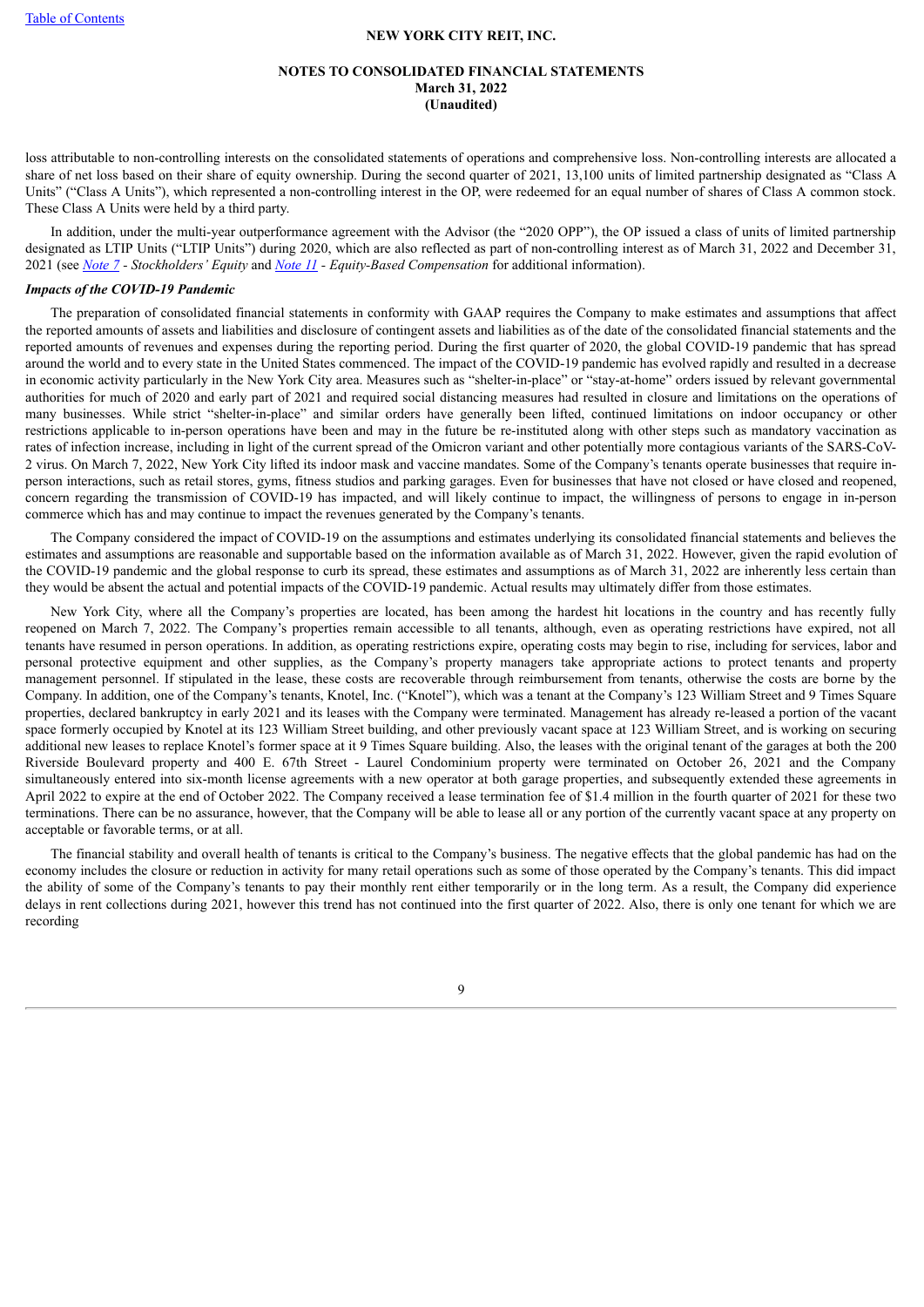### **NOTES TO CONSOLIDATED FINANCIAL STATEMENTS March 31, 2022 (Unaudited)**

loss attributable to non-controlling interests on the consolidated statements of operations and comprehensive loss. Non-controlling interests are allocated a share of net loss based on their share of equity ownership. During the second quarter of 2021, 13,100 units of limited partnership designated as "Class A Units" ("Class A Units"), which represented a non-controlling interest in the OP, were redeemed for an equal number of shares of Class A common stock. These Class A Units were held by a third party.

In addition, under the multi-year outperformance agreement with the Advisor (the "2020 OPP"), the OP issued a class of units of limited partnership designated as LTIP Units ("LTIP Units") during 2020, which are also reflected as part of non-controlling interest as of March 31, 2022 and December 31, 2021 (see *[Note](#page-19-0) 7 - Stockholders' Equity* and *[Note](#page-25-0) 11 - Equity-Based Compensation* for additional information).

#### *Impacts of the COVID-19 Pandemic*

The preparation of consolidated financial statements in conformity with GAAP requires the Company to make estimates and assumptions that affect the reported amounts of assets and liabilities and disclosure of contingent assets and liabilities as of the date of the consolidated financial statements and the reported amounts of revenues and expenses during the reporting period. During the first quarter of 2020, the global COVID-19 pandemic that has spread around the world and to every state in the United States commenced. The impact of the COVID-19 pandemic has evolved rapidly and resulted in a decrease in economic activity particularly in the New York City area. Measures such as "shelter-in-place" or "stay-at-home" orders issued by relevant governmental authorities for much of 2020 and early part of 2021 and required social distancing measures had resulted in closure and limitations on the operations of many businesses. While strict "shelter-in-place" and similar orders have generally been lifted, continued limitations on indoor occupancy or other restrictions applicable to in-person operations have been and may in the future be re-instituted along with other steps such as mandatory vaccination as rates of infection increase, including in light of the current spread of the Omicron variant and other potentially more contagious variants of the SARS-CoV-2 virus. On March 7, 2022, New York City lifted its indoor mask and vaccine mandates. Some of the Company's tenants operate businesses that require inperson interactions, such as retail stores, gyms, fitness studios and parking garages. Even for businesses that have not closed or have closed and reopened, concern regarding the transmission of COVID-19 has impacted, and will likely continue to impact, the willingness of persons to engage in in-person commerce which has and may continue to impact the revenues generated by the Company's tenants.

The Company considered the impact of COVID-19 on the assumptions and estimates underlying its consolidated financial statements and believes the estimates and assumptions are reasonable and supportable based on the information available as of March 31, 2022. However, given the rapid evolution of the COVID-19 pandemic and the global response to curb its spread, these estimates and assumptions as of March 31, 2022 are inherently less certain than they would be absent the actual and potential impacts of the COVID-19 pandemic. Actual results may ultimately differ from those estimates.

New York City, where all the Company's properties are located, has been among the hardest hit locations in the country and has recently fully reopened on March 7, 2022. The Company's properties remain accessible to all tenants, although, even as operating restrictions have expired, not all tenants have resumed in person operations. In addition, as operating restrictions expire, operating costs may begin to rise, including for services, labor and personal protective equipment and other supplies, as the Company's property managers take appropriate actions to protect tenants and property management personnel. If stipulated in the lease, these costs are recoverable through reimbursement from tenants, otherwise the costs are borne by the Company. In addition, one of the Company's tenants, Knotel, Inc. ("Knotel"), which was a tenant at the Company's 123 William Street and 9 Times Square properties, declared bankruptcy in early 2021 and its leases with the Company were terminated. Management has already re-leased a portion of the vacant space formerly occupied by Knotel at its 123 William Street building, and other previously vacant space at 123 William Street, and is working on securing additional new leases to replace Knotel's former space at it 9 Times Square building. Also, the leases with the original tenant of the garages at both the 200 Riverside Boulevard property and 400 E. 67th Street - Laurel Condominium property were terminated on October 26, 2021 and the Company simultaneously entered into six-month license agreements with a new operator at both garage properties, and subsequently extended these agreements in April 2022 to expire at the end of October 2022. The Company received a lease termination fee of \$1.4 million in the fourth quarter of 2021 for these two terminations. There can be no assurance, however, that the Company will be able to lease all or any portion of the currently vacant space at any property on acceptable or favorable terms, or at all.

The financial stability and overall health of tenants is critical to the Company's business. The negative effects that the global pandemic has had on the economy includes the closure or reduction in activity for many retail operations such as some of those operated by the Company's tenants. This did impact the ability of some of the Company's tenants to pay their monthly rent either temporarily or in the long term. As a result, the Company did experience delays in rent collections during 2021, however this trend has not continued into the first quarter of 2022. Also, there is only one tenant for which we are recording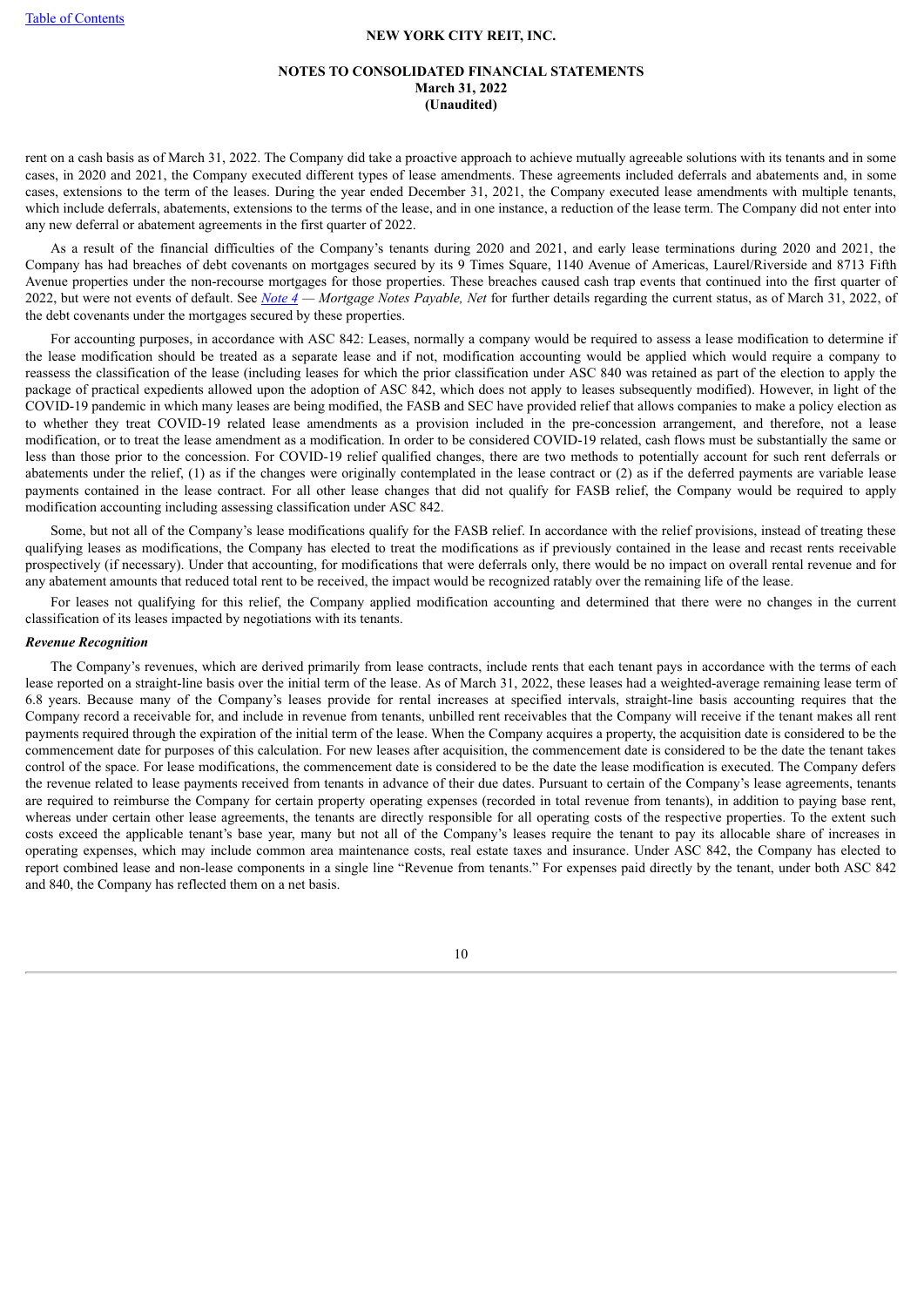### **NOTES TO CONSOLIDATED FINANCIAL STATEMENTS March 31, 2022 (Unaudited)**

rent on a cash basis as of March 31, 2022. The Company did take a proactive approach to achieve mutually agreeable solutions with its tenants and in some cases, in 2020 and 2021, the Company executed different types of lease amendments. These agreements included deferrals and abatements and, in some cases, extensions to the term of the leases. During the year ended December 31, 2021, the Company executed lease amendments with multiple tenants, which include deferrals, abatements, extensions to the terms of the lease, and in one instance, a reduction of the lease term. The Company did not enter into any new deferral or abatement agreements in the first quarter of 2022.

As a result of the financial difficulties of the Company's tenants during 2020 and 2021, and early lease terminations during 2020 and 2021, the Company has had breaches of debt covenants on mortgages secured by its 9 Times Square, 1140 Avenue of Americas, Laurel/Riverside and 8713 Fifth Avenue properties under the non-recourse mortgages for those properties. These breaches caused cash trap events that continued into the first quarter of 2022, but were not events of default. See *Note 4 — Mortgage Notes Payable, Net* for further details regarding the current status, as of March 31, 2022, of the debt covenants under the mortgages secured by these properties.

For accounting purposes, in accordance with ASC 842: Leases, normally a company would be required to assess a lease modification to determine if the lease modification should be treated as a separate lease and if not, modification accounting would be applied which would require a company to reassess the classification of the lease (including leases for which the prior classification under ASC 840 was retained as part of the election to apply the package of practical expedients allowed upon the adoption of ASC 842, which does not apply to leases subsequently modified). However, in light of the COVID-19 pandemic in which many leases are being modified, the FASB and SEC have provided relief that allows companies to make a policy election as to whether they treat COVID-19 related lease amendments as a provision included in the pre-concession arrangement, and therefore, not a lease modification, or to treat the lease amendment as a modification. In order to be considered COVID-19 related, cash flows must be substantially the same or less than those prior to the concession. For COVID-19 relief qualified changes, there are two methods to potentially account for such rent deferrals or abatements under the relief, (1) as if the changes were originally contemplated in the lease contract or (2) as if the deferred payments are variable lease payments contained in the lease contract. For all other lease changes that did not qualify for FASB relief, the Company would be required to apply modification accounting including assessing classification under ASC 842.

Some, but not all of the Company's lease modifications qualify for the FASB relief. In accordance with the relief provisions, instead of treating these qualifying leases as modifications, the Company has elected to treat the modifications as if previously contained in the lease and recast rents receivable prospectively (if necessary). Under that accounting, for modifications that were deferrals only, there would be no impact on overall rental revenue and for any abatement amounts that reduced total rent to be received, the impact would be recognized ratably over the remaining life of the lease.

For leases not qualifying for this relief, the Company applied modification accounting and determined that there were no changes in the current classification of its leases impacted by negotiations with its tenants.

#### *Revenue Recognition*

The Company's revenues, which are derived primarily from lease contracts, include rents that each tenant pays in accordance with the terms of each lease reported on a straight-line basis over the initial term of the lease. As of March 31, 2022, these leases had a weighted-average remaining lease term of 6.8 years. Because many of the Company's leases provide for rental increases at specified intervals, straight-line basis accounting requires that the Company record a receivable for, and include in revenue from tenants, unbilled rent receivables that the Company will receive if the tenant makes all rent payments required through the expiration of the initial term of the lease. When the Company acquires a property, the acquisition date is considered to be the commencement date for purposes of this calculation. For new leases after acquisition, the commencement date is considered to be the date the tenant takes control of the space. For lease modifications, the commencement date is considered to be the date the lease modification is executed. The Company defers the revenue related to lease payments received from tenants in advance of their due dates. Pursuant to certain of the Company's lease agreements, tenants are required to reimburse the Company for certain property operating expenses (recorded in total revenue from tenants), in addition to paying base rent, whereas under certain other lease agreements, the tenants are directly responsible for all operating costs of the respective properties. To the extent such costs exceed the applicable tenant's base year, many but not all of the Company's leases require the tenant to pay its allocable share of increases in operating expenses, which may include common area maintenance costs, real estate taxes and insurance. Under ASC 842, the Company has elected to report combined lease and non-lease components in a single line "Revenue from tenants." For expenses paid directly by the tenant, under both ASC 842 and 840, the Company has reflected them on a net basis.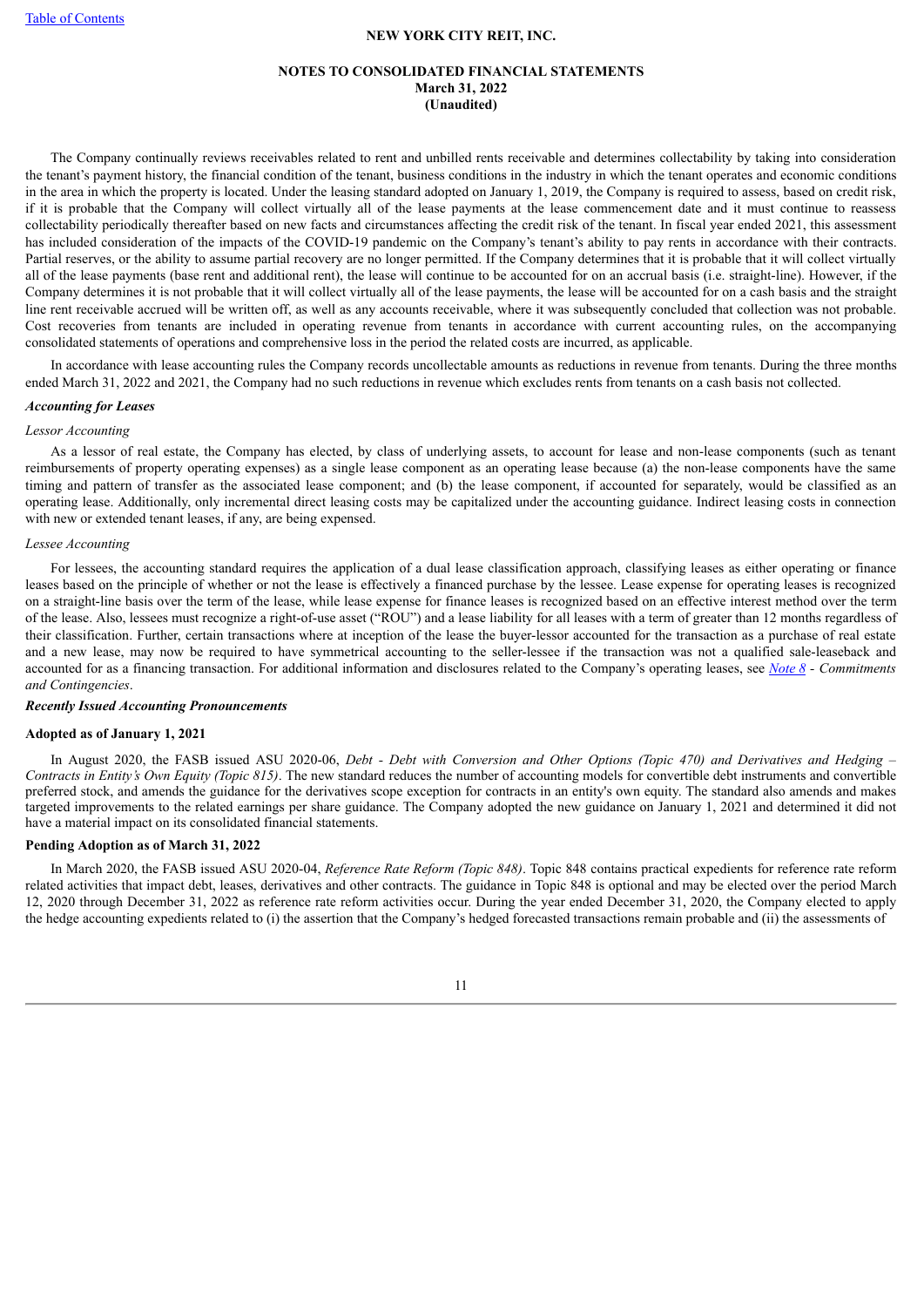### **NOTES TO CONSOLIDATED FINANCIAL STATEMENTS March 31, 2022 (Unaudited)**

The Company continually reviews receivables related to rent and unbilled rents receivable and determines collectability by taking into consideration the tenant's payment history, the financial condition of the tenant, business conditions in the industry in which the tenant operates and economic conditions in the area in which the property is located. Under the leasing standard adopted on January 1, 2019, the Company is required to assess, based on credit risk, if it is probable that the Company will collect virtually all of the lease payments at the lease commencement date and it must continue to reassess collectability periodically thereafter based on new facts and circumstances affecting the credit risk of the tenant. In fiscal year ended 2021, this assessment has included consideration of the impacts of the COVID-19 pandemic on the Company's tenant's ability to pay rents in accordance with their contracts. Partial reserves, or the ability to assume partial recovery are no longer permitted. If the Company determines that it is probable that it will collect virtually all of the lease payments (base rent and additional rent), the lease will continue to be accounted for on an accrual basis (i.e. straight-line). However, if the Company determines it is not probable that it will collect virtually all of the lease payments, the lease will be accounted for on a cash basis and the straight line rent receivable accrued will be written off, as well as any accounts receivable, where it was subsequently concluded that collection was not probable. Cost recoveries from tenants are included in operating revenue from tenants in accordance with current accounting rules, on the accompanying consolidated statements of operations and comprehensive loss in the period the related costs are incurred, as applicable.

In accordance with lease accounting rules the Company records uncollectable amounts as reductions in revenue from tenants. During the three months ended March 31, 2022 and 2021, the Company had no such reductions in revenue which excludes rents from tenants on a cash basis not collected.

#### *Accounting for Leases*

#### *Lessor Accounting*

As a lessor of real estate, the Company has elected, by class of underlying assets, to account for lease and non-lease components (such as tenant reimbursements of property operating expenses) as a single lease component as an operating lease because (a) the non-lease components have the same timing and pattern of transfer as the associated lease component; and (b) the lease component, if accounted for separately, would be classified as an operating lease. Additionally, only incremental direct leasing costs may be capitalized under the accounting guidance. Indirect leasing costs in connection with new or extended tenant leases, if any, are being expensed.

#### *Lessee Accounting*

For lessees, the accounting standard requires the application of a dual lease classification approach, classifying leases as either operating or finance leases based on the principle of whether or not the lease is effectively a financed purchase by the lessee. Lease expense for operating leases is recognized on a straight-line basis over the term of the lease, while lease expense for finance leases is recognized based on an effective interest method over the term of the lease. Also, lessees must recognize a right-of-use asset ("ROU") and a lease liability for all leases with a term of greater than 12 months regardless of their classification. Further, certain transactions where at inception of the lease the buyer-lessor accounted for the transaction as a purchase of real estate and a new lease, may now be required to have symmetrical accounting to the seller-lessee if the transaction was not a qualified sale-leaseback and accounted for as a financing transaction. For additional information and disclosures related to the Company's operating leases, see *[Note](#page-20-0) 8 - Commitments and Contingencies*.

## *Recently Issued Accounting Pronouncements*

#### **Adopted as of January 1, 2021**

In August 2020, the FASB issued ASU 2020-06, Debt - Debt with Conversion and Other Options (Topic 470) and Derivatives and Hedging -*Contracts in Entity's Own Equity (Topic 815)*. The new standard reduces the number of accounting models for convertible debt instruments and convertible preferred stock, and amends the guidance for the derivatives scope exception for contracts in an entity's own equity. The standard also amends and makes targeted improvements to the related earnings per share guidance. The Company adopted the new guidance on January 1, 2021 and determined it did not have a material impact on its consolidated financial statements.

## **Pending Adoption as of March 31, 2022**

In March 2020, the FASB issued ASU 2020-04, *Reference Rate Reform (Topic 848)*. Topic 848 contains practical expedients for reference rate reform related activities that impact debt, leases, derivatives and other contracts. The guidance in Topic 848 is optional and may be elected over the period March 12, 2020 through December 31, 2022 as reference rate reform activities occur. During the year ended December 31, 2020, the Company elected to apply the hedge accounting expedients related to (i) the assertion that the Company's hedged forecasted transactions remain probable and (ii) the assessments of

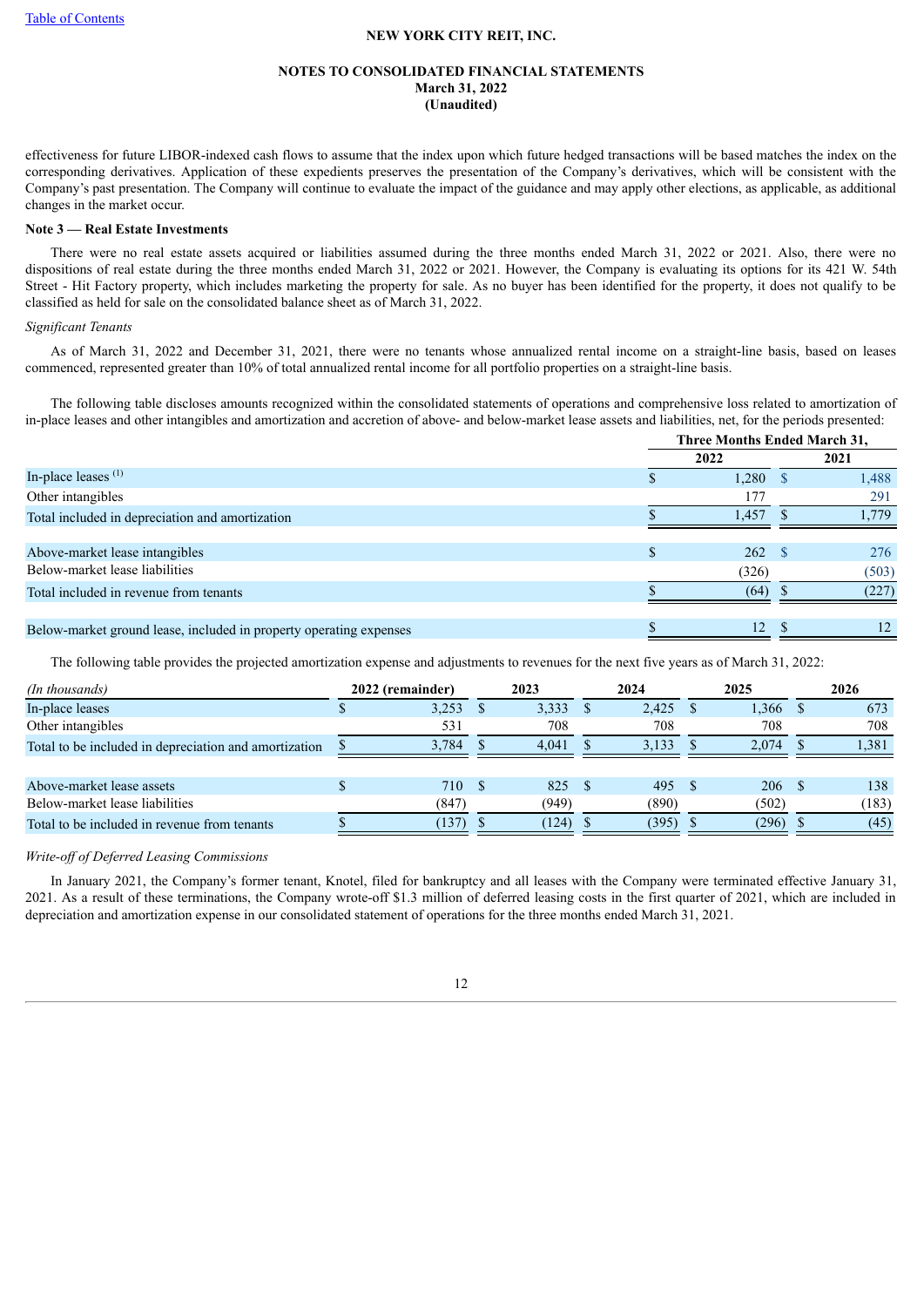### **NOTES TO CONSOLIDATED FINANCIAL STATEMENTS March 31, 2022 (Unaudited)**

effectiveness for future LIBOR-indexed cash flows to assume that the index upon which future hedged transactions will be based matches the index on the corresponding derivatives. Application of these expedients preserves the presentation of the Company's derivatives, which will be consistent with the Company's past presentation. The Company will continue to evaluate the impact of the guidance and may apply other elections, as applicable, as additional changes in the market occur.

#### **Note 3 — Real Estate Investments**

There were no real estate assets acquired or liabilities assumed during the three months ended March 31, 2022 or 2021. Also, there were no dispositions of real estate during the three months ended March 31, 2022 or 2021. However, the Company is evaluating its options for its 421 W. 54th Street - Hit Factory property, which includes marketing the property for sale. As no buyer has been identified for the property, it does not qualify to be classified as held for sale on the consolidated balance sheet as of March 31, 2022.

#### *Significant Tenants*

As of March 31, 2022 and December 31, 2021, there were no tenants whose annualized rental income on a straight-line basis, based on leases commenced, represented greater than 10% of total annualized rental income for all portfolio properties on a straight-line basis.

The following table discloses amounts recognized within the consolidated statements of operations and comprehensive loss related to amortization of in-place leases and other intangibles and amortization and accretion of above- and below-market lease assets and liabilities, net, for the periods presented:

|                                                                    | Three Months Ended March 31, |  |       |  |  |
|--------------------------------------------------------------------|------------------------------|--|-------|--|--|
|                                                                    | 2022                         |  | 2021  |  |  |
| In-place leases <sup>(1)</sup>                                     | 1,280                        |  | 1,488 |  |  |
| Other intangibles                                                  | 177                          |  | 291   |  |  |
| Total included in depreciation and amortization                    | 1.457                        |  | 1.779 |  |  |
|                                                                    |                              |  |       |  |  |
| Above-market lease intangibles                                     | 262                          |  | 276   |  |  |
| Below-market lease liabilities                                     | (326)                        |  | (503) |  |  |
| Total included in revenue from tenants                             | (64)                         |  | (227) |  |  |
|                                                                    |                              |  |       |  |  |
| Below-market ground lease, included in property operating expenses | 12                           |  | 12    |  |  |

The following table provides the projected amortization expense and adjustments to revenues for the next five years as of March 31, 2022:

|       |                  | 2023  | 2024  | 2025  | 2026  |
|-------|------------------|-------|-------|-------|-------|
| 3,253 |                  | 3.333 | 2,425 | 1.366 | 673   |
| 531   |                  | 708   | 708   | 708   | 708   |
| 3.784 |                  | 4.041 | 3.133 | 2.074 | 1,381 |
|       |                  |       |       |       |       |
| 710   |                  | 825   | 495   | 206   | 138   |
| (847) |                  | (949) | (890) | (502) | (183) |
| (137) |                  | (124) | (395) |       | (45)  |
|       | 2022 (remainder) |       |       |       | (296) |

### *Write-of of Deferred Leasing Commissions*

<span id="page-11-0"></span>In January 2021, the Company's former tenant, Knotel, filed for bankruptcy and all leases with the Company were terminated effective January 31, 2021. As a result of these terminations, the Company wrote-off \$1.3 million of deferred leasing costs in the first quarter of 2021, which are included in depreciation and amortization expense in our consolidated statement of operations for the three months ended March 31, 2021.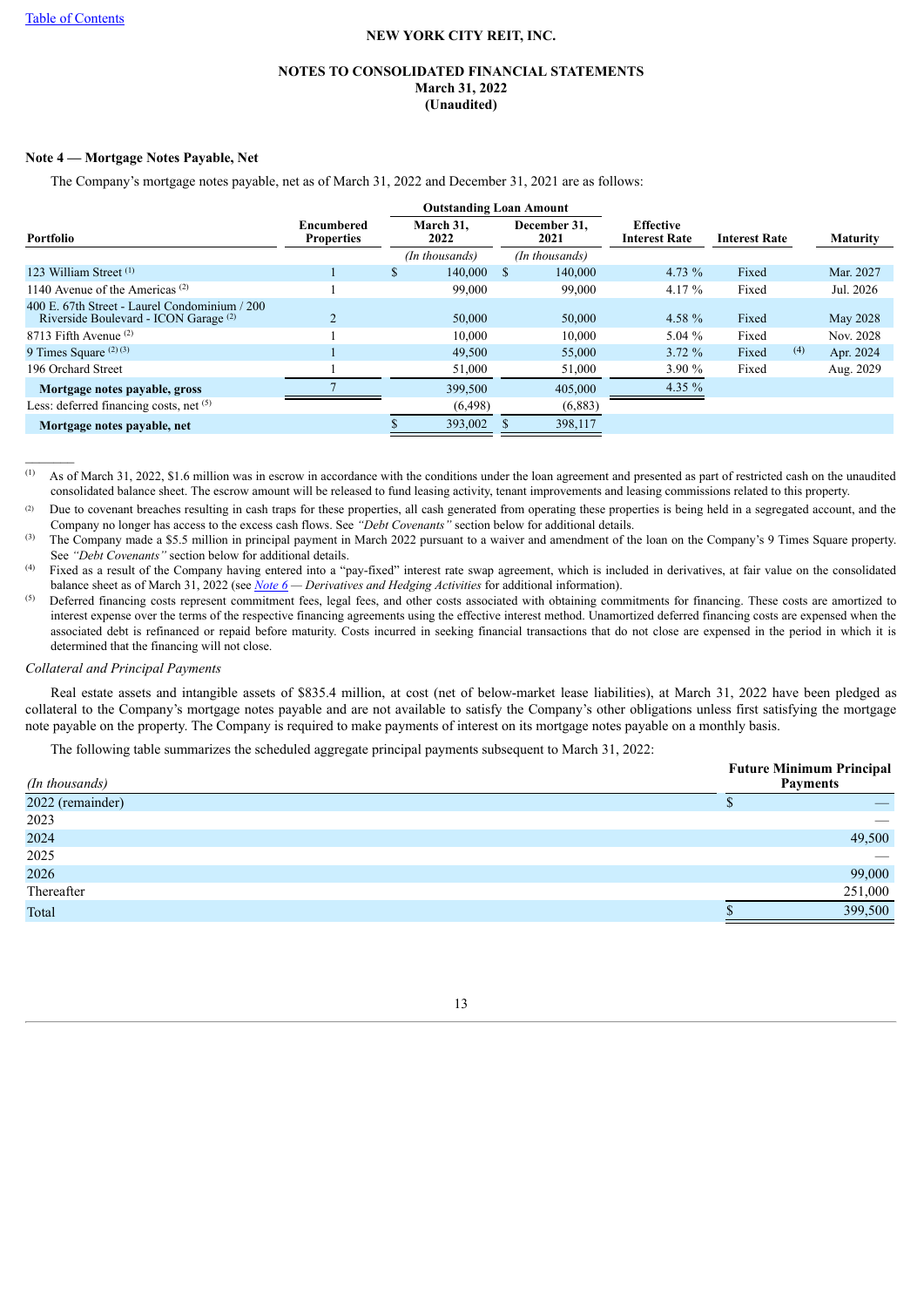### **NOTES TO CONSOLIDATED FINANCIAL STATEMENTS March 31, 2022 (Unaudited)**

# **Note 4 — Mortgage Notes Payable, Net**

The Company's mortgage notes payable, net as of March 31, 2022 and December 31, 2021 are as follows:

|                                                                                                   |                                        |                   | <b>Outstanding Loan Amount</b> |                      |                |          |       |     |           |                                          |                      |  |                 |
|---------------------------------------------------------------------------------------------------|----------------------------------------|-------------------|--------------------------------|----------------------|----------------|----------|-------|-----|-----------|------------------------------------------|----------------------|--|-----------------|
| Portfolio                                                                                         | <b>Encumbered</b><br><b>Properties</b> | March 31.<br>2022 |                                | December 31.<br>2021 |                |          |       |     |           | <b>Effective</b><br><b>Interest Rate</b> | <b>Interest Rate</b> |  | <b>Maturity</b> |
|                                                                                                   |                                        |                   | (In thousands)                 |                      | (In thousands) |          |       |     |           |                                          |                      |  |                 |
| 123 William Street $(1)$                                                                          |                                        | D.                | 140,000                        |                      | 140,000        | $4.73\%$ | Fixed |     | Mar. 2027 |                                          |                      |  |                 |
| 1140 Avenue of the Americas <sup>(2)</sup>                                                        |                                        |                   | 99,000                         |                      | 99,000         | 4.17 %   | Fixed |     | Jul. 2026 |                                          |                      |  |                 |
| 400 E, 67th Street - Laurel Condominium / 200<br>Riverside Boulevard - ICON Garage <sup>(2)</sup> | $\bigcap$                              |                   | 50,000                         |                      | 50,000         | 4.58 %   | Fixed |     | May 2028  |                                          |                      |  |                 |
| 8713 Fifth Avenue $(2)$                                                                           |                                        |                   | 10.000                         |                      | 10.000         | $5.04\%$ | Fixed |     | Nov. 2028 |                                          |                      |  |                 |
| 9 Times Square $(2)(3)$                                                                           |                                        |                   | 49,500                         |                      | 55,000         | 3.72%    | Fixed | (4) | Apr. 2024 |                                          |                      |  |                 |
| 196 Orchard Street                                                                                |                                        |                   | 51,000                         |                      | 51,000         | 3.90 %   | Fixed |     | Aug. 2029 |                                          |                      |  |                 |
| Mortgage notes payable, gross                                                                     |                                        |                   | 399,500                        |                      | 405,000        | 4.35 $%$ |       |     |           |                                          |                      |  |                 |
| Less: deferred financing costs, net $(5)$                                                         |                                        |                   | (6, 498)                       |                      | (6,883)        |          |       |     |           |                                          |                      |  |                 |
| Mortgage notes payable, net                                                                       |                                        |                   | 393,002                        |                      | 398,117        |          |       |     |           |                                          |                      |  |                 |

As of March 31, 2022, \$1.6 million was in escrow in accordance with the conditions under the loan agreement and presented as part of restricted cash on the unaudited consolidated balance sheet. The escrow amount will be released to fund leasing activity, tenant improvements and leasing commissions related to this property.  $(1)$ 

Due to covenant breaches resulting in cash traps for these properties, all cash generated from operating these properties is being held in a segregated account, and the Company no longer has access to the excess cash flows. See *"Debt Covenants"* section below for additional details. (2)

The Company made a \$5.5 million in principal payment in March 2022 pursuant to a waiver and amendment of the loan on the Company's 9 Times Square property. See *"Debt Covenants"* section below for additional details. (3)

Fixed as a result of the Company having entered into a "pay-fixed" interest rate swap agreement, which is included in derivatives, at fair value on the consolidated balance sheet as of March 31, 2022 (see *[Note 6](#page-17-0) — Derivatives and Hedging Activities* for additional information).  $(4)$ 

Deferred financing costs represent commitment fees, legal fees, and other costs associated with obtaining commitments for financing. These costs are amortized to interest expense over the terms of the respective financing agreements using the effective interest method. Unamortized deferred financing costs are expensed when the associated debt is refinanced or repaid before maturity. Costs incurred in seeking financial transactions that do not close are expensed in the period in which it is determined that the financing will not close. (5)

# *Collateral and Principal Payments*

Real estate assets and intangible assets of \$835.4 million, at cost (net of below-market lease liabilities), at March 31, 2022 have been pledged as collateral to the Company's mortgage notes payable and are not available to satisfy the Company's other obligations unless first satisfying the mortgage note payable on the property. The Company is required to make payments of interest on its mortgage notes payable on a monthly basis.

The following table summarizes the scheduled aggregate principal payments subsequent to March 31, 2022:

| (In thousands)   | <b>Future Minimum Principal</b><br><b>Payments</b> |         |  |  |  |
|------------------|----------------------------------------------------|---------|--|--|--|
| 2022 (remainder) |                                                    |         |  |  |  |
| 2023             |                                                    |         |  |  |  |
| 2024             |                                                    | 49,500  |  |  |  |
| 2025             |                                                    |         |  |  |  |
| 2026             |                                                    | 99,000  |  |  |  |
| Thereafter       |                                                    | 251,000 |  |  |  |
| Total            |                                                    | 399,500 |  |  |  |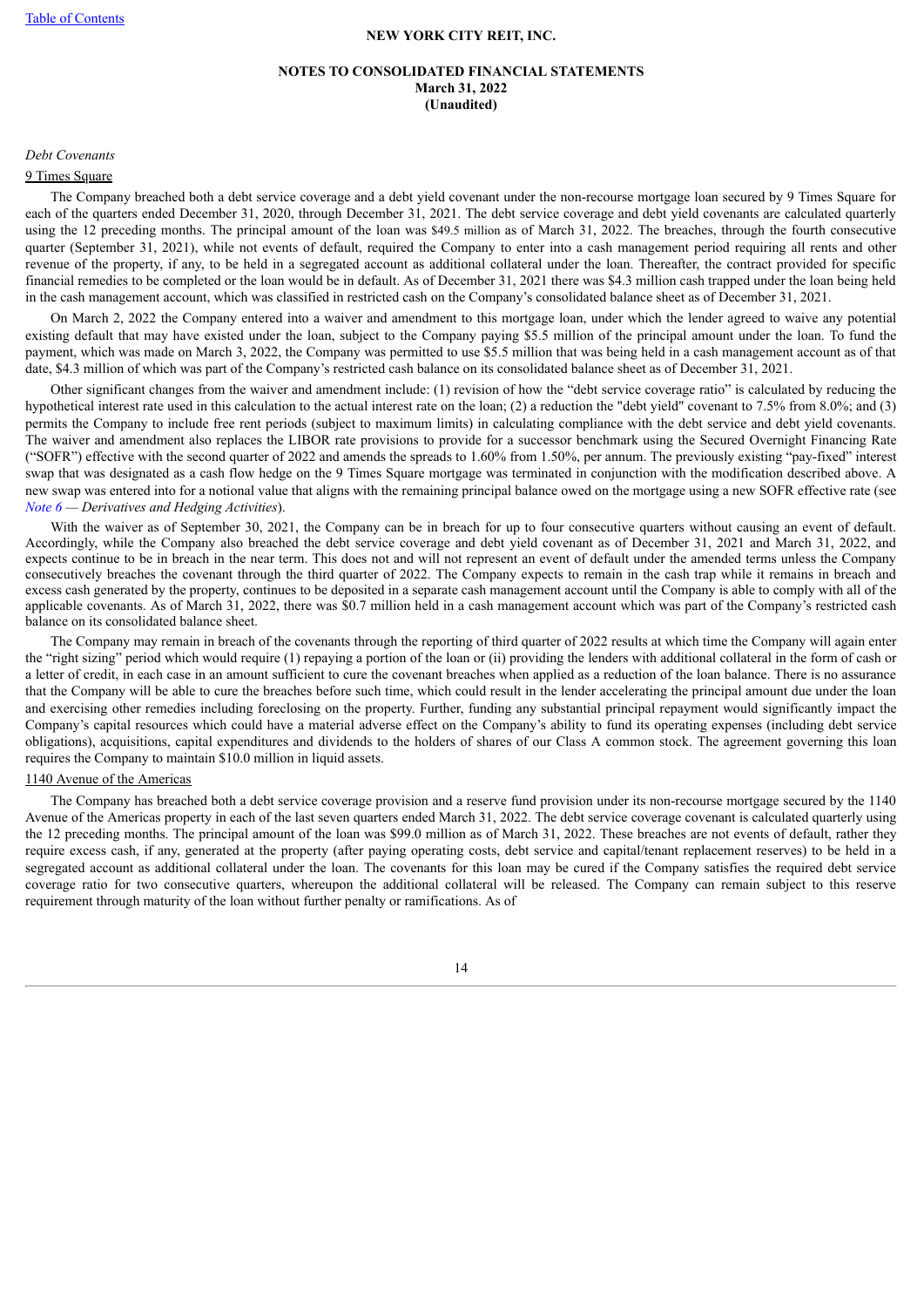### **NOTES TO CONSOLIDATED FINANCIAL STATEMENTS March 31, 2022 (Unaudited)**

#### *Debt Covenants*

# 9 Times Square

The Company breached both a debt service coverage and a debt yield covenant under the non-recourse mortgage loan secured by 9 Times Square for each of the quarters ended December 31, 2020, through December 31, 2021. The debt service coverage and debt yield covenants are calculated quarterly using the 12 preceding months. The principal amount of the loan was \$49.5 million as of March 31, 2022. The breaches, through the fourth consecutive quarter (September 31, 2021), while not events of default, required the Company to enter into a cash management period requiring all rents and other revenue of the property, if any, to be held in a segregated account as additional collateral under the loan. Thereafter, the contract provided for specific financial remedies to be completed or the loan would be in default. As of December 31, 2021 there was \$4.3 million cash trapped under the loan being held in the cash management account, which was classified in restricted cash on the Company's consolidated balance sheet as of December 31, 2021.

On March 2, 2022 the Company entered into a waiver and amendment to this mortgage loan, under which the lender agreed to waive any potential existing default that may have existed under the loan, subject to the Company paying \$5.5 million of the principal amount under the loan. To fund the payment, which was made on March 3, 2022, the Company was permitted to use \$5.5 million that was being held in a cash management account as of that date, \$4.3 million of which was part of the Company's restricted cash balance on its consolidated balance sheet as of December 31, 2021.

Other significant changes from the waiver and amendment include: (1) revision of how the "debt service coverage ratio" is calculated by reducing the hypothetical interest rate used in this calculation to the actual interest rate on the loan; (2) a reduction the "debt yield" covenant to 7.5% from 8.0%; and (3) permits the Company to include free rent periods (subject to maximum limits) in calculating compliance with the debt service and debt yield covenants. The waiver and amendment also replaces the LIBOR rate provisions to provide for a successor benchmark using the Secured Overnight Financing Rate ("SOFR") effective with the second quarter of 2022 and amends the spreads to 1.60% from 1.50%, per annum. The previously existing "pay-fixed" interest swap that was designated as a cash flow hedge on the 9 Times Square mortgage was terminated in conjunction with the modification described above. A new swap was entered into for a notional value that aligns with the remaining principal balance owed on the mortgage using a new SOFR effective rate (see *[Note](#page-17-0) [6](#page-17-0) — Derivatives and Hedging Activities*).

With the waiver as of September 30, 2021, the Company can be in breach for up to four consecutive quarters without causing an event of default. Accordingly, while the Company also breached the debt service coverage and debt yield covenant as of December 31, 2021 and March 31, 2022, and expects continue to be in breach in the near term. This does not and will not represent an event of default under the amended terms unless the Company consecutively breaches the covenant through the third quarter of 2022. The Company expects to remain in the cash trap while it remains in breach and excess cash generated by the property, continues to be deposited in a separate cash management account until the Company is able to comply with all of the applicable covenants. As of March 31, 2022, there was \$0.7 million held in a cash management account which was part of the Company's restricted cash balance on its consolidated balance sheet.

The Company may remain in breach of the covenants through the reporting of third quarter of 2022 results at which time the Company will again enter the "right sizing" period which would require (1) repaying a portion of the loan or (ii) providing the lenders with additional collateral in the form of cash or a letter of credit, in each case in an amount sufficient to cure the covenant breaches when applied as a reduction of the loan balance. There is no assurance that the Company will be able to cure the breaches before such time, which could result in the lender accelerating the principal amount due under the loan and exercising other remedies including foreclosing on the property. Further, funding any substantial principal repayment would significantly impact the Company's capital resources which could have a material adverse effect on the Company's ability to fund its operating expenses (including debt service obligations), acquisitions, capital expenditures and dividends to the holders of shares of our Class A common stock. The agreement governing this loan requires the Company to maintain \$10.0 million in liquid assets.

### 1140 Avenue of the Americas

The Company has breached both a debt service coverage provision and a reserve fund provision under its non-recourse mortgage secured by the 1140 Avenue of the Americas property in each of the last seven quarters ended March 31, 2022. The debt service coverage covenant is calculated quarterly using the 12 preceding months. The principal amount of the loan was \$99.0 million as of March 31, 2022. These breaches are not events of default, rather they require excess cash, if any, generated at the property (after paying operating costs, debt service and capital/tenant replacement reserves) to be held in a segregated account as additional collateral under the loan. The covenants for this loan may be cured if the Company satisfies the required debt service coverage ratio for two consecutive quarters, whereupon the additional collateral will be released. The Company can remain subject to this reserve requirement through maturity of the loan without further penalty or ramifications. As of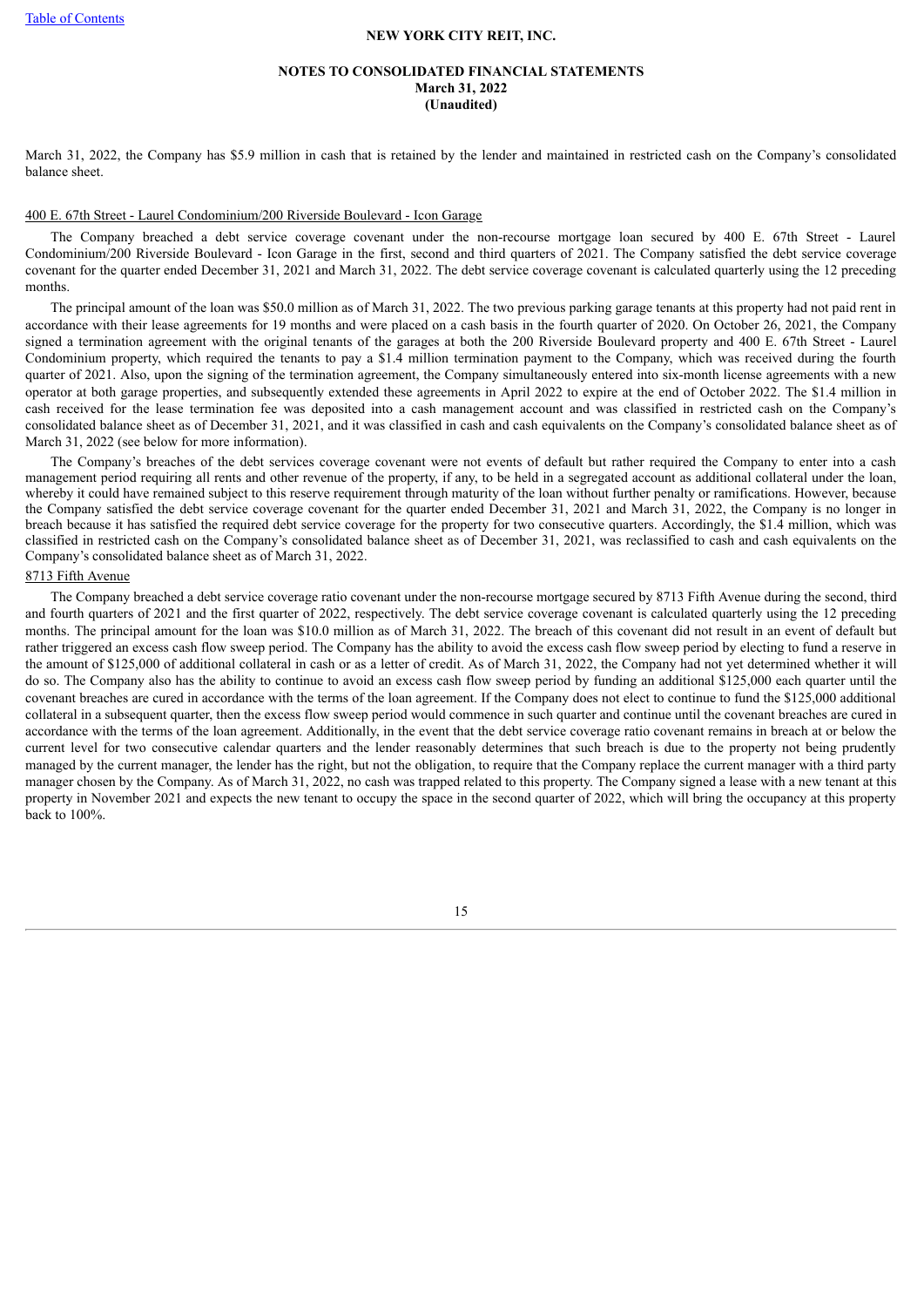### **NOTES TO CONSOLIDATED FINANCIAL STATEMENTS March 31, 2022 (Unaudited)**

March 31, 2022, the Company has \$5.9 million in cash that is retained by the lender and maintained in restricted cash on the Company's consolidated balance sheet.

#### 400 E. 67th Street - Laurel Condominium/200 Riverside Boulevard - Icon Garage

The Company breached a debt service coverage covenant under the non-recourse mortgage loan secured by 400 E. 67th Street - Laurel Condominium/200 Riverside Boulevard - Icon Garage in the first, second and third quarters of 2021. The Company satisfied the debt service coverage covenant for the quarter ended December 31, 2021 and March 31, 2022. The debt service coverage covenant is calculated quarterly using the 12 preceding months.

The principal amount of the loan was \$50.0 million as of March 31, 2022. The two previous parking garage tenants at this property had not paid rent in accordance with their lease agreements for 19 months and were placed on a cash basis in the fourth quarter of 2020. On October 26, 2021, the Company signed a termination agreement with the original tenants of the garages at both the 200 Riverside Boulevard property and 400 E. 67th Street - Laurel Condominium property, which required the tenants to pay a \$1.4 million termination payment to the Company, which was received during the fourth quarter of 2021. Also, upon the signing of the termination agreement, the Company simultaneously entered into six-month license agreements with a new operator at both garage properties, and subsequently extended these agreements in April 2022 to expire at the end of October 2022. The \$1.4 million in cash received for the lease termination fee was deposited into a cash management account and was classified in restricted cash on the Company's consolidated balance sheet as of December 31, 2021, and it was classified in cash and cash equivalents on the Company's consolidated balance sheet as of March 31, 2022 (see below for more information).

The Company's breaches of the debt services coverage covenant were not events of default but rather required the Company to enter into a cash management period requiring all rents and other revenue of the property, if any, to be held in a segregated account as additional collateral under the loan, whereby it could have remained subject to this reserve requirement through maturity of the loan without further penalty or ramifications. However, because the Company satisfied the debt service coverage covenant for the quarter ended December 31, 2021 and March 31, 2022, the Company is no longer in breach because it has satisfied the required debt service coverage for the property for two consecutive quarters. Accordingly, the \$1.4 million, which was classified in restricted cash on the Company's consolidated balance sheet as of December 31, 2021, was reclassified to cash and cash equivalents on the Company's consolidated balance sheet as of March 31, 2022.

# 8713 Fifth Avenue

The Company breached a debt service coverage ratio covenant under the non-recourse mortgage secured by 8713 Fifth Avenue during the second, third and fourth quarters of 2021 and the first quarter of 2022, respectively. The debt service coverage covenant is calculated quarterly using the 12 preceding months. The principal amount for the loan was \$10.0 million as of March 31, 2022. The breach of this covenant did not result in an event of default but rather triggered an excess cash flow sweep period. The Company has the ability to avoid the excess cash flow sweep period by electing to fund a reserve in the amount of \$125,000 of additional collateral in cash or as a letter of credit. As of March 31, 2022, the Company had not yet determined whether it will do so. The Company also has the ability to continue to avoid an excess cash flow sweep period by funding an additional \$125,000 each quarter until the covenant breaches are cured in accordance with the terms of the loan agreement. If the Company does not elect to continue to fund the \$125,000 additional collateral in a subsequent quarter, then the excess flow sweep period would commence in such quarter and continue until the covenant breaches are cured in accordance with the terms of the loan agreement. Additionally, in the event that the debt service coverage ratio covenant remains in breach at or below the current level for two consecutive calendar quarters and the lender reasonably determines that such breach is due to the property not being prudently managed by the current manager, the lender has the right, but not the obligation, to require that the Company replace the current manager with a third party manager chosen by the Company. As of March 31, 2022, no cash was trapped related to this property. The Company signed a lease with a new tenant at this property in November 2021 and expects the new tenant to occupy the space in the second quarter of 2022, which will bring the occupancy at this property back to 100%.

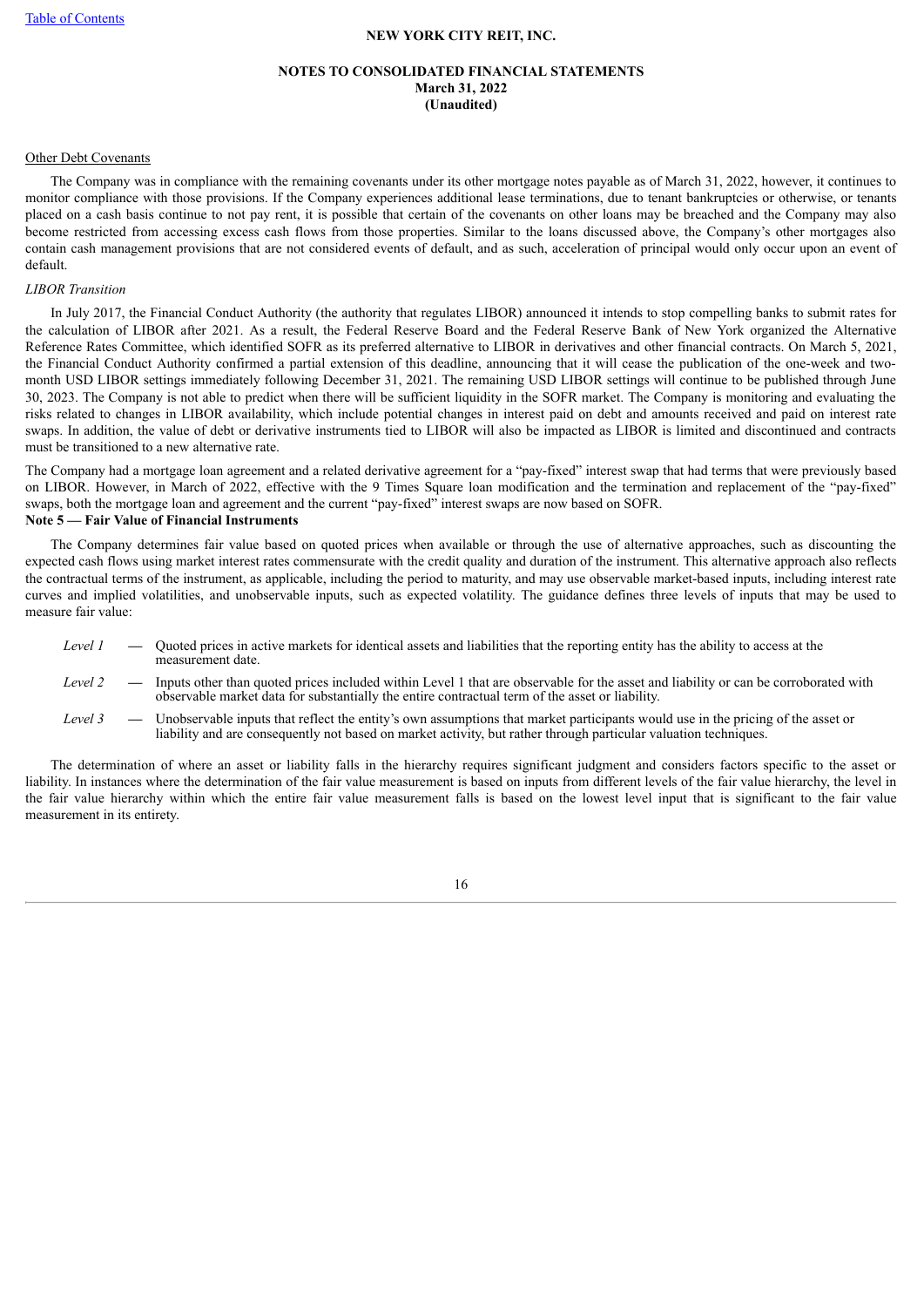### **NOTES TO CONSOLIDATED FINANCIAL STATEMENTS March 31, 2022 (Unaudited)**

#### Other Debt Covenants

The Company was in compliance with the remaining covenants under its other mortgage notes payable as of March 31, 2022, however, it continues to monitor compliance with those provisions. If the Company experiences additional lease terminations, due to tenant bankruptcies or otherwise, or tenants placed on a cash basis continue to not pay rent, it is possible that certain of the covenants on other loans may be breached and the Company may also become restricted from accessing excess cash flows from those properties. Similar to the loans discussed above, the Company's other mortgages also contain cash management provisions that are not considered events of default, and as such, acceleration of principal would only occur upon an event of default.

### *LIBOR Transition*

In July 2017, the Financial Conduct Authority (the authority that regulates LIBOR) announced it intends to stop compelling banks to submit rates for the calculation of LIBOR after 2021. As a result, the Federal Reserve Board and the Federal Reserve Bank of New York organized the Alternative Reference Rates Committee, which identified SOFR as its preferred alternative to LIBOR in derivatives and other financial contracts. On March 5, 2021, the Financial Conduct Authority confirmed a partial extension of this deadline, announcing that it will cease the publication of the one-week and twomonth USD LIBOR settings immediately following December 31, 2021. The remaining USD LIBOR settings will continue to be published through June 30, 2023. The Company is not able to predict when there will be sufficient liquidity in the SOFR market. The Company is monitoring and evaluating the risks related to changes in LIBOR availability, which include potential changes in interest paid on debt and amounts received and paid on interest rate swaps. In addition, the value of debt or derivative instruments tied to LIBOR will also be impacted as LIBOR is limited and discontinued and contracts must be transitioned to a new alternative rate.

The Company had a mortgage loan agreement and a related derivative agreement for a "pay-fixed" interest swap that had terms that were previously based on LIBOR. However, in March of 2022, effective with the 9 Times Square loan modification and the termination and replacement of the "pay-fixed" swaps, both the mortgage loan and agreement and the current "pay-fixed" interest swaps are now based on SOFR. **Note 5 — Fair Value of Financial Instruments**

The Company determines fair value based on quoted prices when available or through the use of alternative approaches, such as discounting the expected cash flows using market interest rates commensurate with the credit quality and duration of the instrument. This alternative approach also reflects the contractual terms of the instrument, as applicable, including the period to maturity, and may use observable market-based inputs, including interest rate curves and implied volatilities, and unobservable inputs, such as expected volatility. The guidance defines three levels of inputs that may be used to measure fair value:

- *Level 1* Quoted prices in active markets for identical assets and liabilities that the reporting entity has the ability to access at the measurement date.
- *Level* 2 Inputs other than quoted prices included within Level 1 that are observable for the asset and liability or can be corroborated with observable market data for substantially the entire contractual term of the asset or liability.
- *Level* 3 Unobservable inputs that reflect the entity's own assumptions that market participants would use in the pricing of the asset or liability and are consequently not based on market activity, but rather through particular valuation techniques.

The determination of where an asset or liability falls in the hierarchy requires significant judgment and considers factors specific to the asset or liability. In instances where the determination of the fair value measurement is based on inputs from different levels of the fair value hierarchy, the level in the fair value hierarchy within which the entire fair value measurement falls is based on the lowest level input that is significant to the fair value measurement in its entirety.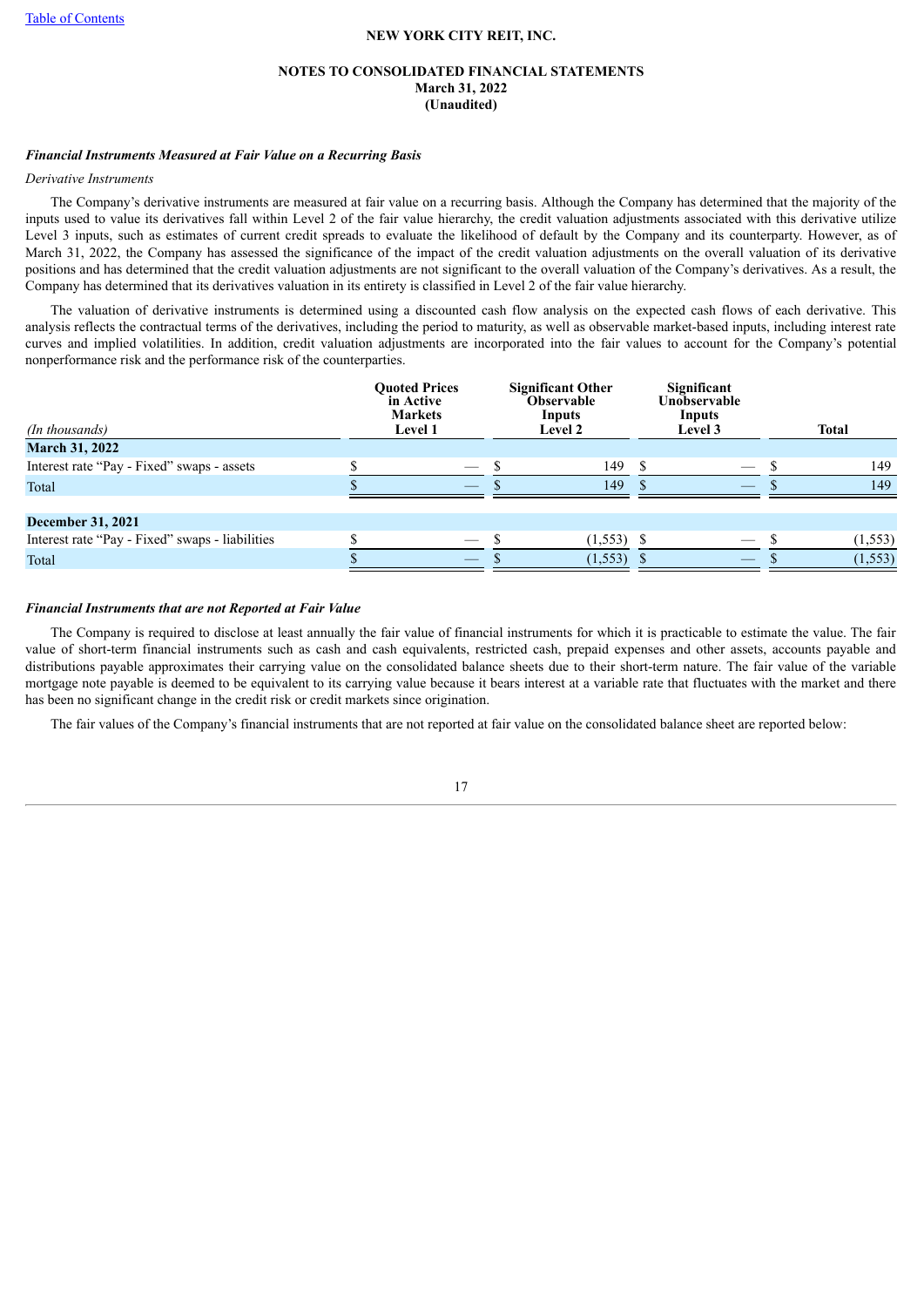### **NOTES TO CONSOLIDATED FINANCIAL STATEMENTS March 31, 2022 (Unaudited)**

### *Financial Instruments Measured at Fair Value on a Recurring Basis*

#### *Derivative Instruments*

The Company's derivative instruments are measured at fair value on a recurring basis. Although the Company has determined that the majority of the inputs used to value its derivatives fall within Level 2 of the fair value hierarchy, the credit valuation adjustments associated with this derivative utilize Level 3 inputs, such as estimates of current credit spreads to evaluate the likelihood of default by the Company and its counterparty. However, as of March 31, 2022, the Company has assessed the significance of the impact of the credit valuation adjustments on the overall valuation of its derivative positions and has determined that the credit valuation adjustments are not significant to the overall valuation of the Company's derivatives. As a result, the Company has determined that its derivatives valuation in its entirety is classified in Level 2 of the fair value hierarchy.

The valuation of derivative instruments is determined using a discounted cash flow analysis on the expected cash flows of each derivative. This analysis reflects the contractual terms of the derivatives, including the period to maturity, as well as observable market-based inputs, including interest rate curves and implied volatilities. In addition, credit valuation adjustments are incorporated into the fair values to account for the Company's potential nonperformance risk and the performance risk of the counterparties.

| (In thousands)                                  | <b>Ouoted Prices</b><br>in Active<br><b>Markets</b><br><b>Level 1</b> |                          |  | <b>Significant Other</b><br><b>Observable</b><br>Inputs<br><b>Level 2</b> | <b>Significant</b><br>Unobservable<br>Inputs<br>Level 3 |  |  | <b>Total</b> |
|-------------------------------------------------|-----------------------------------------------------------------------|--------------------------|--|---------------------------------------------------------------------------|---------------------------------------------------------|--|--|--------------|
| <b>March 31, 2022</b>                           |                                                                       |                          |  |                                                                           |                                                         |  |  |              |
| Interest rate "Pay - Fixed" swaps - assets      |                                                                       |                          |  | 149                                                                       |                                                         |  |  | 149          |
| Total                                           |                                                                       | $\overline{\phantom{0}}$ |  | 149                                                                       |                                                         |  |  | 149          |
|                                                 |                                                                       |                          |  |                                                                           |                                                         |  |  |              |
| <b>December 31, 2021</b>                        |                                                                       |                          |  |                                                                           |                                                         |  |  |              |
| Interest rate "Pay - Fixed" swaps - liabilities |                                                                       |                          |  | (1, 553)                                                                  |                                                         |  |  | (1, 553)     |
| Total                                           |                                                                       |                          |  | (1, 553)                                                                  |                                                         |  |  | (1, 553)     |

#### *Financial Instruments that are not Reported at Fair Value*

The Company is required to disclose at least annually the fair value of financial instruments for which it is practicable to estimate the value. The fair value of short-term financial instruments such as cash and cash equivalents, restricted cash, prepaid expenses and other assets, accounts payable and distributions payable approximates their carrying value on the consolidated balance sheets due to their short-term nature. The fair value of the variable mortgage note payable is deemed to be equivalent to its carrying value because it bears interest at a variable rate that fluctuates with the market and there has been no significant change in the credit risk or credit markets since origination.

The fair values of the Company's financial instruments that are not reported at fair value on the consolidated balance sheet are reported below: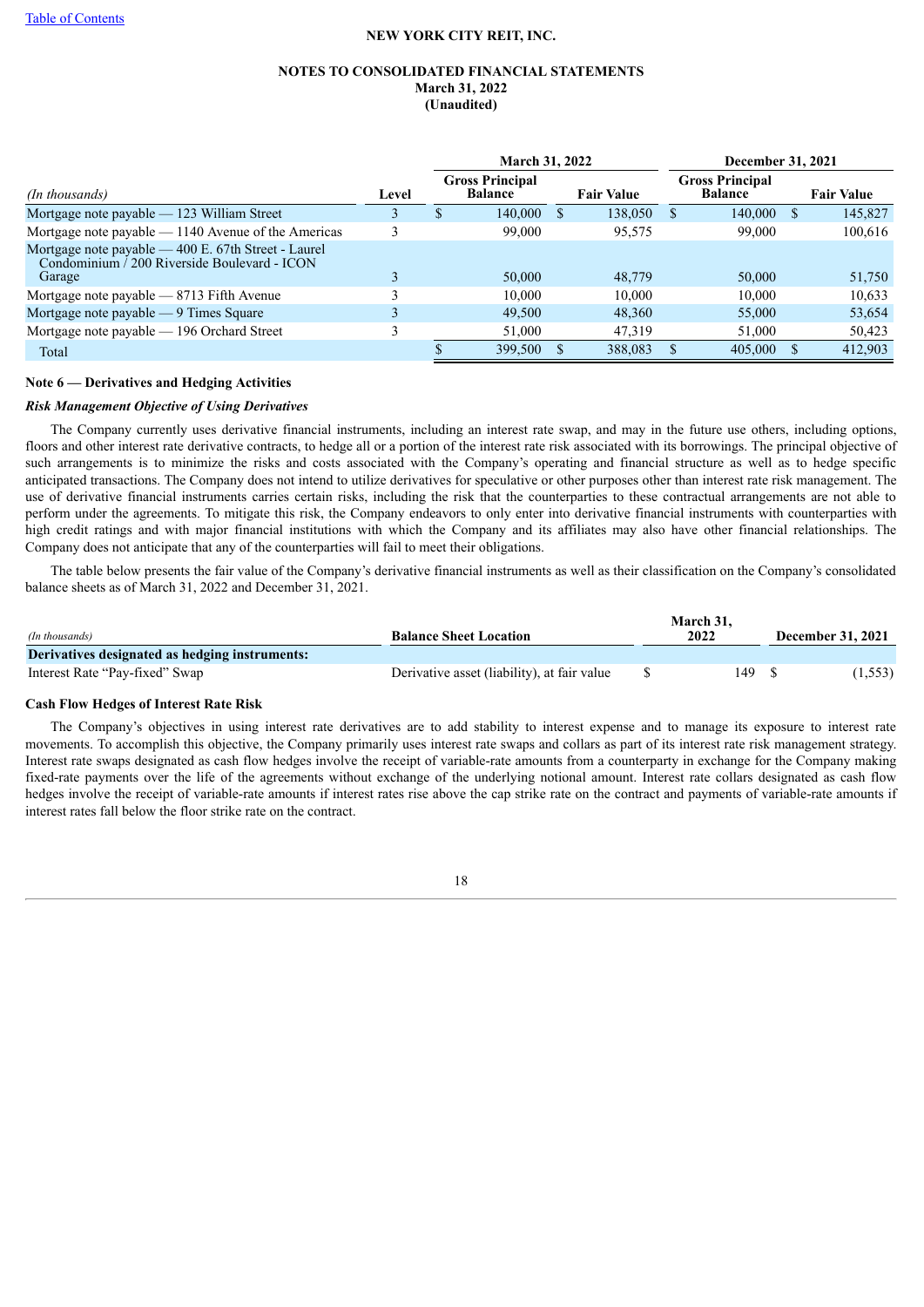# **NOTES TO CONSOLIDATED FINANCIAL STATEMENTS March 31, 2022**

#### **(Unaudited)**

|                                                                                                     |       | <b>March 31, 2022</b>                    |   |                   | December 31, 2021 |                                          |   |                   |
|-----------------------------------------------------------------------------------------------------|-------|------------------------------------------|---|-------------------|-------------------|------------------------------------------|---|-------------------|
| (In thousands)                                                                                      | Level | <b>Gross Principal</b><br><b>Balance</b> |   | <b>Fair Value</b> |                   | <b>Gross Principal</b><br><b>Balance</b> |   | <b>Fair Value</b> |
| Mortgage note payable - 123 William Street                                                          |       | 140,000                                  | S | 138,050           |                   | 140,000                                  | S | 145,827           |
| Mortgage note payable $-1140$ Avenue of the Americas                                                | 3     | 99,000                                   |   | 95,575            |                   | 99,000                                   |   | 100,616           |
| Mortgage note payable — 400 E. 67th Street - Laurel<br>Condominium / 200 Riverside Boulevard - ICON |       |                                          |   |                   |                   |                                          |   |                   |
| Garage                                                                                              |       | 50,000                                   |   | 48,779            |                   | 50,000                                   |   | 51,750            |
| Mortgage note payable $-8713$ Fifth Avenue                                                          |       | 10.000                                   |   | 10.000            |                   | 10.000                                   |   | 10,633            |
| Mortgage note payable $-9$ Times Square                                                             |       | 49,500                                   |   | 48,360            |                   | 55,000                                   |   | 53,654            |
| Mortgage note payable - 196 Orchard Street                                                          |       | 51,000                                   |   | 47,319            |                   | 51,000                                   |   | 50,423            |
| Total                                                                                               |       | 399,500                                  |   | 388,083           |                   | 405,000                                  |   | 412,903           |

# <span id="page-17-0"></span>**Note 6 — Derivatives and Hedging Activities**

### *Risk Management Objective of Using Derivatives*

The Company currently uses derivative financial instruments, including an interest rate swap, and may in the future use others, including options, floors and other interest rate derivative contracts, to hedge all or a portion of the interest rate risk associated with its borrowings. The principal objective of such arrangements is to minimize the risks and costs associated with the Company's operating and financial structure as well as to hedge specific anticipated transactions. The Company does not intend to utilize derivatives for speculative or other purposes other than interest rate risk management. The use of derivative financial instruments carries certain risks, including the risk that the counterparties to these contractual arrangements are not able to perform under the agreements. To mitigate this risk, the Company endeavors to only enter into derivative financial instruments with counterparties with high credit ratings and with major financial institutions with which the Company and its affiliates may also have other financial relationships. The Company does not anticipate that any of the counterparties will fail to meet their obligations.

The table below presents the fair value of the Company's derivative financial instruments as well as their classification on the Company's consolidated balance sheets as of March 31, 2022 and December 31, 2021.

| (In thousands)                                 | <b>Balance Sheet Location</b>               | March 31,<br>2022 |     | <b>December 31, 2021</b> |          |
|------------------------------------------------|---------------------------------------------|-------------------|-----|--------------------------|----------|
| Derivatives designated as hedging instruments: |                                             |                   |     |                          |          |
| Interest Rate "Pay-fixed" Swap                 | Derivative asset (liability), at fair value |                   | 149 |                          | (1, 553) |

#### **Cash Flow Hedges of Interest Rate Risk**

The Company's objectives in using interest rate derivatives are to add stability to interest expense and to manage its exposure to interest rate movements. To accomplish this objective, the Company primarily uses interest rate swaps and collars as part of its interest rate risk management strategy. Interest rate swaps designated as cash flow hedges involve the receipt of variable-rate amounts from a counterparty in exchange for the Company making fixed-rate payments over the life of the agreements without exchange of the underlying notional amount. Interest rate collars designated as cash flow hedges involve the receipt of variable-rate amounts if interest rates rise above the cap strike rate on the contract and payments of variable-rate amounts if interest rates fall below the floor strike rate on the contract.

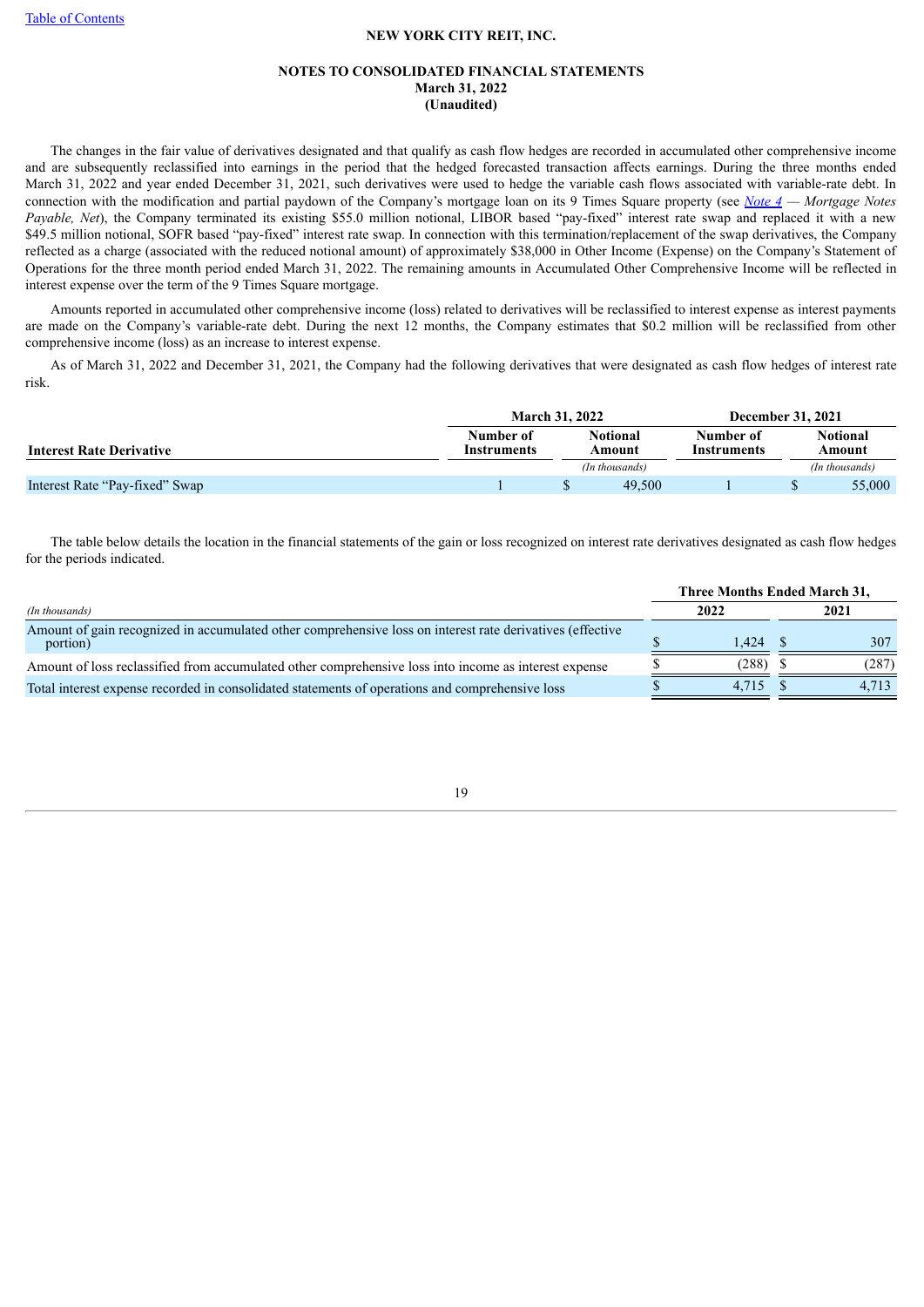### **NOTES TO CONSOLIDATED FINANCIAL STATEMENTS March 31, 2022 (Unaudited)**

The changes in the fair value of derivatives designated and that qualify as cash flow hedges are recorded in accumulated other comprehensive income and are subsequently reclassified into earnings in the period that the hedged forecasted transaction affects earnings. During the three months ended March 31, 2022 and year ended December 31, 2021, such derivatives were used to hedge the variable cash flows associated with variable-rate debt. In connection with the modification and partial paydown of the Company's mortgage loan on its 9 Times Square property (see *[Note](#page-11-0) 4 — Mortgage Notes Payable, Net*), the Company terminated its existing \$55.0 million notional, LIBOR based "pay-fixed" interest rate swap and replaced it with a new \$49.5 million notional, SOFR based "pay-fixed" interest rate swap. In connection with this termination/replacement of the swap derivatives, the Company reflected as a charge (associated with the reduced notional amount) of approximately \$38,000 in Other Income (Expense) on the Company's Statement of Operations for the three month period ended March 31, 2022. The remaining amounts in Accumulated Other Comprehensive Income will be reflected in interest expense over the term of the 9 Times Square mortgage.

Amounts reported in accumulated other comprehensive income (loss) related to derivatives will be reclassified to interest expense as interest payments are made on the Company's variable-rate debt. During the next 12 months, the Company estimates that \$0.2 million will be reclassified from other comprehensive income (loss) as an increase to interest expense.

As of March 31, 2022 and December 31, 2021, the Company had the following derivatives that were designated as cash flow hedges of interest rate risk.

|                                 | <b>March 31, 2022</b>    |                |                           | <b>December 31, 2021</b> |  |                           |  |  |
|---------------------------------|--------------------------|----------------|---------------------------|--------------------------|--|---------------------------|--|--|
| <b>Interest Rate Derivative</b> | Number of<br>Instruments |                | <b>Notional</b><br>Amount | Number of<br>Instruments |  | <b>Notional</b><br>Amount |  |  |
|                                 |                          | (In thousands) |                           |                          |  | (In thousands)            |  |  |
| Interest Rate "Pay-fixed" Swap  |                          |                | 49.500                    |                          |  | 55,000                    |  |  |

The table below details the location in the financial statements of the gain or loss recognized on interest rate derivatives designated as cash flow hedges for the periods indicated.

|                                                                                                                       | Three Months Ended March 31, |       |  |       |  |  |
|-----------------------------------------------------------------------------------------------------------------------|------------------------------|-------|--|-------|--|--|
| (In thousands)                                                                                                        |                              | 2022  |  | 2021  |  |  |
| Amount of gain recognized in accumulated other comprehensive loss on interest rate derivatives (effective<br>portion) |                              | 1.424 |  | 307   |  |  |
| Amount of loss reclassified from accumulated other comprehensive loss into income as interest expense                 |                              | (288) |  | (287) |  |  |
| Total interest expense recorded in consolidated statements of operations and comprehensive loss                       |                              | 4.715 |  | 4.713 |  |  |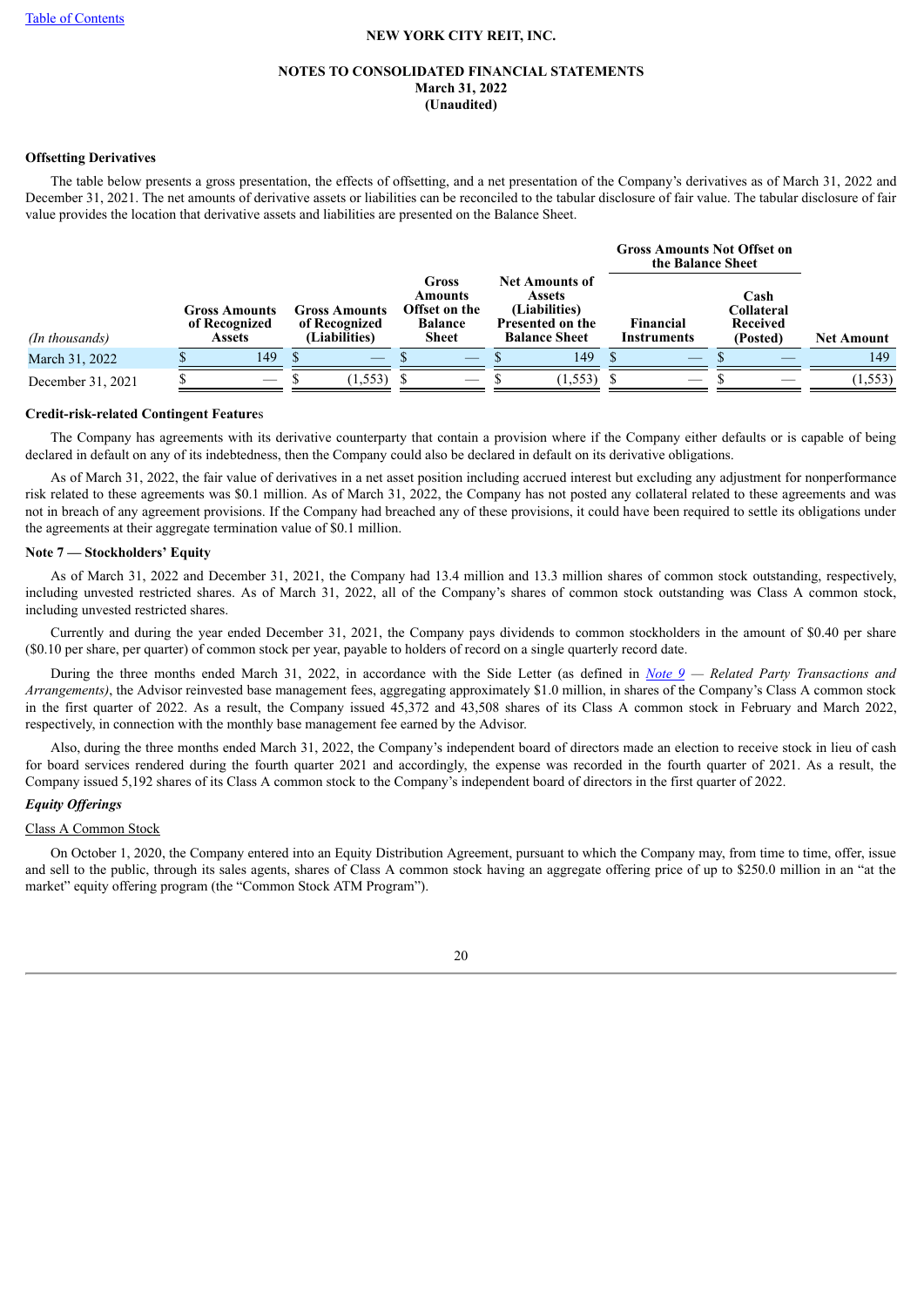### **NOTES TO CONSOLIDATED FINANCIAL STATEMENTS March 31, 2022 (Unaudited)**

### **Offsetting Derivatives**

The table below presents a gross presentation, the effects of offsetting, and a net presentation of the Company's derivatives as of March 31, 2022 and December 31, 2021. The net amounts of derivative assets or liabilities can be reconciled to the tabular disclosure of fair value. The tabular disclosure of fair value provides the location that derivative assets and liabilities are presented on the Balance Sheet.

|                   |                                                        |                                                        |                                                              |                                                                                                     | <b>Gross Amounts Not Offset on</b><br>the Balance Sheet |                                                   |                   |
|-------------------|--------------------------------------------------------|--------------------------------------------------------|--------------------------------------------------------------|-----------------------------------------------------------------------------------------------------|---------------------------------------------------------|---------------------------------------------------|-------------------|
| (In thousands)    | <b>Gross Amounts</b><br>of Recognized<br><b>Assets</b> | <b>Gross Amounts</b><br>of Recognized<br>(Liabilities) | Gross<br>Amounts<br>Offset on the<br><b>Balance</b><br>Sheet | <b>Net Amounts of</b><br><b>Assets</b><br>(Liabilities)<br>Presented on the<br><b>Balance Sheet</b> | Financial<br>Instruments                                | Cash<br>Collateral<br><b>Received</b><br>(Posted) | <b>Net Amount</b> |
| March 31, 2022    | 149                                                    |                                                        | $\hspace{0.1mm}-\hspace{0.1mm}$                              | 149                                                                                                 |                                                         |                                                   | 149               |
| December 31, 2021 | $\hspace{0.1mm}-\hspace{0.1mm}$                        | (1, 553)                                               | $\hspace{0.05cm}$                                            | (1, 553)                                                                                            |                                                         |                                                   | (1, 553)          |
|                   |                                                        |                                                        |                                                              |                                                                                                     |                                                         |                                                   |                   |

#### **Credit-risk-related Contingent Feature**s

The Company has agreements with its derivative counterparty that contain a provision where if the Company either defaults or is capable of being declared in default on any of its indebtedness, then the Company could also be declared in default on its derivative obligations.

As of March 31, 2022, the fair value of derivatives in a net asset position including accrued interest but excluding any adjustment for nonperformance risk related to these agreements was \$0.1 million. As of March 31, 2022, the Company has not posted any collateral related to these agreements and was not in breach of any agreement provisions. If the Company had breached any of these provisions, it could have been required to settle its obligations under the agreements at their aggregate termination value of \$0.1 million.

### <span id="page-19-0"></span>**Note 7 — Stockholders' Equity**

As of March 31, 2022 and December 31, 2021, the Company had 13.4 million and 13.3 million shares of common stock outstanding, respectively, including unvested restricted shares. As of March 31, 2022, all of the Company's shares of common stock outstanding was Class A common stock, including unvested restricted shares.

Currently and during the year ended December 31, 2021, the Company pays dividends to common stockholders in the amount of \$0.40 per share (\$0.10 per share, per quarter) of common stock per year, payable to holders of record on a single quarterly record date.

During the three months ended March 31, 2022, in accordance with the Side Letter (as defined in *[Note](#page-21-0) 9 — Related Party Transactions and Arrangements*), the Advisor reinvested base management fees, aggregating approximately \$1.0 million, in shares of the Company's Class A common stock in the first quarter of 2022. As a result, the Company issued 45,372 and 43,508 shares of its Class A common stock in February and March 2022, respectively, in connection with the monthly base management fee earned by the Advisor.

Also, during the three months ended March 31, 2022, the Company's independent board of directors made an election to receive stock in lieu of cash for board services rendered during the fourth quarter 2021 and accordingly, the expense was recorded in the fourth quarter of 2021. As a result, the Company issued 5,192 shares of its Class A common stock to the Company's independent board of directors in the first quarter of 2022.

# *Equity Of erings*

#### Class A Common Stock

On October 1, 2020, the Company entered into an Equity Distribution Agreement, pursuant to which the Company may, from time to time, offer, issue and sell to the public, through its sales agents, shares of Class A common stock having an aggregate offering price of up to \$250.0 million in an "at the market" equity offering program (the "Common Stock ATM Program").

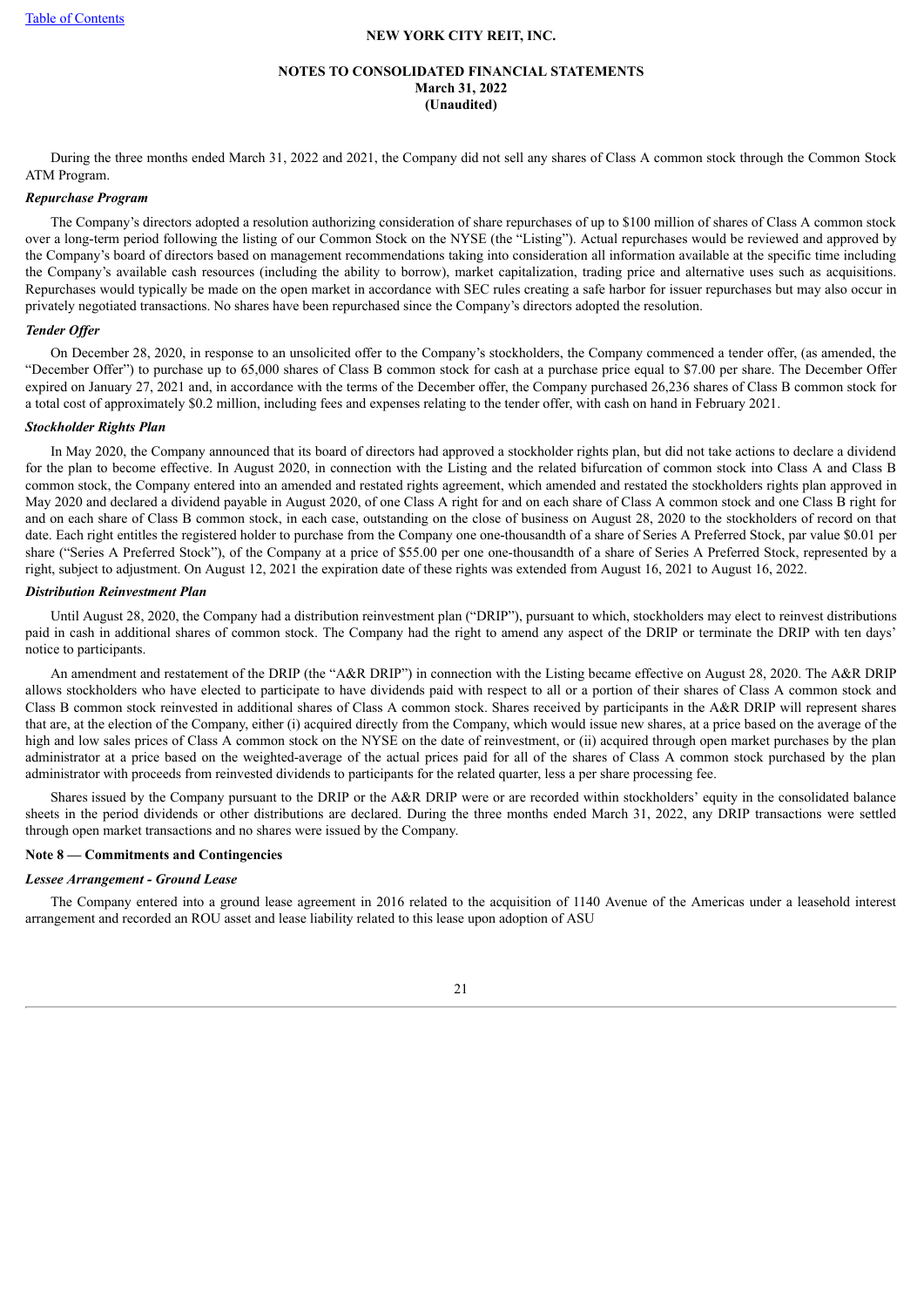### **NOTES TO CONSOLIDATED FINANCIAL STATEMENTS March 31, 2022 (Unaudited)**

During the three months ended March 31, 2022 and 2021, the Company did not sell any shares of Class A common stock through the Common Stock ATM Program.

## *Repurchase Program*

The Company's directors adopted a resolution authorizing consideration of share repurchases of up to \$100 million of shares of Class A common stock over a long-term period following the listing of our Common Stock on the NYSE (the "Listing"). Actual repurchases would be reviewed and approved by the Company's board of directors based on management recommendations taking into consideration all information available at the specific time including the Company's available cash resources (including the ability to borrow), market capitalization, trading price and alternative uses such as acquisitions. Repurchases would typically be made on the open market in accordance with SEC rules creating a safe harbor for issuer repurchases but may also occur in privately negotiated transactions. No shares have been repurchased since the Company's directors adopted the resolution.

# *Tender Offer*

On December 28, 2020, in response to an unsolicited offer to the Company's stockholders, the Company commenced a tender offer, (as amended, the "December Offer") to purchase up to 65,000 shares of Class B common stock for cash at a purchase price equal to \$7.00 per share. The December Offer expired on January 27, 2021 and, in accordance with the terms of the December offer, the Company purchased 26,236 shares of Class B common stock for a total cost of approximately \$0.2 million, including fees and expenses relating to the tender offer, with cash on hand in February 2021.

## *Stockholder Rights Plan*

In May 2020, the Company announced that its board of directors had approved a stockholder rights plan, but did not take actions to declare a dividend for the plan to become effective. In August 2020, in connection with the Listing and the related bifurcation of common stock into Class A and Class B common stock, the Company entered into an amended and restated rights agreement, which amended and restated the stockholders rights plan approved in May 2020 and declared a dividend payable in August 2020, of one Class A right for and on each share of Class A common stock and one Class B right for and on each share of Class B common stock, in each case, outstanding on the close of business on August 28, 2020 to the stockholders of record on that date. Each right entitles the registered holder to purchase from the Company one one-thousandth of a share of Series A Preferred Stock, par value \$0.01 per share ("Series A Preferred Stock"), of the Company at a price of \$55.00 per one one-thousandth of a share of Series A Preferred Stock, represented by a right, subject to adjustment. On August 12, 2021 the expiration date of these rights was extended from August 16, 2021 to August 16, 2022.

#### *Distribution Reinvestment Plan*

Until August 28, 2020, the Company had a distribution reinvestment plan ("DRIP"), pursuant to which, stockholders may elect to reinvest distributions paid in cash in additional shares of common stock. The Company had the right to amend any aspect of the DRIP or terminate the DRIP with ten days' notice to participants.

An amendment and restatement of the DRIP (the "A&R DRIP") in connection with the Listing became effective on August 28, 2020. The A&R DRIP allows stockholders who have elected to participate to have dividends paid with respect to all or a portion of their shares of Class A common stock and Class B common stock reinvested in additional shares of Class A common stock. Shares received by participants in the A&R DRIP will represent shares that are, at the election of the Company, either (i) acquired directly from the Company, which would issue new shares, at a price based on the average of the high and low sales prices of Class A common stock on the NYSE on the date of reinvestment, or (ii) acquired through open market purchases by the plan administrator at a price based on the weighted-average of the actual prices paid for all of the shares of Class A common stock purchased by the plan administrator with proceeds from reinvested dividends to participants for the related quarter, less a per share processing fee.

Shares issued by the Company pursuant to the DRIP or the A&R DRIP were or are recorded within stockholders' equity in the consolidated balance sheets in the period dividends or other distributions are declared. During the three months ended March 31, 2022, any DRIP transactions were settled through open market transactions and no shares were issued by the Company.

#### <span id="page-20-0"></span>**Note 8 — Commitments and Contingencies**

#### *Lessee Arrangement - Ground Lease*

The Company entered into a ground lease agreement in 2016 related to the acquisition of 1140 Avenue of the Americas under a leasehold interest arrangement and recorded an ROU asset and lease liability related to this lease upon adoption of ASU

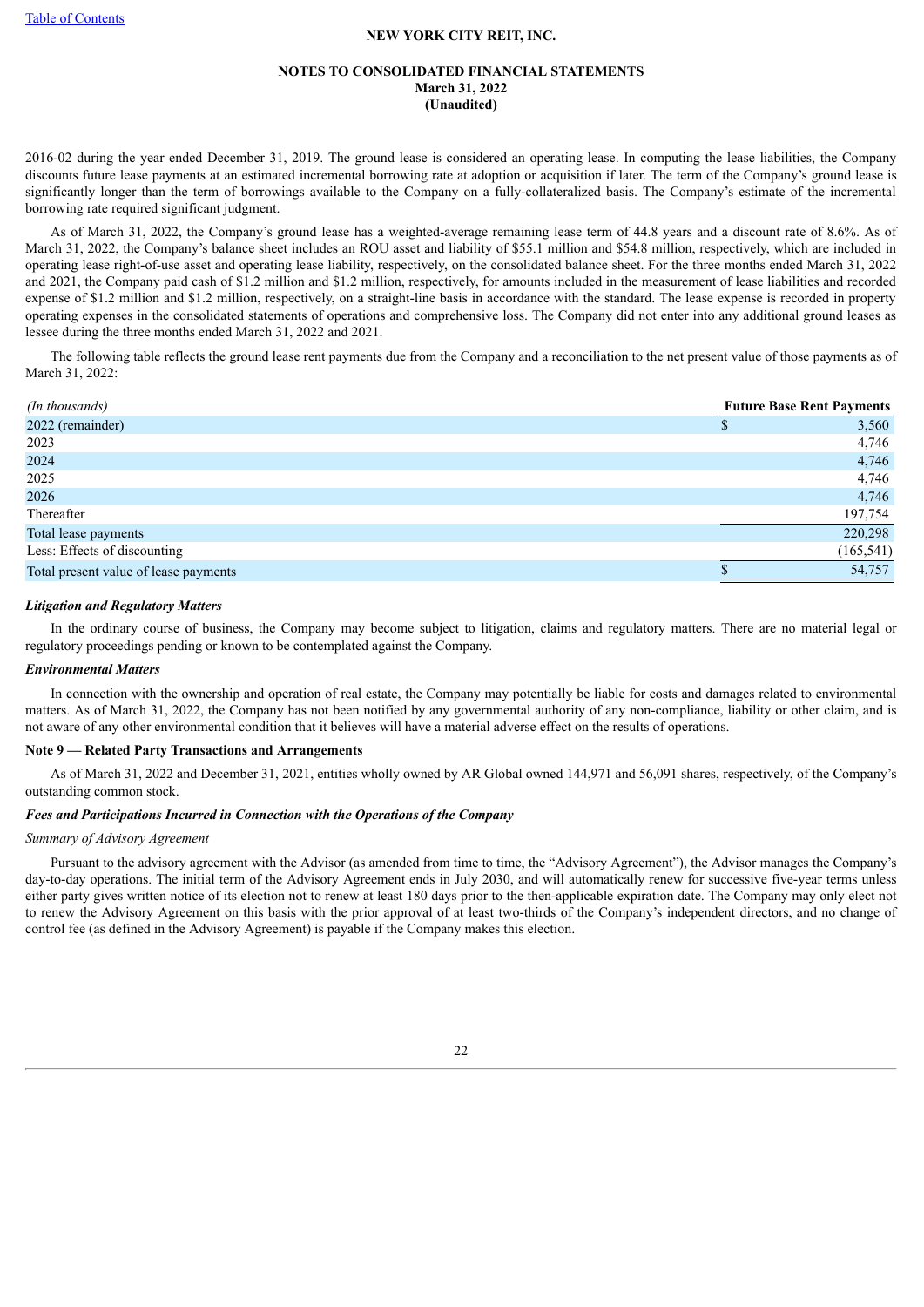### **NOTES TO CONSOLIDATED FINANCIAL STATEMENTS March 31, 2022 (Unaudited)**

2016-02 during the year ended December 31, 2019. The ground lease is considered an operating lease. In computing the lease liabilities, the Company discounts future lease payments at an estimated incremental borrowing rate at adoption or acquisition if later. The term of the Company's ground lease is significantly longer than the term of borrowings available to the Company on a fully-collateralized basis. The Company's estimate of the incremental borrowing rate required significant judgment.

As of March 31, 2022, the Company's ground lease has a weighted-average remaining lease term of 44.8 years and a discount rate of 8.6%. As of March 31, 2022, the Company's balance sheet includes an ROU asset and liability of \$55.1 million and \$54.8 million, respectively, which are included in operating lease right-of-use asset and operating lease liability, respectively, on the consolidated balance sheet. For the three months ended March 31, 2022 and 2021, the Company paid cash of \$1.2 million and \$1.2 million, respectively, for amounts included in the measurement of lease liabilities and recorded expense of \$1.2 million and \$1.2 million, respectively, on a straight-line basis in accordance with the standard. The lease expense is recorded in property operating expenses in the consolidated statements of operations and comprehensive loss. The Company did not enter into any additional ground leases as lessee during the three months ended March 31, 2022 and 2021.

The following table reflects the ground lease rent payments due from the Company and a reconciliation to the net present value of those payments as of March 31, 2022:

| (In thousands)                        | <b>Future Base Rent Payments</b> |            |
|---------------------------------------|----------------------------------|------------|
| 2022 (remainder)                      |                                  | 3,560      |
| 2023                                  |                                  | 4,746      |
| 2024                                  |                                  | 4,746      |
| 2025                                  |                                  | 4,746      |
| 2026                                  |                                  | 4,746      |
| Thereafter                            |                                  | 197,754    |
| Total lease payments                  |                                  | 220,298    |
| Less: Effects of discounting          |                                  | (165, 541) |
| Total present value of lease payments |                                  | 54,757     |

#### *Litigation and Regulatory Matters*

In the ordinary course of business, the Company may become subject to litigation, claims and regulatory matters. There are no material legal or regulatory proceedings pending or known to be contemplated against the Company.

#### *Environmental Matters*

In connection with the ownership and operation of real estate, the Company may potentially be liable for costs and damages related to environmental matters. As of March 31, 2022, the Company has not been notified by any governmental authority of any non-compliance, liability or other claim, and is not aware of any other environmental condition that it believes will have a material adverse effect on the results of operations.

#### <span id="page-21-0"></span>**Note 9 — Related Party Transactions and Arrangements**

As of March 31, 2022 and December 31, 2021, entities wholly owned by AR Global owned 144,971 and 56,091 shares, respectively, of the Company's outstanding common stock.

### *Fees and Participations Incurred in Connection with the Operations of the Company*

## *Summary of Advisory Agreement*

Pursuant to the advisory agreement with the Advisor (as amended from time to time, the "Advisory Agreement"), the Advisor manages the Company's day-to-day operations. The initial term of the Advisory Agreement ends in July 2030, and will automatically renew for successive five-year terms unless either party gives written notice of its election not to renew at least 180 days prior to the then-applicable expiration date. The Company may only elect not to renew the Advisory Agreement on this basis with the prior approval of at least two-thirds of the Company's independent directors, and no change of control fee (as defined in the Advisory Agreement) is payable if the Company makes this election.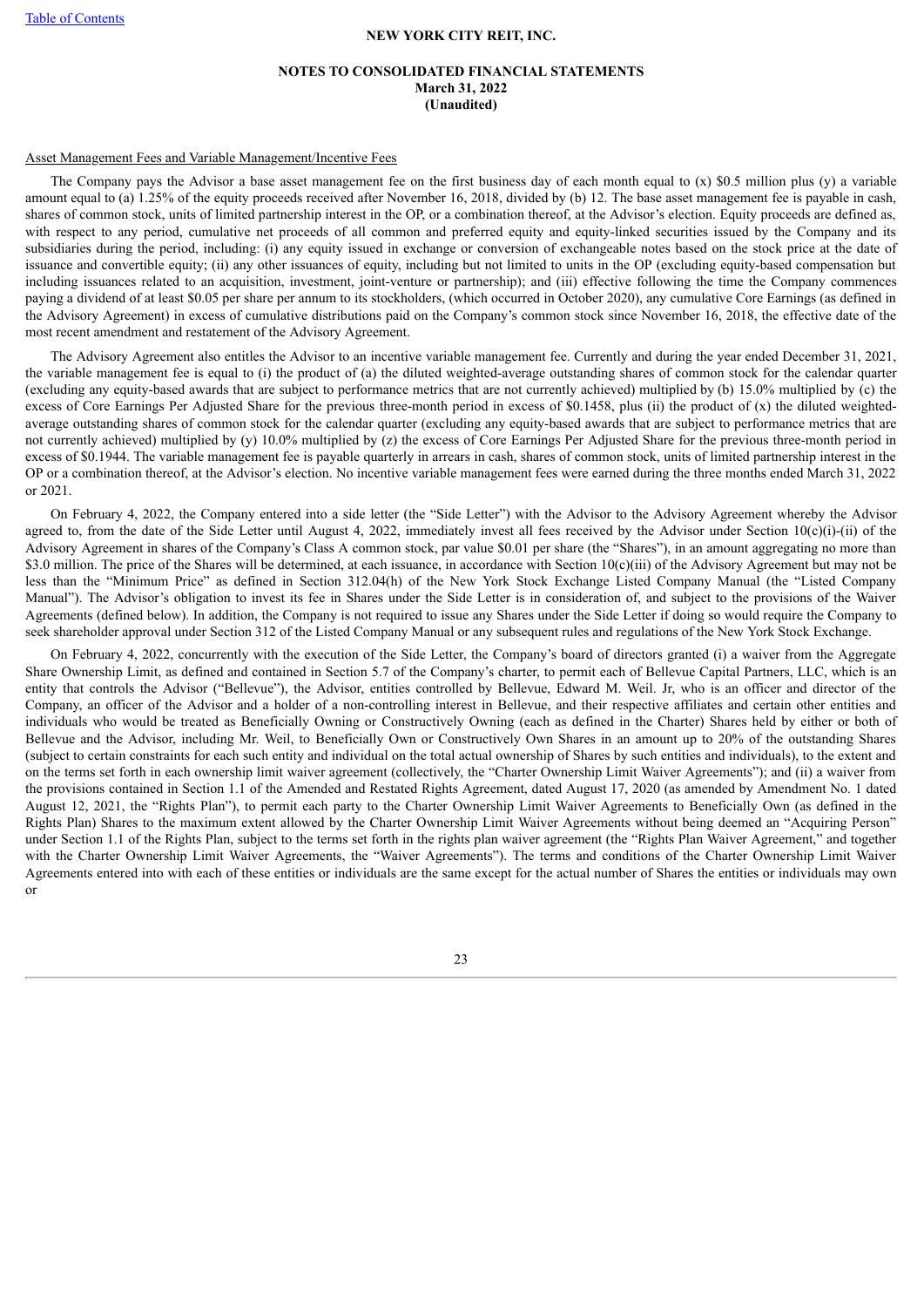### **NOTES TO CONSOLIDATED FINANCIAL STATEMENTS March 31, 2022 (Unaudited)**

#### Asset Management Fees and Variable Management/Incentive Fees

The Company pays the Advisor a base asset management fee on the first business day of each month equal to  $(x)$  \$0.5 million plus  $(y)$  a variable amount equal to (a) 1.25% of the equity proceeds received after November 16, 2018, divided by (b) 12. The base asset management fee is payable in cash, shares of common stock, units of limited partnership interest in the OP, or a combination thereof, at the Advisor's election. Equity proceeds are defined as, with respect to any period, cumulative net proceeds of all common and preferred equity and equity-linked securities issued by the Company and its subsidiaries during the period, including: (i) any equity issued in exchange or conversion of exchangeable notes based on the stock price at the date of issuance and convertible equity; (ii) any other issuances of equity, including but not limited to units in the OP (excluding equity-based compensation but including issuances related to an acquisition, investment, joint-venture or partnership); and (iii) effective following the time the Company commences paying a dividend of at least \$0.05 per share per annum to its stockholders, (which occurred in October 2020), any cumulative Core Earnings (as defined in the Advisory Agreement) in excess of cumulative distributions paid on the Company's common stock since November 16, 2018, the effective date of the most recent amendment and restatement of the Advisory Agreement.

The Advisory Agreement also entitles the Advisor to an incentive variable management fee. Currently and during the year ended December 31, 2021, the variable management fee is equal to (i) the product of (a) the diluted weighted-average outstanding shares of common stock for the calendar quarter (excluding any equity-based awards that are subject to performance metrics that are not currently achieved) multiplied by (b) 15.0% multiplied by (c) the excess of Core Earnings Per Adjusted Share for the previous three-month period in excess of \$0.1458, plus (ii) the product of (x) the diluted weightedaverage outstanding shares of common stock for the calendar quarter (excluding any equity-based awards that are subject to performance metrics that are not currently achieved) multiplied by (y) 10.0% multiplied by (z) the excess of Core Earnings Per Adjusted Share for the previous three-month period in excess of \$0.1944. The variable management fee is payable quarterly in arrears in cash, shares of common stock, units of limited partnership interest in the OP or a combination thereof, at the Advisor's election. No incentive variable management fees were earned during the three months ended March 31, 2022 or 2021.

On February 4, 2022, the Company entered into a side letter (the "Side Letter") with the Advisor to the Advisory Agreement whereby the Advisor agreed to, from the date of the Side Letter until August 4, 2022, immediately invest all fees received by the Advisor under Section  $10(c)(i)-(ii)$  of the Advisory Agreement in shares of the Company's Class A common stock, par value \$0.01 per share (the "Shares"), in an amount aggregating no more than \$3.0 million. The price of the Shares will be determined, at each issuance, in accordance with Section 10(c)(iii) of the Advisory Agreement but may not be less than the "Minimum Price" as defined in Section 312.04(h) of the New York Stock Exchange Listed Company Manual (the "Listed Company Manual"). The Advisor's obligation to invest its fee in Shares under the Side Letter is in consideration of, and subject to the provisions of the Waiver Agreements (defined below). In addition, the Company is not required to issue any Shares under the Side Letter if doing so would require the Company to seek shareholder approval under Section 312 of the Listed Company Manual or any subsequent rules and regulations of the New York Stock Exchange.

On February 4, 2022, concurrently with the execution of the Side Letter, the Company's board of directors granted (i) a waiver from the Aggregate Share Ownership Limit, as defined and contained in Section 5.7 of the Company's charter, to permit each of Bellevue Capital Partners, LLC, which is an entity that controls the Advisor ("Bellevue"), the Advisor, entities controlled by Bellevue, Edward M. Weil. Jr, who is an officer and director of the Company, an officer of the Advisor and a holder of a non-controlling interest in Bellevue, and their respective affiliates and certain other entities and individuals who would be treated as Beneficially Owning or Constructively Owning (each as defined in the Charter) Shares held by either or both of Bellevue and the Advisor, including Mr. Weil, to Beneficially Own or Constructively Own Shares in an amount up to 20% of the outstanding Shares (subject to certain constraints for each such entity and individual on the total actual ownership of Shares by such entities and individuals), to the extent and on the terms set forth in each ownership limit waiver agreement (collectively, the "Charter Ownership Limit Waiver Agreements"); and (ii) a waiver from the provisions contained in Section 1.1 of the Amended and Restated Rights Agreement, dated August 17, 2020 (as amended by Amendment No. 1 dated August 12, 2021, the "Rights Plan"), to permit each party to the Charter Ownership Limit Waiver Agreements to Beneficially Own (as defined in the Rights Plan) Shares to the maximum extent allowed by the Charter Ownership Limit Waiver Agreements without being deemed an "Acquiring Person" under Section 1.1 of the Rights Plan, subject to the terms set forth in the rights plan waiver agreement (the "Rights Plan Waiver Agreement," and together with the Charter Ownership Limit Waiver Agreements, the "Waiver Agreements"). The terms and conditions of the Charter Ownership Limit Waiver Agreements entered into with each of these entities or individuals are the same except for the actual number of Shares the entities or individuals may own or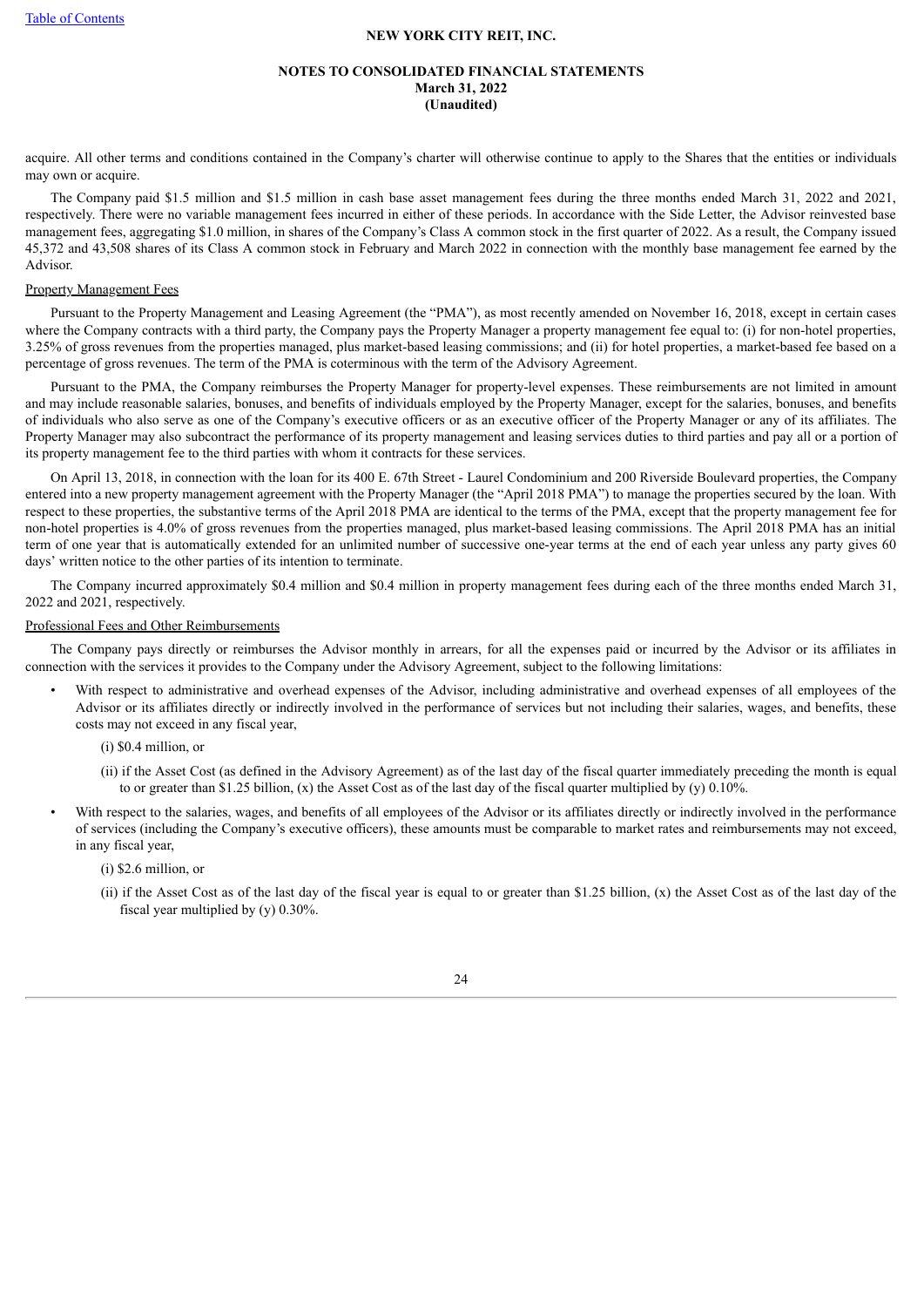### **NOTES TO CONSOLIDATED FINANCIAL STATEMENTS March 31, 2022 (Unaudited)**

acquire. All other terms and conditions contained in the Company's charter will otherwise continue to apply to the Shares that the entities or individuals may own or acquire.

The Company paid \$1.5 million and \$1.5 million in cash base asset management fees during the three months ended March 31, 2022 and 2021, respectively. There were no variable management fees incurred in either of these periods. In accordance with the Side Letter, the Advisor reinvested base management fees, aggregating \$1.0 million, in shares of the Company's Class A common stock in the first quarter of 2022. As a result, the Company issued 45,372 and 43,508 shares of its Class A common stock in February and March 2022 in connection with the monthly base management fee earned by the Advisor.

#### Property Management Fees

Pursuant to the Property Management and Leasing Agreement (the "PMA"), as most recently amended on November 16, 2018, except in certain cases where the Company contracts with a third party, the Company pays the Property Manager a property management fee equal to: (i) for non-hotel properties, 3.25% of gross revenues from the properties managed, plus market-based leasing commissions; and (ii) for hotel properties, a market-based fee based on a percentage of gross revenues. The term of the PMA is coterminous with the term of the Advisory Agreement.

Pursuant to the PMA, the Company reimburses the Property Manager for property-level expenses. These reimbursements are not limited in amount and may include reasonable salaries, bonuses, and benefits of individuals employed by the Property Manager, except for the salaries, bonuses, and benefits of individuals who also serve as one of the Company's executive officers or as an executive officer of the Property Manager or any of its affiliates. The Property Manager may also subcontract the performance of its property management and leasing services duties to third parties and pay all or a portion of its property management fee to the third parties with whom it contracts for these services.

On April 13, 2018, in connection with the loan for its 400 E. 67th Street - Laurel Condominium and 200 Riverside Boulevard properties, the Company entered into a new property management agreement with the Property Manager (the "April 2018 PMA") to manage the properties secured by the loan. With respect to these properties, the substantive terms of the April 2018 PMA are identical to the terms of the PMA, except that the property management fee for non-hotel properties is 4.0% of gross revenues from the properties managed, plus market-based leasing commissions. The April 2018 PMA has an initial term of one year that is automatically extended for an unlimited number of successive one-year terms at the end of each year unless any party gives 60 days' written notice to the other parties of its intention to terminate.

The Company incurred approximately \$0.4 million and \$0.4 million in property management fees during each of the three months ended March 31, 2022 and 2021, respectively.

### Professional Fees and Other Reimbursements

The Company pays directly or reimburses the Advisor monthly in arrears, for all the expenses paid or incurred by the Advisor or its affiliates in connection with the services it provides to the Company under the Advisory Agreement, subject to the following limitations:

• With respect to administrative and overhead expenses of the Advisor, including administrative and overhead expenses of all employees of the Advisor or its affiliates directly or indirectly involved in the performance of services but not including their salaries, wages, and benefits, these costs may not exceed in any fiscal year,

(i) \$0.4 million, or

- (ii) if the Asset Cost (as defined in the Advisory Agreement) as of the last day of the fiscal quarter immediately preceding the month is equal to or greater than \$1.25 billion, (x) the Asset Cost as of the last day of the fiscal quarter multiplied by (y)  $0.10\%$ .
- With respect to the salaries, wages, and benefits of all employees of the Advisor or its affiliates directly or indirectly involved in the performance of services (including the Company's executive officers), these amounts must be comparable to market rates and reimbursements may not exceed, in any fiscal year,

(i) \$2.6 million, or

(ii) if the Asset Cost as of the last day of the fiscal year is equal to or greater than \$1.25 billion, (x) the Asset Cost as of the last day of the fiscal year multiplied by (y) 0.30%.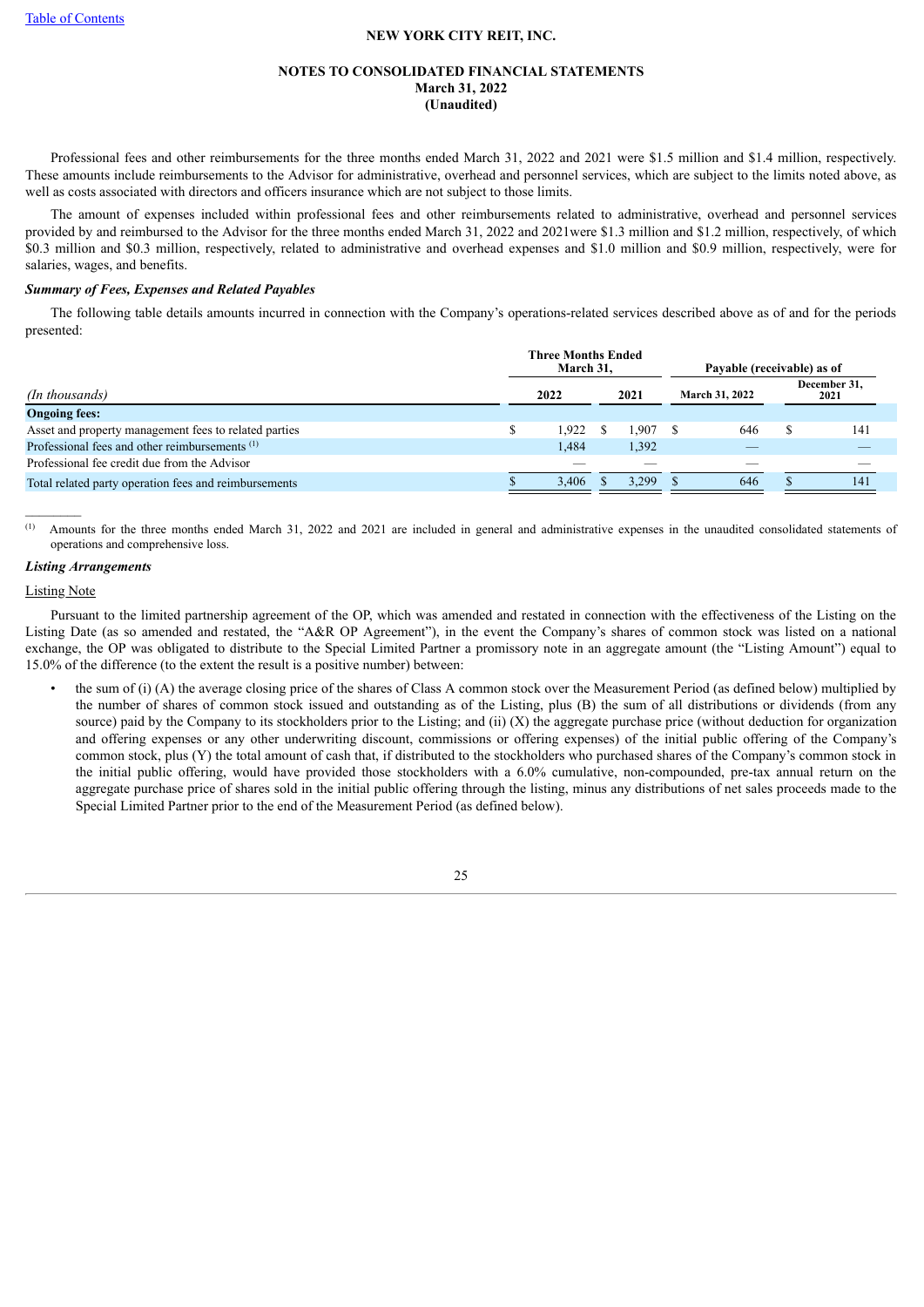### **NOTES TO CONSOLIDATED FINANCIAL STATEMENTS March 31, 2022 (Unaudited)**

Professional fees and other reimbursements for the three months ended March 31, 2022 and 2021 were \$1.5 million and \$1.4 million, respectively. These amounts include reimbursements to the Advisor for administrative, overhead and personnel services, which are subject to the limits noted above, as well as costs associated with directors and officers insurance which are not subject to those limits.

The amount of expenses included within professional fees and other reimbursements related to administrative, overhead and personnel services provided by and reimbursed to the Advisor for the three months ended March 31, 2022 and 2021were \$1.3 million and \$1.2 million, respectively, of which \$0.3 million and \$0.3 million, respectively, related to administrative and overhead expenses and \$1.0 million and \$0.9 million, respectively, were for salaries, wages, and benefits.

### *Summary of Fees, Expenses and Related Payables*

The following table details amounts incurred in connection with the Company's operations-related services described above as of and for the periods presented:

|                                                       |      | <b>Three Months Ended</b><br>March 31, |      |         | Pavable (receivable) as of |     |  |                      |
|-------------------------------------------------------|------|----------------------------------------|------|---------|----------------------------|-----|--|----------------------|
| (In thousands)                                        | 2022 |                                        | 2021 |         | <b>March 31, 2022</b>      |     |  | December 31.<br>2021 |
| <b>Ongoing fees:</b>                                  |      |                                        |      |         |                            |     |  |                      |
| Asset and property management fees to related parties |      | 1.922                                  |      | 1.907 S |                            | 646 |  | 141                  |
| Professional fees and other reimbursements (1)        |      | 1.484                                  |      | 1,392   |                            |     |  |                      |
| Professional fee credit due from the Advisor          |      |                                        |      |         |                            | __  |  |                      |
| Total related party operation fees and reimbursements |      | 3.406                                  |      | 3.299   |                            | 646 |  | 141                  |

Amounts for the three months ended March 31, 2022 and 2021 are included in general and administrative expenses in the unaudited consolidated statements of operations and comprehensive loss. (1)

## *Listing Arrangements*

#### Listing Note

Pursuant to the limited partnership agreement of the OP, which was amended and restated in connection with the effectiveness of the Listing on the Listing Date (as so amended and restated, the "A&R OP Agreement"), in the event the Company's shares of common stock was listed on a national exchange, the OP was obligated to distribute to the Special Limited Partner a promissory note in an aggregate amount (the "Listing Amount") equal to 15.0% of the difference (to the extent the result is a positive number) between:

• the sum of (i) (A) the average closing price of the shares of Class A common stock over the Measurement Period (as defined below) multiplied by the number of shares of common stock issued and outstanding as of the Listing, plus (B) the sum of all distributions or dividends (from any source) paid by the Company to its stockholders prior to the Listing; and (ii) (X) the aggregate purchase price (without deduction for organization and offering expenses or any other underwriting discount, commissions or offering expenses) of the initial public offering of the Company's common stock, plus (Y) the total amount of cash that, if distributed to the stockholders who purchased shares of the Company's common stock in the initial public offering, would have provided those stockholders with a 6.0% cumulative, non-compounded, pre-tax annual return on the aggregate purchase price of shares sold in the initial public offering through the listing, minus any distributions of net sales proceeds made to the Special Limited Partner prior to the end of the Measurement Period (as defined below).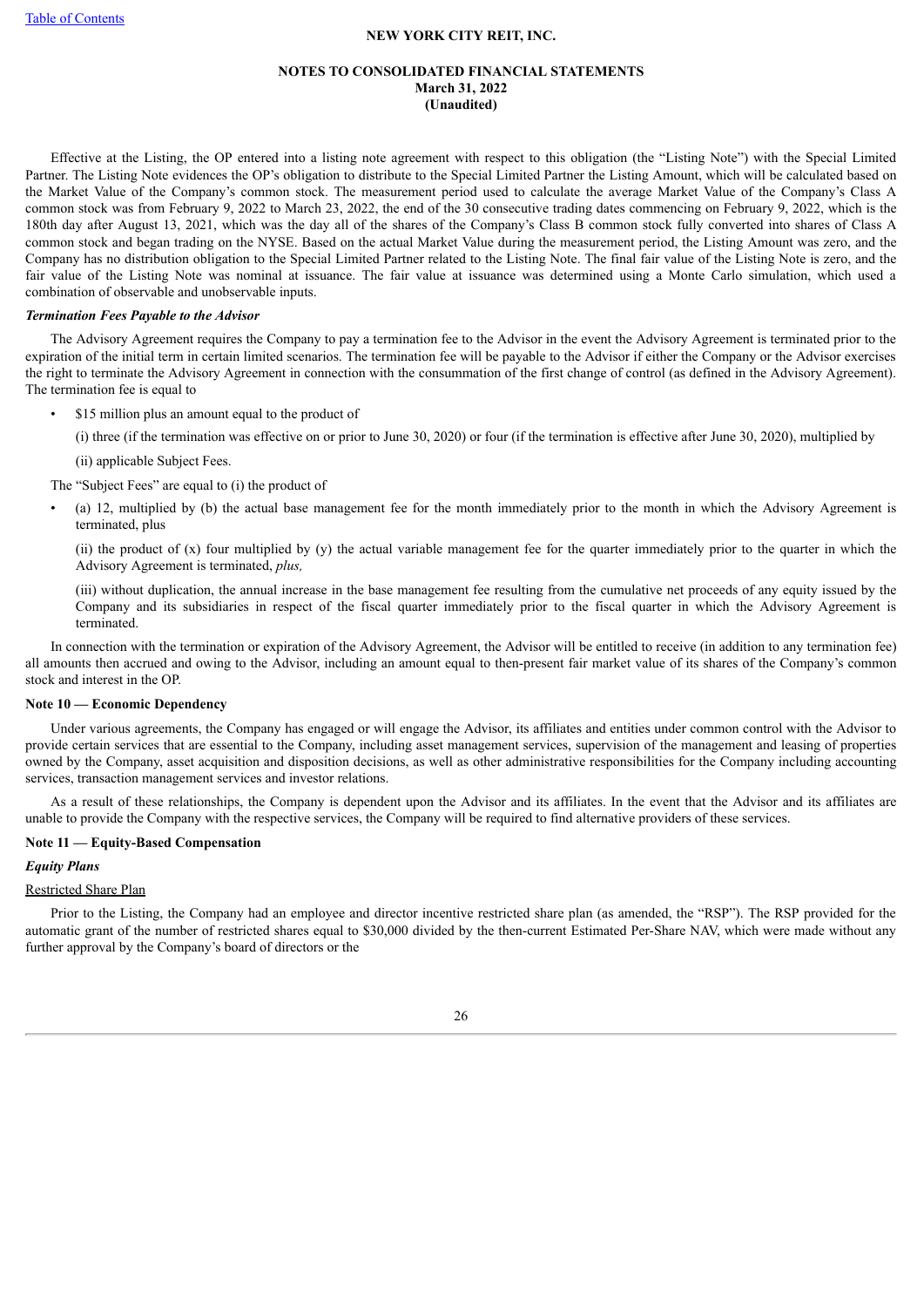### **NOTES TO CONSOLIDATED FINANCIAL STATEMENTS March 31, 2022 (Unaudited)**

Effective at the Listing, the OP entered into a listing note agreement with respect to this obligation (the "Listing Note") with the Special Limited Partner. The Listing Note evidences the OP's obligation to distribute to the Special Limited Partner the Listing Amount, which will be calculated based on the Market Value of the Company's common stock. The measurement period used to calculate the average Market Value of the Company's Class A common stock was from February 9, 2022 to March 23, 2022, the end of the 30 consecutive trading dates commencing on February 9, 2022, which is the 180th day after August 13, 2021, which was the day all of the shares of the Company's Class B common stock fully converted into shares of Class A common stock and began trading on the NYSE. Based on the actual Market Value during the measurement period, the Listing Amount was zero, and the Company has no distribution obligation to the Special Limited Partner related to the Listing Note. The final fair value of the Listing Note is zero, and the fair value of the Listing Note was nominal at issuance. The fair value at issuance was determined using a Monte Carlo simulation, which used a combination of observable and unobservable inputs.

#### *Termination Fees Payable to the Advisor*

The Advisory Agreement requires the Company to pay a termination fee to the Advisor in the event the Advisory Agreement is terminated prior to the expiration of the initial term in certain limited scenarios. The termination fee will be payable to the Advisor if either the Company or the Advisor exercises the right to terminate the Advisory Agreement in connection with the consummation of the first change of control (as defined in the Advisory Agreement). The termination fee is equal to

- \$15 million plus an amount equal to the product of
	- (i) three (if the termination was effective on or prior to June 30, 2020) or four (if the termination is effective after June 30, 2020), multiplied by
	- (ii) applicable Subject Fees.
- The "Subject Fees" are equal to (i) the product of
	- (a) 12, multiplied by (b) the actual base management fee for the month immediately prior to the month in which the Advisory Agreement is terminated, plus
		- (ii) the product of (x) four multiplied by (y) the actual variable management fee for the quarter immediately prior to the quarter in which the Advisory Agreement is terminated, *plus,*
		- (iii) without duplication, the annual increase in the base management fee resulting from the cumulative net proceeds of any equity issued by the Company and its subsidiaries in respect of the fiscal quarter immediately prior to the fiscal quarter in which the Advisory Agreement is terminated.

In connection with the termination or expiration of the Advisory Agreement, the Advisor will be entitled to receive (in addition to any termination fee) all amounts then accrued and owing to the Advisor, including an amount equal to then-present fair market value of its shares of the Company's common stock and interest in the OP.

#### **Note 10 — Economic Dependency**

Under various agreements, the Company has engaged or will engage the Advisor, its affiliates and entities under common control with the Advisor to provide certain services that are essential to the Company, including asset management services, supervision of the management and leasing of properties owned by the Company, asset acquisition and disposition decisions, as well as other administrative responsibilities for the Company including accounting services, transaction management services and investor relations.

As a result of these relationships, the Company is dependent upon the Advisor and its affiliates. In the event that the Advisor and its affiliates are unable to provide the Company with the respective services, the Company will be required to find alternative providers of these services.

# <span id="page-25-0"></span>**Note 11 — Equity-Based Compensation**

#### *Equity Plans*

#### Restricted Share Plan

Prior to the Listing, the Company had an employee and director incentive restricted share plan (as amended, the "RSP"). The RSP provided for the automatic grant of the number of restricted shares equal to \$30,000 divided by the then-current Estimated Per-Share NAV, which were made without any further approval by the Company's board of directors or the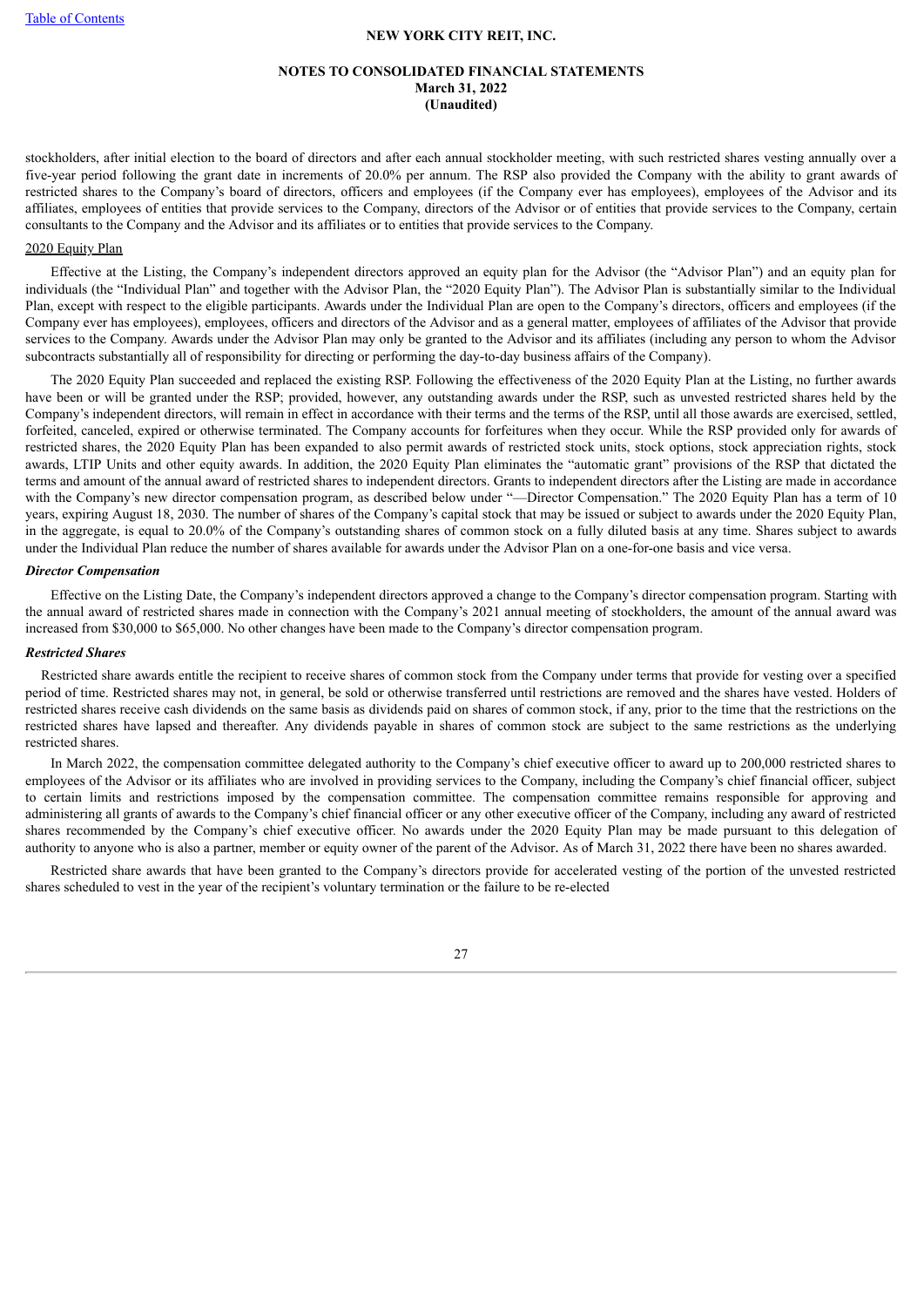### **NOTES TO CONSOLIDATED FINANCIAL STATEMENTS March 31, 2022 (Unaudited)**

stockholders, after initial election to the board of directors and after each annual stockholder meeting, with such restricted shares vesting annually over a five-year period following the grant date in increments of 20.0% per annum. The RSP also provided the Company with the ability to grant awards of restricted shares to the Company's board of directors, officers and employees (if the Company ever has employees), employees of the Advisor and its affiliates, employees of entities that provide services to the Company, directors of the Advisor or of entities that provide services to the Company, certain consultants to the Company and the Advisor and its affiliates or to entities that provide services to the Company.

### 2020 Equity Plan

Effective at the Listing, the Company's independent directors approved an equity plan for the Advisor (the "Advisor Plan") and an equity plan for individuals (the "Individual Plan" and together with the Advisor Plan, the "2020 Equity Plan"). The Advisor Plan is substantially similar to the Individual Plan, except with respect to the eligible participants. Awards under the Individual Plan are open to the Company's directors, officers and employees (if the Company ever has employees), employees, officers and directors of the Advisor and as a general matter, employees of affiliates of the Advisor that provide services to the Company. Awards under the Advisor Plan may only be granted to the Advisor and its affiliates (including any person to whom the Advisor subcontracts substantially all of responsibility for directing or performing the day-to-day business affairs of the Company).

The 2020 Equity Plan succeeded and replaced the existing RSP. Following the effectiveness of the 2020 Equity Plan at the Listing, no further awards have been or will be granted under the RSP; provided, however, any outstanding awards under the RSP, such as unvested restricted shares held by the Company's independent directors, will remain in effect in accordance with their terms and the terms of the RSP, until all those awards are exercised, settled, forfeited, canceled, expired or otherwise terminated. The Company accounts for forfeitures when they occur. While the RSP provided only for awards of restricted shares, the 2020 Equity Plan has been expanded to also permit awards of restricted stock units, stock options, stock appreciation rights, stock awards, LTIP Units and other equity awards. In addition, the 2020 Equity Plan eliminates the "automatic grant" provisions of the RSP that dictated the terms and amount of the annual award of restricted shares to independent directors. Grants to independent directors after the Listing are made in accordance with the Company's new director compensation program, as described below under "—Director Compensation." The 2020 Equity Plan has a term of 10 years, expiring August 18, 2030. The number of shares of the Company's capital stock that may be issued or subject to awards under the 2020 Equity Plan, in the aggregate, is equal to 20.0% of the Company's outstanding shares of common stock on a fully diluted basis at any time. Shares subject to awards under the Individual Plan reduce the number of shares available for awards under the Advisor Plan on a one-for-one basis and vice versa.

#### *Director Compensation*

Effective on the Listing Date, the Company's independent directors approved a change to the Company's director compensation program. Starting with the annual award of restricted shares made in connection with the Company's 2021 annual meeting of stockholders, the amount of the annual award was increased from \$30,000 to \$65,000. No other changes have been made to the Company's director compensation program.

#### *Restricted Shares*

Restricted share awards entitle the recipient to receive shares of common stock from the Company under terms that provide for vesting over a specified period of time. Restricted shares may not, in general, be sold or otherwise transferred until restrictions are removed and the shares have vested. Holders of restricted shares receive cash dividends on the same basis as dividends paid on shares of common stock, if any, prior to the time that the restrictions on the restricted shares have lapsed and thereafter. Any dividends payable in shares of common stock are subject to the same restrictions as the underlying restricted shares.

In March 2022, the compensation committee delegated authority to the Company's chief executive officer to award up to 200,000 restricted shares to employees of the Advisor or its affiliates who are involved in providing services to the Company, including the Company's chief financial officer, subject to certain limits and restrictions imposed by the compensation committee. The compensation committee remains responsible for approving and administering all grants of awards to the Company's chief financial officer or any other executive officer of the Company, including any award of restricted shares recommended by the Company's chief executive officer. No awards under the 2020 Equity Plan may be made pursuant to this delegation of authority to anyone who is also a partner, member or equity owner of the parent of the Advisor. As of March 31, 2022 there have been no shares awarded.

Restricted share awards that have been granted to the Company's directors provide for accelerated vesting of the portion of the unvested restricted shares scheduled to vest in the year of the recipient's voluntary termination or the failure to be re-elected

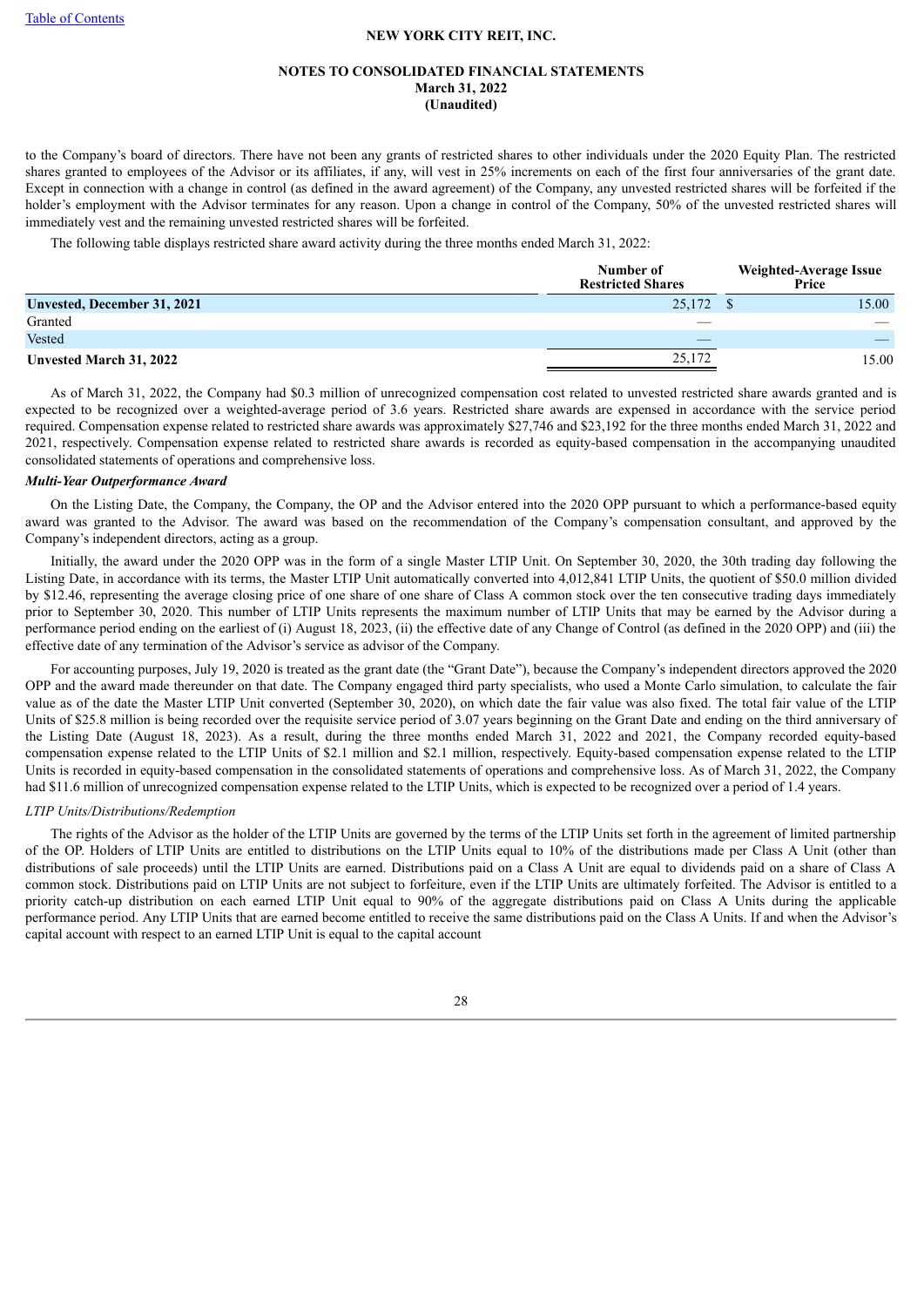### **NOTES TO CONSOLIDATED FINANCIAL STATEMENTS March 31, 2022 (Unaudited)**

to the Company's board of directors. There have not been any grants of restricted shares to other individuals under the 2020 Equity Plan. The restricted shares granted to employees of the Advisor or its affiliates, if any, will vest in 25% increments on each of the first four anniversaries of the grant date. Except in connection with a change in control (as defined in the award agreement) of the Company, any unvested restricted shares will be forfeited if the holder's employment with the Advisor terminates for any reason. Upon a change in control of the Company, 50% of the unvested restricted shares will immediately vest and the remaining unvested restricted shares will be forfeited.

The following table displays restricted share award activity during the three months ended March 31, 2022:

|                             | Number of<br><b>Restricted Shares</b> | Weighted-Average Issue<br>Price |
|-----------------------------|---------------------------------------|---------------------------------|
| Unvested, December 31, 2021 | 25,172                                | 15.00                           |
| Granted                     |                                       |                                 |
| Vested                      |                                       |                                 |
| Unvested March 31, 2022     | 25,172                                | 15.00                           |

As of March 31, 2022, the Company had \$0.3 million of unrecognized compensation cost related to unvested restricted share awards granted and is expected to be recognized over a weighted-average period of 3.6 years. Restricted share awards are expensed in accordance with the service period required. Compensation expense related to restricted share awards was approximately \$27,746 and \$23,192 for the three months ended March 31, 2022 and 2021, respectively. Compensation expense related to restricted share awards is recorded as equity-based compensation in the accompanying unaudited consolidated statements of operations and comprehensive loss.

# *Multi-Year Outperformance Award*

On the Listing Date, the Company, the Company, the OP and the Advisor entered into the 2020 OPP pursuant to which a performance-based equity award was granted to the Advisor. The award was based on the recommendation of the Company's compensation consultant, and approved by the Company's independent directors, acting as a group.

Initially, the award under the 2020 OPP was in the form of a single Master LTIP Unit. On September 30, 2020, the 30th trading day following the Listing Date, in accordance with its terms, the Master LTIP Unit automatically converted into 4,012,841 LTIP Units, the quotient of \$50.0 million divided by \$12.46, representing the average closing price of one share of one share of Class A common stock over the ten consecutive trading days immediately prior to September 30, 2020. This number of LTIP Units represents the maximum number of LTIP Units that may be earned by the Advisor during a performance period ending on the earliest of (i) August 18, 2023, (ii) the effective date of any Change of Control (as defined in the 2020 OPP) and (iii) the effective date of any termination of the Advisor's service as advisor of the Company.

For accounting purposes, July 19, 2020 is treated as the grant date (the "Grant Date"), because the Company's independent directors approved the 2020 OPP and the award made thereunder on that date. The Company engaged third party specialists, who used a Monte Carlo simulation, to calculate the fair value as of the date the Master LTIP Unit converted (September 30, 2020), on which date the fair value was also fixed. The total fair value of the LTIP Units of \$25.8 million is being recorded over the requisite service period of 3.07 years beginning on the Grant Date and ending on the third anniversary of the Listing Date (August 18, 2023). As a result, during the three months ended March 31, 2022 and 2021, the Company recorded equity-based compensation expense related to the LTIP Units of \$2.1 million and \$2.1 million, respectively. Equity-based compensation expense related to the LTIP Units is recorded in equity-based compensation in the consolidated statements of operations and comprehensive loss. As of March 31, 2022, the Company had \$11.6 million of unrecognized compensation expense related to the LTIP Units, which is expected to be recognized over a period of 1.4 years.

#### *LTIP Units/Distributions/Redemption*

The rights of the Advisor as the holder of the LTIP Units are governed by the terms of the LTIP Units set forth in the agreement of limited partnership of the OP. Holders of LTIP Units are entitled to distributions on the LTIP Units equal to 10% of the distributions made per Class A Unit (other than distributions of sale proceeds) until the LTIP Units are earned. Distributions paid on a Class A Unit are equal to dividends paid on a share of Class A common stock. Distributions paid on LTIP Units are not subject to forfeiture, even if the LTIP Units are ultimately forfeited. The Advisor is entitled to a priority catch-up distribution on each earned LTIP Unit equal to 90% of the aggregate distributions paid on Class A Units during the applicable performance period. Any LTIP Units that are earned become entitled to receive the same distributions paid on the Class A Units. If and when the Advisor's capital account with respect to an earned LTIP Unit is equal to the capital account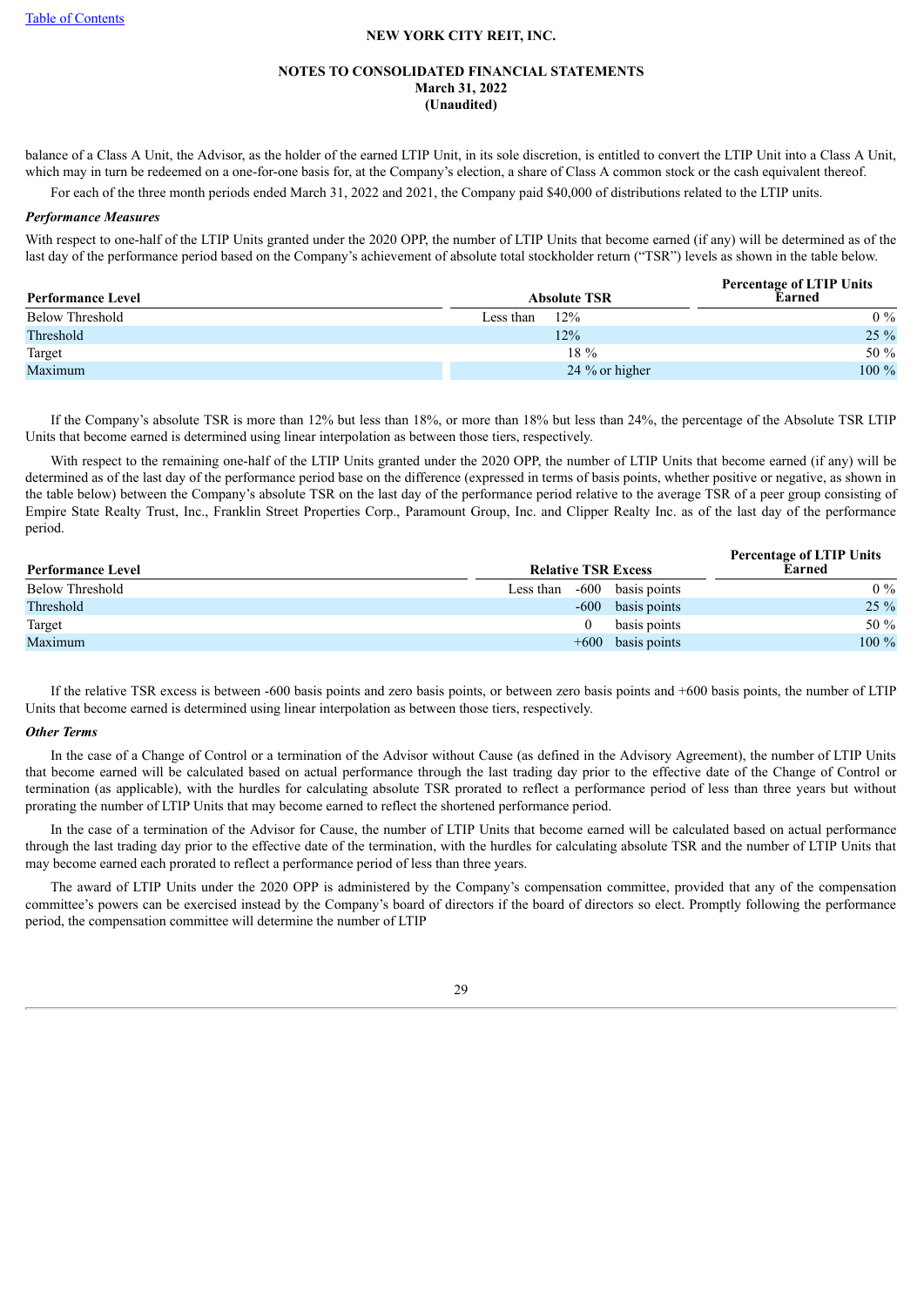### **NOTES TO CONSOLIDATED FINANCIAL STATEMENTS March 31, 2022 (Unaudited)**

balance of a Class A Unit, the Advisor, as the holder of the earned LTIP Unit, in its sole discretion, is entitled to convert the LTIP Unit into a Class A Unit, which may in turn be redeemed on a one-for-one basis for, at the Company's election, a share of Class A common stock or the cash equivalent thereof.

For each of the three month periods ended March 31, 2022 and 2021, the Company paid \$40,000 of distributions related to the LTIP units.

#### *Performance Measures*

With respect to one-half of the LTIP Units granted under the 2020 OPP, the number of LTIP Units that become earned (if any) will be determined as of the last day of the performance period based on the Company's achievement of absolute total stockholder return ("TSR") levels as shown in the table below.

| <b>Performance Level</b> | <b>Absolute TSR</b> | <b>Percentage of LTIP Units</b><br><b>Earned</b> |
|--------------------------|---------------------|--------------------------------------------------|
| <b>Below Threshold</b>   | $12\%$<br>Less than | $0\%$                                            |
| Threshold                | 12%                 | $25\%$                                           |
| Target                   | 18 %                | 50 $%$                                           |
| Maximum                  | 24 % or higher      | 100 %                                            |

If the Company's absolute TSR is more than 12% but less than 18%, or more than 18% but less than 24%, the percentage of the Absolute TSR LTIP Units that become earned is determined using linear interpolation as between those tiers, respectively.

With respect to the remaining one-half of the LTIP Units granted under the 2020 OPP, the number of LTIP Units that become earned (if any) will be determined as of the last day of the performance period base on the difference (expressed in terms of basis points, whether positive or negative, as shown in the table below) between the Company's absolute TSR on the last day of the performance period relative to the average TSR of a peer group consisting of Empire State Realty Trust, Inc., Franklin Street Properties Corp., Paramount Group, Inc. and Clipper Realty Inc. as of the last day of the performance period.

| <b>Performance Level</b> | <b>Relative TSR Excess</b>     | <b>Percentage of LTIP Units</b><br>Earned |
|--------------------------|--------------------------------|-------------------------------------------|
| <b>Below Threshold</b>   | -600 basis points<br>Less than | $0\%$                                     |
| Threshold                | -600 basis points              | $25\%$                                    |
| Target                   | basis points<br>0              | 50 %                                      |
| Maximum                  | $+600$ basis points            | 100 %                                     |

If the relative TSR excess is between -600 basis points and zero basis points, or between zero basis points and +600 basis points, the number of LTIP Units that become earned is determined using linear interpolation as between those tiers, respectively.

#### *Other Terms*

In the case of a Change of Control or a termination of the Advisor without Cause (as defined in the Advisory Agreement), the number of LTIP Units that become earned will be calculated based on actual performance through the last trading day prior to the effective date of the Change of Control or termination (as applicable), with the hurdles for calculating absolute TSR prorated to reflect a performance period of less than three years but without prorating the number of LTIP Units that may become earned to reflect the shortened performance period.

In the case of a termination of the Advisor for Cause, the number of LTIP Units that become earned will be calculated based on actual performance through the last trading day prior to the effective date of the termination, with the hurdles for calculating absolute TSR and the number of LTIP Units that may become earned each prorated to reflect a performance period of less than three years.

The award of LTIP Units under the 2020 OPP is administered by the Company's compensation committee, provided that any of the compensation committee's powers can be exercised instead by the Company's board of directors if the board of directors so elect. Promptly following the performance period, the compensation committee will determine the number of LTIP

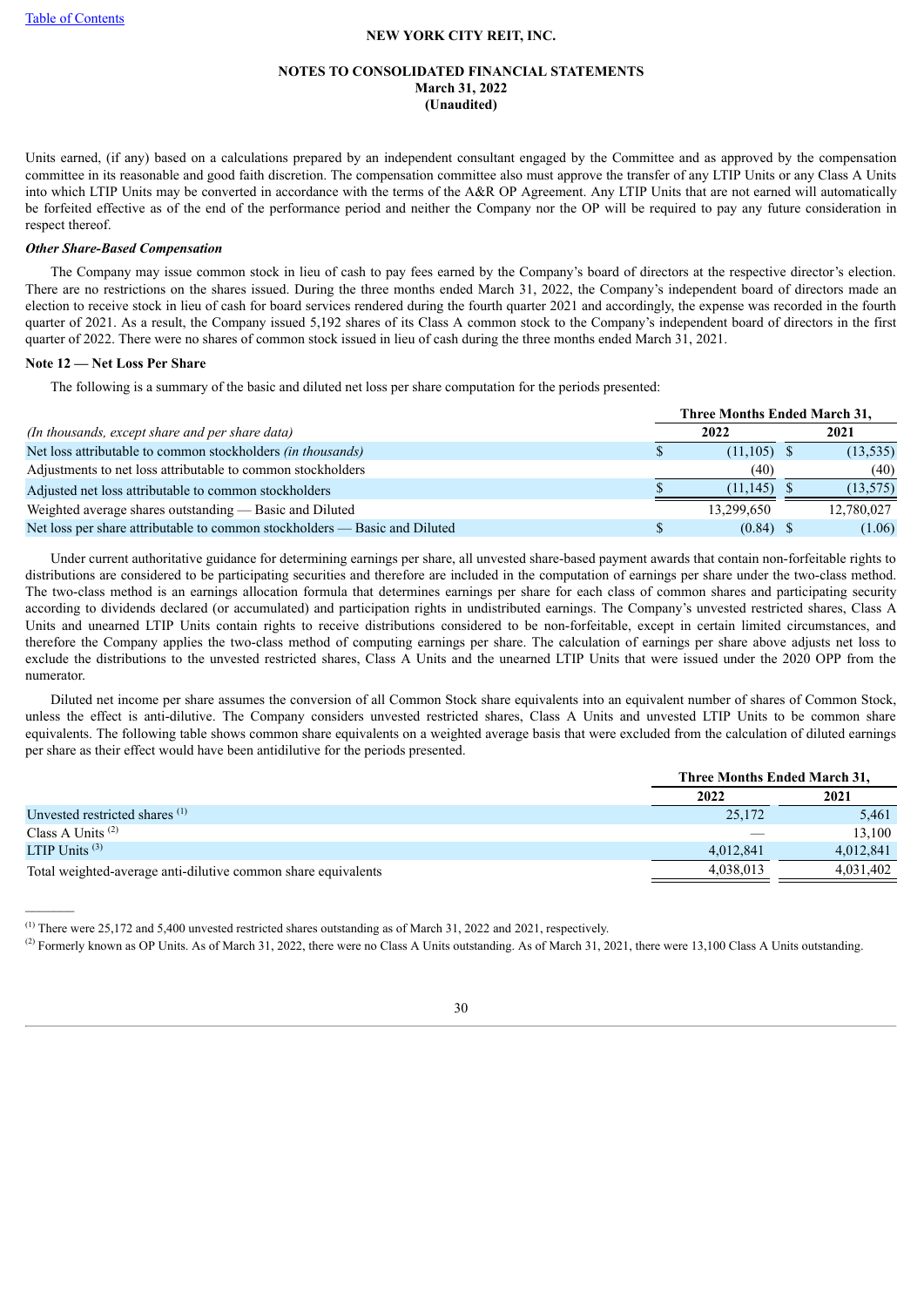### **NOTES TO CONSOLIDATED FINANCIAL STATEMENTS March 31, 2022 (Unaudited)**

Units earned, (if any) based on a calculations prepared by an independent consultant engaged by the Committee and as approved by the compensation committee in its reasonable and good faith discretion. The compensation committee also must approve the transfer of any LTIP Units or any Class A Units into which LTIP Units may be converted in accordance with the terms of the A&R OP Agreement. Any LTIP Units that are not earned will automatically be forfeited effective as of the end of the performance period and neither the Company nor the OP will be required to pay any future consideration in respect thereof.

#### *Other Share-Based Compensation*

The Company may issue common stock in lieu of cash to pay fees earned by the Company's board of directors at the respective director's election. There are no restrictions on the shares issued. During the three months ended March 31, 2022, the Company's independent board of directors made an election to receive stock in lieu of cash for board services rendered during the fourth quarter 2021 and accordingly, the expense was recorded in the fourth quarter of 2021. As a result, the Company issued 5,192 shares of its Class A common stock to the Company's independent board of directors in the first quarter of 2022. There were no shares of common stock issued in lieu of cash during the three months ended March 31, 2021.

#### **Note 12 — Net Loss Per Share**

The following is a summary of the basic and diluted net loss per share computation for the periods presented:

|                                                                            | Three Months Ended March 31, |            |
|----------------------------------------------------------------------------|------------------------------|------------|
| (In thousands, except share and per share data)                            | 2022                         | 2021       |
| Net loss attributable to common stockholders <i>(in thousands)</i>         | $(11, 105)$ \$               | (13, 535)  |
| Adjustments to net loss attributable to common stockholders                | (40)                         | (40)       |
| Adjusted net loss attributable to common stockholders                      | $(11, 145)$ \$               | (13, 575)  |
| Weighted average shares outstanding — Basic and Diluted                    | 13.299.650                   | 12,780,027 |
| Net loss per share attributable to common stockholders - Basic and Diluted | $(0.84)$ \$                  | (1.06)     |

Under current authoritative guidance for determining earnings per share, all unvested share-based payment awards that contain non-forfeitable rights to distributions are considered to be participating securities and therefore are included in the computation of earnings per share under the two-class method. The two-class method is an earnings allocation formula that determines earnings per share for each class of common shares and participating security according to dividends declared (or accumulated) and participation rights in undistributed earnings. The Company's unvested restricted shares, Class A Units and unearned LTIP Units contain rights to receive distributions considered to be non-forfeitable, except in certain limited circumstances, and therefore the Company applies the two-class method of computing earnings per share. The calculation of earnings per share above adjusts net loss to exclude the distributions to the unvested restricted shares, Class A Units and the unearned LTIP Units that were issued under the 2020 OPP from the numerator.

Diluted net income per share assumes the conversion of all Common Stock share equivalents into an equivalent number of shares of Common Stock, unless the effect is anti-dilutive. The Company considers unvested restricted shares, Class A Units and unvested LTIP Units to be common share equivalents. The following table shows common share equivalents on a weighted average basis that were excluded from the calculation of diluted earnings per share as their effect would have been antidilutive for the periods presented.

|                                                               | Three Months Ended March 31, |           |  |
|---------------------------------------------------------------|------------------------------|-----------|--|
|                                                               | 2022                         | 2021      |  |
| Unvested restricted shares <sup>(1)</sup>                     | 25,172                       | 5.461     |  |
| Class A Units $(2)$                                           |                              | 13.100    |  |
| LTIP Units $(3)$                                              | 4.012.841                    | 4.012.841 |  |
| Total weighted-average anti-dilutive common share equivalents | 4.038.013                    | 4.031.402 |  |

<sup>&</sup>lt;sup>(1)</sup> There were 25,172 and 5,400 unvested restricted shares outstanding as of March 31, 2022 and 2021, respectively.

 $^{(2)}$  Formerly known as OP Units. As of March 31, 2022, there were no Class A Units outstanding. As of March 31, 2021, there were 13,100 Class A Units outstanding.

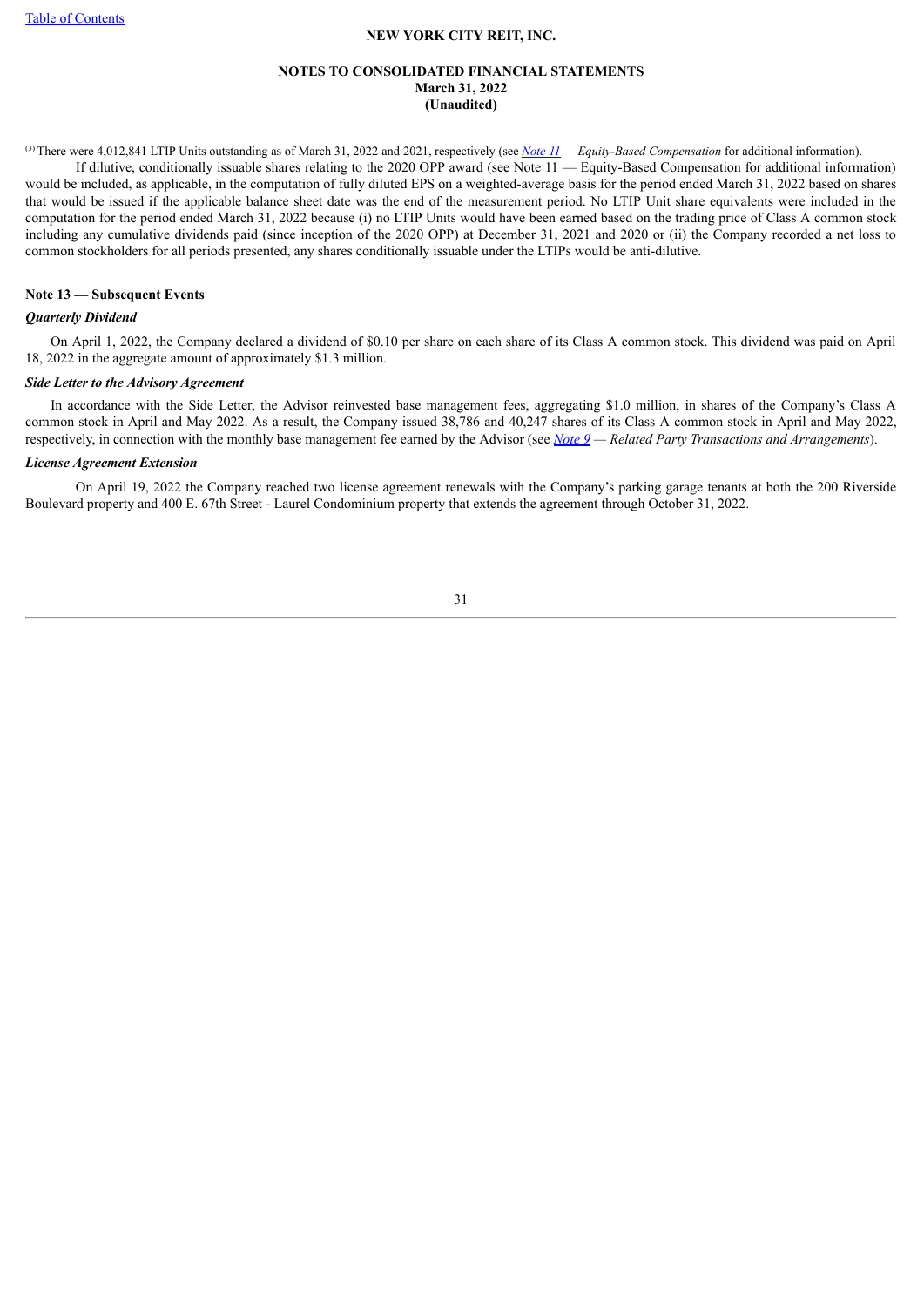### **NOTES TO CONSOLIDATED FINANCIAL STATEMENTS March 31, 2022 (Unaudited)**

There were 4,012,841 LTIP Units outstanding as of March 31, 2022 and 2021, respectively (see *[Note 11](#page-25-0) — Equity-Based Compensation* for additional information). (3)

If dilutive, conditionally issuable shares relating to the 2020 OPP award (see Note 11 — Equity-Based Compensation for additional information) would be included, as applicable, in the computation of fully diluted EPS on a weighted-average basis for the period ended March 31, 2022 based on shares that would be issued if the applicable balance sheet date was the end of the measurement period. No LTIP Unit share equivalents were included in the computation for the period ended March 31, 2022 because (i) no LTIP Units would have been earned based on the trading price of Class A common stock including any cumulative dividends paid (since inception of the 2020 OPP) at December 31, 2021 and 2020 or (ii) the Company recorded a net loss to common stockholders for all periods presented, any shares conditionally issuable under the LTIPs would be anti-dilutive.

## **Note 13 — Subsequent Events**

### *Quarterly Dividend*

On April 1, 2022, the Company declared a dividend of \$0.10 per share on each share of its Class A common stock. This dividend was paid on April 18, 2022 in the aggregate amount of approximately \$1.3 million.

## *Side Letter to the Advisory Agreement*

In accordance with the Side Letter, the Advisor reinvested base management fees, aggregating \$1.0 million, in shares of the Company's Class A common stock in April and May 2022. As a result, the Company issued 38,786 and 40,247 shares of its Class A common stock in April and May 2022, respectively, in connection with the monthly base management fee earned by the Advisor (see *[Note](#page-21-0) 9 — Related Party Transactions and Arrangements*).

#### *License Agreement Extension*

<span id="page-30-0"></span>On April 19, 2022 the Company reached two license agreement renewals with the Company's parking garage tenants at both the 200 Riverside Boulevard property and 400 E. 67th Street - Laurel Condominium property that extends the agreement through October 31, 2022.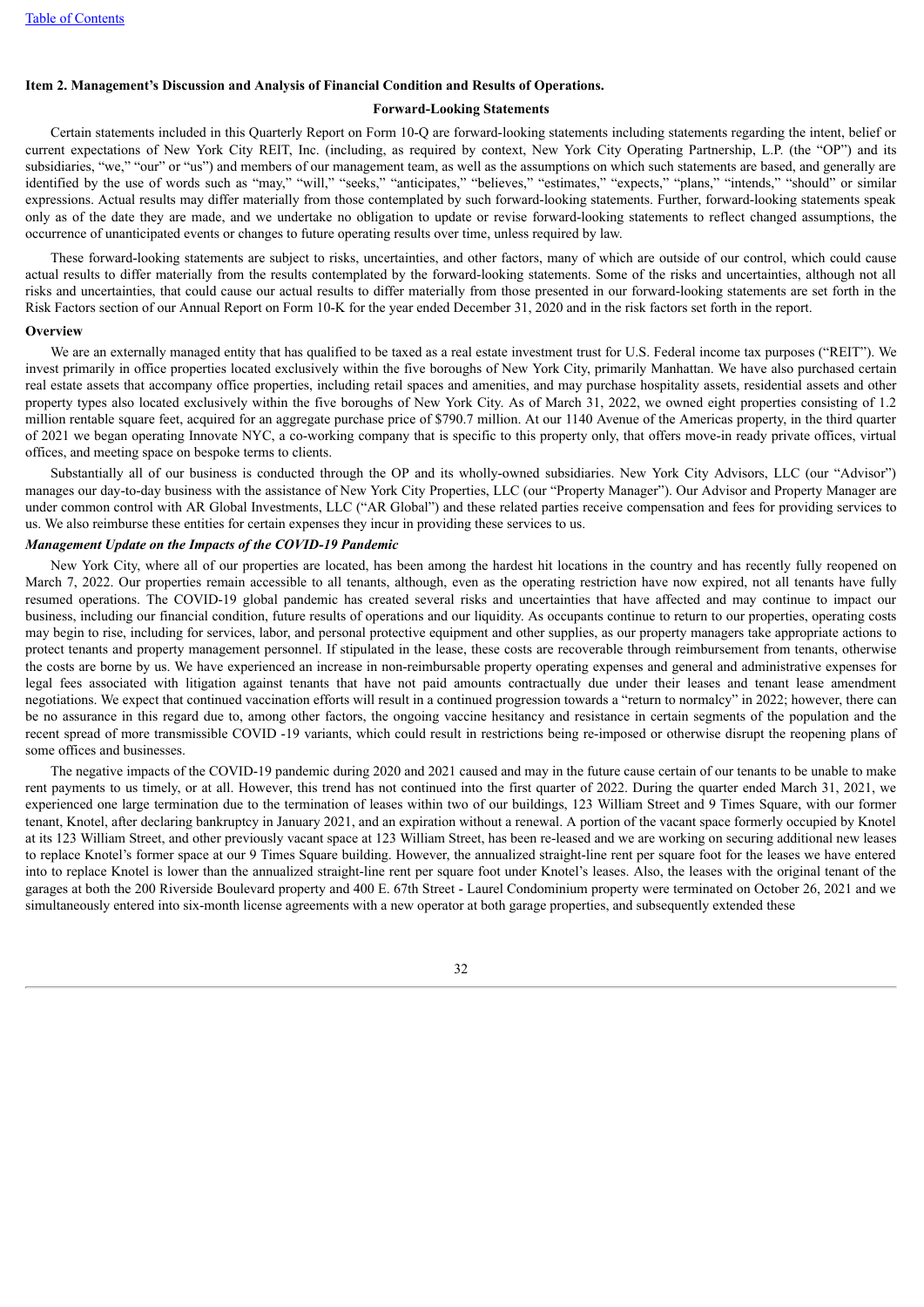# **Item 2. Management's Discussion and Analysis of Financial Condition and Results of Operations.**

# **Forward-Looking Statements**

Certain statements included in this Quarterly Report on Form 10-Q are forward-looking statements including statements regarding the intent, belief or current expectations of New York City REIT, Inc. (including, as required by context, New York City Operating Partnership, L.P. (the "OP") and its subsidiaries, "we," "our" or "us") and members of our management team, as well as the assumptions on which such statements are based, and generally are identified by the use of words such as "may," "will," "seeks," "anticipates," "believes," "estimates," "expects," "plans," "intends," "should" or similar expressions. Actual results may differ materially from those contemplated by such forward-looking statements. Further, forward-looking statements speak only as of the date they are made, and we undertake no obligation to update or revise forward-looking statements to reflect changed assumptions, the occurrence of unanticipated events or changes to future operating results over time, unless required by law.

These forward-looking statements are subject to risks, uncertainties, and other factors, many of which are outside of our control, which could cause actual results to differ materially from the results contemplated by the forward-looking statements. Some of the risks and uncertainties, although not all risks and uncertainties, that could cause our actual results to differ materially from those presented in our forward-looking statements are set forth in the Risk Factors section of our Annual Report on Form 10-K for the year ended December 31, 2020 and in the risk factors set forth in the report.

### **Overview**

We are an externally managed entity that has qualified to be taxed as a real estate investment trust for U.S. Federal income tax purposes ("REIT"). We invest primarily in office properties located exclusively within the five boroughs of New York City, primarily Manhattan. We have also purchased certain real estate assets that accompany office properties, including retail spaces and amenities, and may purchase hospitality assets, residential assets and other property types also located exclusively within the five boroughs of New York City. As of March 31, 2022, we owned eight properties consisting of 1.2 million rentable square feet, acquired for an aggregate purchase price of \$790.7 million. At our 1140 Avenue of the Americas property, in the third quarter of 2021 we began operating Innovate NYC, a co-working company that is specific to this property only, that offers move-in ready private offices, virtual offices, and meeting space on bespoke terms to clients.

Substantially all of our business is conducted through the OP and its wholly-owned subsidiaries. New York City Advisors, LLC (our "Advisor") manages our day-to-day business with the assistance of New York City Properties, LLC (our "Property Manager"). Our Advisor and Property Manager are under common control with AR Global Investments, LLC ("AR Global") and these related parties receive compensation and fees for providing services to us. We also reimburse these entities for certain expenses they incur in providing these services to us.

# *Management Update on the Impacts of the COVID-19 Pandemic*

New York City, where all of our properties are located, has been among the hardest hit locations in the country and has recently fully reopened on March 7, 2022. Our properties remain accessible to all tenants, although, even as the operating restriction have now expired, not all tenants have fully resumed operations. The COVID-19 global pandemic has created several risks and uncertainties that have affected and may continue to impact our business, including our financial condition, future results of operations and our liquidity. As occupants continue to return to our properties, operating costs may begin to rise, including for services, labor, and personal protective equipment and other supplies, as our property managers take appropriate actions to protect tenants and property management personnel. If stipulated in the lease, these costs are recoverable through reimbursement from tenants, otherwise the costs are borne by us. We have experienced an increase in non-reimbursable property operating expenses and general and administrative expenses for legal fees associated with litigation against tenants that have not paid amounts contractually due under their leases and tenant lease amendment negotiations. We expect that continued vaccination efforts will result in a continued progression towards a "return to normalcy" in 2022; however, there can be no assurance in this regard due to, among other factors, the ongoing vaccine hesitancy and resistance in certain segments of the population and the recent spread of more transmissible COVID -19 variants, which could result in restrictions being re-imposed or otherwise disrupt the reopening plans of some offices and businesses.

The negative impacts of the COVID-19 pandemic during 2020 and 2021 caused and may in the future cause certain of our tenants to be unable to make rent payments to us timely, or at all. However, this trend has not continued into the first quarter of 2022. During the quarter ended March 31, 2021, we experienced one large termination due to the termination of leases within two of our buildings, 123 William Street and 9 Times Square, with our former tenant, Knotel, after declaring bankruptcy in January 2021, and an expiration without a renewal. A portion of the vacant space formerly occupied by Knotel at its 123 William Street, and other previously vacant space at 123 William Street, has been re-leased and we are working on securing additional new leases to replace Knotel's former space at our 9 Times Square building. However, the annualized straight-line rent per square foot for the leases we have entered into to replace Knotel is lower than the annualized straight-line rent per square foot under Knotel's leases. Also, the leases with the original tenant of the garages at both the 200 Riverside Boulevard property and 400 E. 67th Street - Laurel Condominium property were terminated on October 26, 2021 and we simultaneously entered into six-month license agreements with a new operator at both garage properties, and subsequently extended these

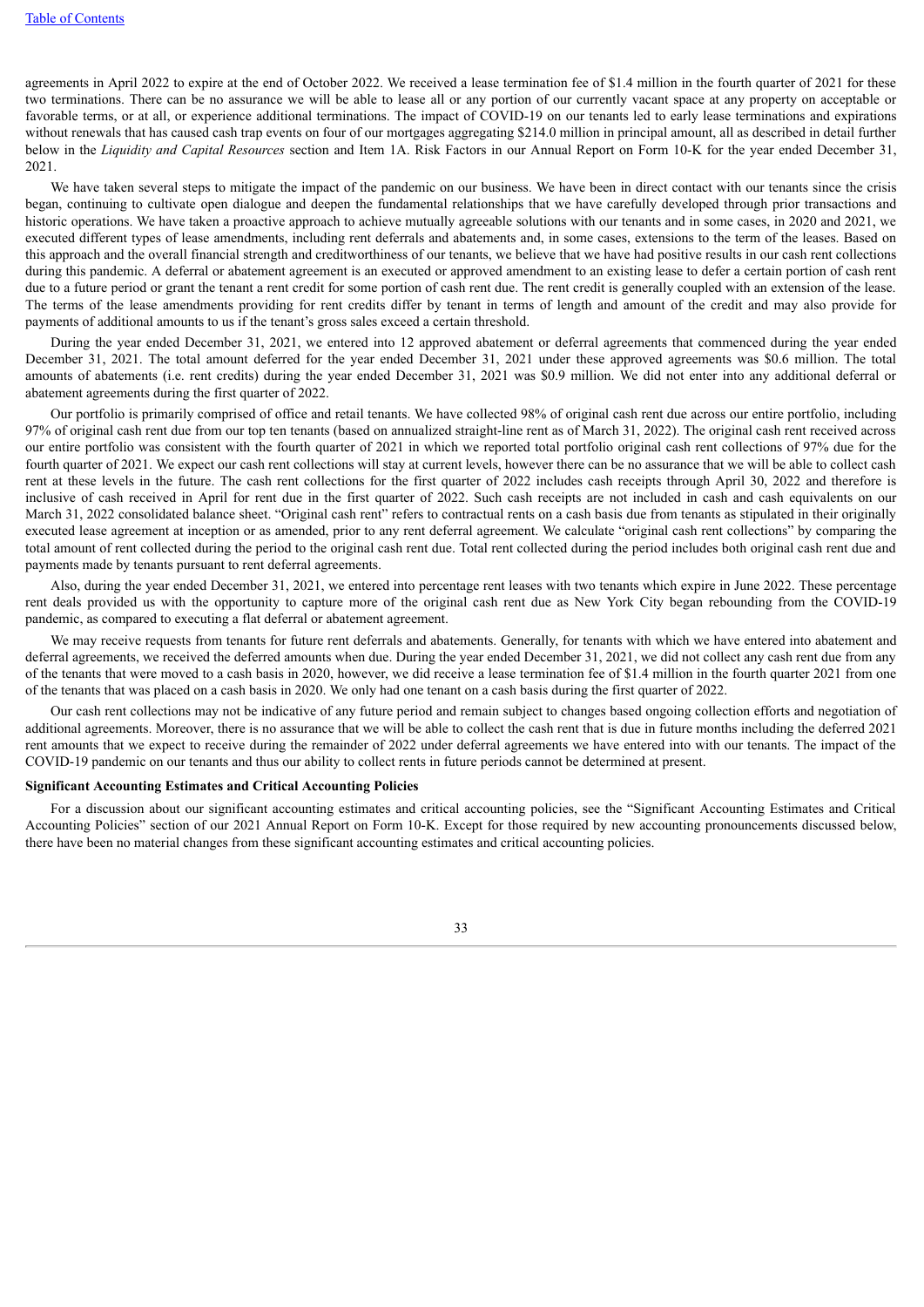agreements in April 2022 to expire at the end of October 2022. We received a lease termination fee of \$1.4 million in the fourth quarter of 2021 for these two terminations. There can be no assurance we will be able to lease all or any portion of our currently vacant space at any property on acceptable or favorable terms, or at all, or experience additional terminations. The impact of COVID-19 on our tenants led to early lease terminations and expirations without renewals that has caused cash trap events on four of our mortgages aggregating \$214.0 million in principal amount, all as described in detail further below in the *Liquidity and Capital Resources* section and Item 1A. Risk Factors in our Annual Report on Form 10-K for the year ended December 31, 2021.

We have taken several steps to mitigate the impact of the pandemic on our business. We have been in direct contact with our tenants since the crisis began, continuing to cultivate open dialogue and deepen the fundamental relationships that we have carefully developed through prior transactions and historic operations. We have taken a proactive approach to achieve mutually agreeable solutions with our tenants and in some cases, in 2020 and 2021, we executed different types of lease amendments, including rent deferrals and abatements and, in some cases, extensions to the term of the leases. Based on this approach and the overall financial strength and creditworthiness of our tenants, we believe that we have had positive results in our cash rent collections during this pandemic. A deferral or abatement agreement is an executed or approved amendment to an existing lease to defer a certain portion of cash rent due to a future period or grant the tenant a rent credit for some portion of cash rent due. The rent credit is generally coupled with an extension of the lease. The terms of the lease amendments providing for rent credits differ by tenant in terms of length and amount of the credit and may also provide for payments of additional amounts to us if the tenant's gross sales exceed a certain threshold.

During the year ended December 31, 2021, we entered into 12 approved abatement or deferral agreements that commenced during the year ended December 31, 2021. The total amount deferred for the year ended December 31, 2021 under these approved agreements was \$0.6 million. The total amounts of abatements (i.e. rent credits) during the year ended December 31, 2021 was \$0.9 million. We did not enter into any additional deferral or abatement agreements during the first quarter of 2022.

Our portfolio is primarily comprised of office and retail tenants. We have collected 98% of original cash rent due across our entire portfolio, including 97% of original cash rent due from our top ten tenants (based on annualized straight-line rent as of March 31, 2022). The original cash rent received across our entire portfolio was consistent with the fourth quarter of 2021 in which we reported total portfolio original cash rent collections of 97% due for the fourth quarter of 2021. We expect our cash rent collections will stay at current levels, however there can be no assurance that we will be able to collect cash rent at these levels in the future. The cash rent collections for the first quarter of 2022 includes cash receipts through April 30, 2022 and therefore is inclusive of cash received in April for rent due in the first quarter of 2022. Such cash receipts are not included in cash and cash equivalents on our March 31, 2022 consolidated balance sheet. "Original cash rent" refers to contractual rents on a cash basis due from tenants as stipulated in their originally executed lease agreement at inception or as amended, prior to any rent deferral agreement. We calculate "original cash rent collections" by comparing the total amount of rent collected during the period to the original cash rent due. Total rent collected during the period includes both original cash rent due and payments made by tenants pursuant to rent deferral agreements.

Also, during the year ended December 31, 2021, we entered into percentage rent leases with two tenants which expire in June 2022. These percentage rent deals provided us with the opportunity to capture more of the original cash rent due as New York City began rebounding from the COVID-19 pandemic, as compared to executing a flat deferral or abatement agreement.

We may receive requests from tenants for future rent deferrals and abatements. Generally, for tenants with which we have entered into abatement and deferral agreements, we received the deferred amounts when due. During the year ended December 31, 2021, we did not collect any cash rent due from any of the tenants that were moved to a cash basis in 2020, however, we did receive a lease termination fee of \$1.4 million in the fourth quarter 2021 from one of the tenants that was placed on a cash basis in 2020. We only had one tenant on a cash basis during the first quarter of 2022.

Our cash rent collections may not be indicative of any future period and remain subject to changes based ongoing collection efforts and negotiation of additional agreements. Moreover, there is no assurance that we will be able to collect the cash rent that is due in future months including the deferred 2021 rent amounts that we expect to receive during the remainder of 2022 under deferral agreements we have entered into with our tenants. The impact of the COVID-19 pandemic on our tenants and thus our ability to collect rents in future periods cannot be determined at present.

#### **Significant Accounting Estimates and Critical Accounting Policies**

For a discussion about our significant accounting estimates and critical accounting policies, see the "Significant Accounting Estimates and Critical Accounting Policies" section of our 2021 Annual Report on Form 10-K. Except for those required by new accounting pronouncements discussed below, there have been no material changes from these significant accounting estimates and critical accounting policies.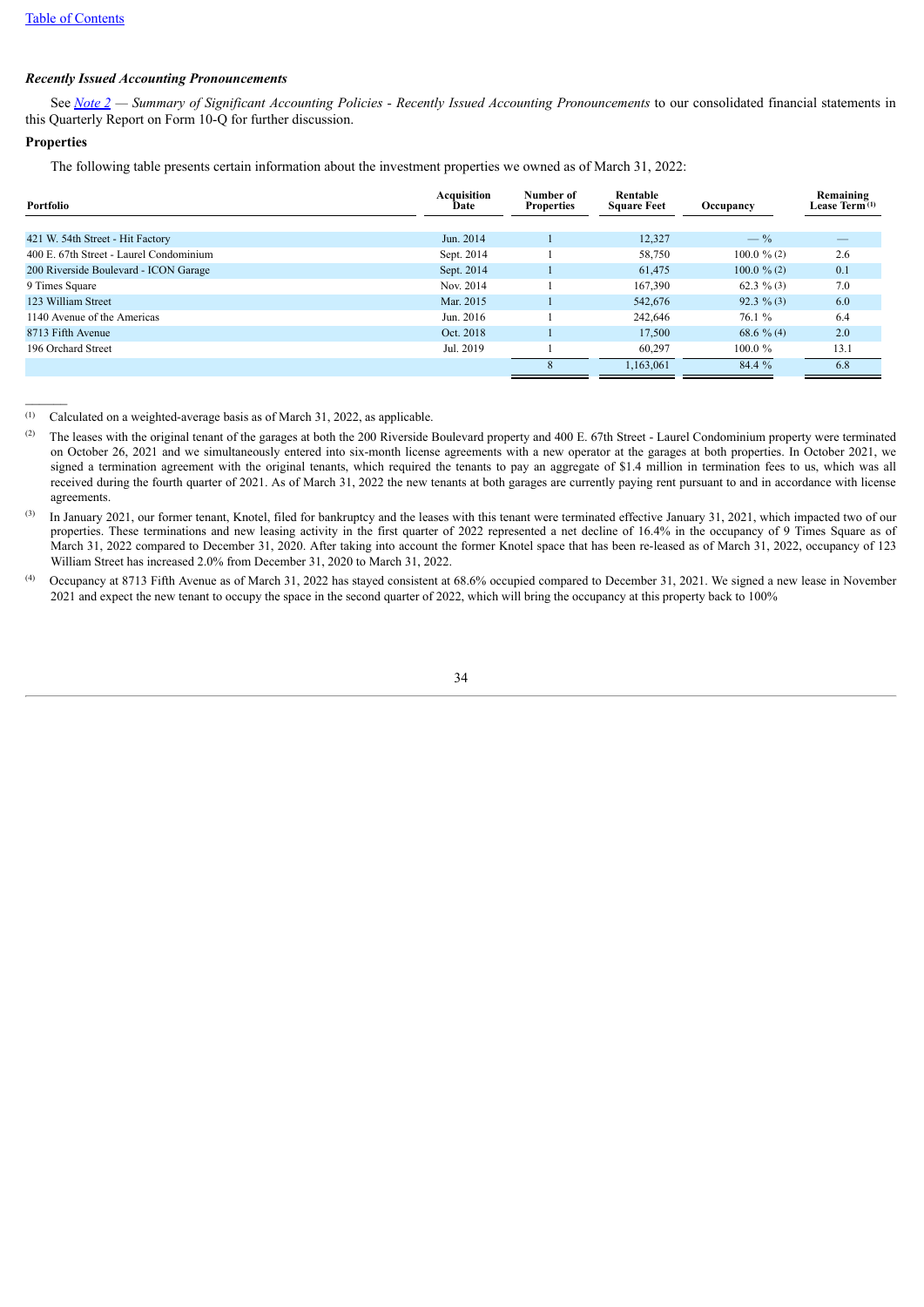## *Recently Issued Accounting Pronouncements*

See [Note](#page-7-0) 2 - Summary of Significant Accounting Policies - Recently Issued Accounting Pronouncements to our consolidated financial statements in this Quarterly Report on Form 10-Q for further discussion.

# **Properties**

 $\overline{\phantom{a}}$ 

The following table presents certain information about the investment properties we owned as of March 31, 2022:

| Portfolio                               | <b>Acquisition</b><br>Date | Number of<br><b>Properties</b> | Rentable<br><b>Square Feet</b><br>Occupancy |                | Remaining<br>Lease Term <sup>(1)</sup> |  |
|-----------------------------------------|----------------------------|--------------------------------|---------------------------------------------|----------------|----------------------------------------|--|
|                                         |                            |                                |                                             |                |                                        |  |
| 421 W. 54th Street - Hit Factory        | Jun. 2014                  |                                | 12,327                                      | $-$ %          |                                        |  |
| 400 E. 67th Street - Laurel Condominium | Sept. 2014                 |                                | 58,750                                      | $100.0 \% (2)$ | 2.6                                    |  |
| 200 Riverside Boulevard - ICON Garage   | Sept. 2014                 |                                | 61,475                                      | $100.0 \% (2)$ | 0.1                                    |  |
| 9 Times Square                          | Nov. 2014                  |                                | 167,390                                     | $62.3 \% (3)$  | 7.0                                    |  |
| 123 William Street                      | Mar. 2015                  |                                | 542.676                                     | $92.3 \% (3)$  | 6.0                                    |  |
| 1140 Avenue of the Americas             | Jun. 2016                  |                                | 242.646                                     | 76.1 %         | 6.4                                    |  |
| 8713 Fifth Avenue                       | Oct. 2018                  |                                | 17.500                                      | 68.6 $\%$ (4)  | 2.0                                    |  |
| 196 Orchard Street                      | Jul. 2019                  |                                | 60,297                                      | $100.0 \%$     | 13.1                                   |  |
|                                         |                            |                                | 1,163,061                                   | 84.4 %         | 6.8                                    |  |

Calculated on a weighted-average basis as of March 31, 2022, as applicable. (1)

In January 2021, our former tenant, Knotel, filed for bankruptcy and the leases with this tenant were terminated effective January 31, 2021, which impacted two of our properties. These terminations and new leasing activity in the first quarter of 2022 represented a net decline of 16.4% in the occupancy of 9 Times Square as of March 31, 2022 compared to December 31, 2020. After taking into account the former Knotel space that has been re-leased as of March 31, 2022, occupancy of 123 William Street has increased 2.0% from December 31, 2020 to March 31, 2022. (3)

Occupancy at 8713 Fifth Avenue as of March 31, 2022 has stayed consistent at 68.6% occupied compared to December 31, 2021. We signed a new lease in November 2021 and expect the new tenant to occupy the space in the second quarter of 2022, which will bring the occupancy at this property back to 100% (4)



The leases with the original tenant of the garages at both the 200 Riverside Boulevard property and 400 E. 67th Street - Laurel Condominium property were terminated on October 26, 2021 and we simultaneously entered into six-month license agreements with a new operator at the garages at both properties. In October 2021, we signed a termination agreement with the original tenants, which required the tenants to pay an aggregate of \$1.4 million in termination fees to us, which was all received during the fourth quarter of 2021. As of March 31, 2022 the new tenants at both garages are currently paying rent pursuant to and in accordance with license agreements. (2)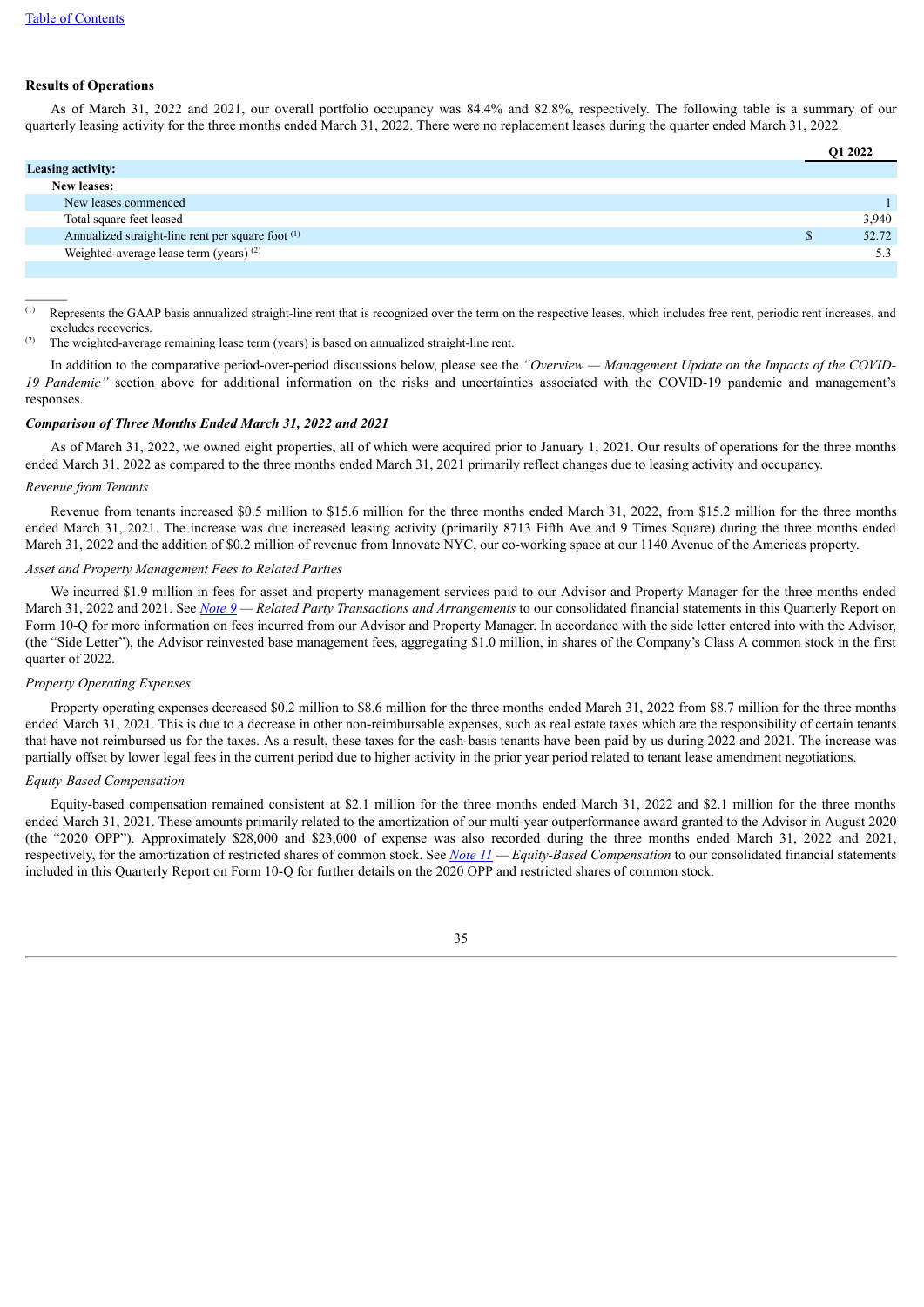#### **Results of Operations**

As of March 31, 2022 and 2021, our overall portfolio occupancy was 84.4% and 82.8%, respectively. The following table is a summary of our quarterly leasing activity for the three months ended March 31, 2022. There were no replacement leases during the quarter ended March 31, 2022.

|                                                    | O1 2022 |
|----------------------------------------------------|---------|
| Leasing activity:                                  |         |
| <b>New leases:</b>                                 |         |
| New leases commenced                               |         |
| Total square feet leased                           | 3,940   |
| Annualized straight-line rent per square foot (1)  | 52.72   |
| Weighted-average lease term (years) <sup>(2)</sup> | 5.3     |
|                                                    |         |

Represents the GAAP basis annualized straight-line rent that is recognized over the term on the respective leases, which includes free rent, periodic rent increases, and excludes recoveries. (1)

The weighted-average remaining lease term (years) is based on annualized straight-line rent. (2)

In addition to the comparative period-over-period discussions below, please see the *"Overview — Management Update on the Impacts of the COVID-19 Pandemic"* section above for additional information on the risks and uncertainties associated with the COVID-19 pandemic and management's responses.

### *Comparison of Three Months Ended March 31, 2022 and 2021*

As of March 31, 2022, we owned eight properties, all of which were acquired prior to January 1, 2021. Our results of operations for the three months ended March 31, 2022 as compared to the three months ended March 31, 2021 primarily reflect changes due to leasing activity and occupancy.

#### *Revenue from Tenants*

Revenue from tenants increased \$0.5 million to \$15.6 million for the three months ended March 31, 2022, from \$15.2 million for the three months ended March 31, 2021. The increase was due increased leasing activity (primarily 8713 Fifth Ave and 9 Times Square) during the three months ended March 31, 2022 and the addition of \$0.2 million of revenue from Innovate NYC, our co-working space at our 1140 Avenue of the Americas property.

#### *Asset and Property Management Fees to Related Parties*

We incurred \$1.9 million in fees for asset and property management services paid to our Advisor and Property Manager for the three months ended March 31, 2022 and 2021. See *[Note](#page-21-0)* 9 — *Related Party Transactions and Arrangements* to our consolidated financial statements in this Quarterly Report on Form 10-Q for more information on fees incurred from our Advisor and Property Manager. In accordance with the side letter entered into with the Advisor, (the "Side Letter"), the Advisor reinvested base management fees, aggregating \$1.0 million, in shares of the Company's Class A common stock in the first quarter of 2022.

#### *Property Operating Expenses*

Property operating expenses decreased \$0.2 million to \$8.6 million for the three months ended March 31, 2022 from \$8.7 million for the three months ended March 31, 2021. This is due to a decrease in other non-reimbursable expenses, such as real estate taxes which are the responsibility of certain tenants that have not reimbursed us for the taxes. As a result, these taxes for the cash-basis tenants have been paid by us during 2022 and 2021. The increase was partially offset by lower legal fees in the current period due to higher activity in the prior year period related to tenant lease amendment negotiations.

### *Equity-Based Compensation*

Equity-based compensation remained consistent at \$2.1 million for the three months ended March 31, 2022 and \$2.1 million for the three months ended March 31, 2021. These amounts primarily related to the amortization of our multi-year outperformance award granted to the Advisor in August 2020 (the "2020 OPP"). Approximately \$28,000 and \$23,000 of expense was also recorded during the three months ended March 31, 2022 and 2021, respectively, for the amortization of restricted shares of common stock. See *[Note](#page-25-0) 11 — Equity-Based Compensation* to our consolidated financial statements included in this Quarterly Report on Form 10-Q for further details on the 2020 OPP and restricted shares of common stock.

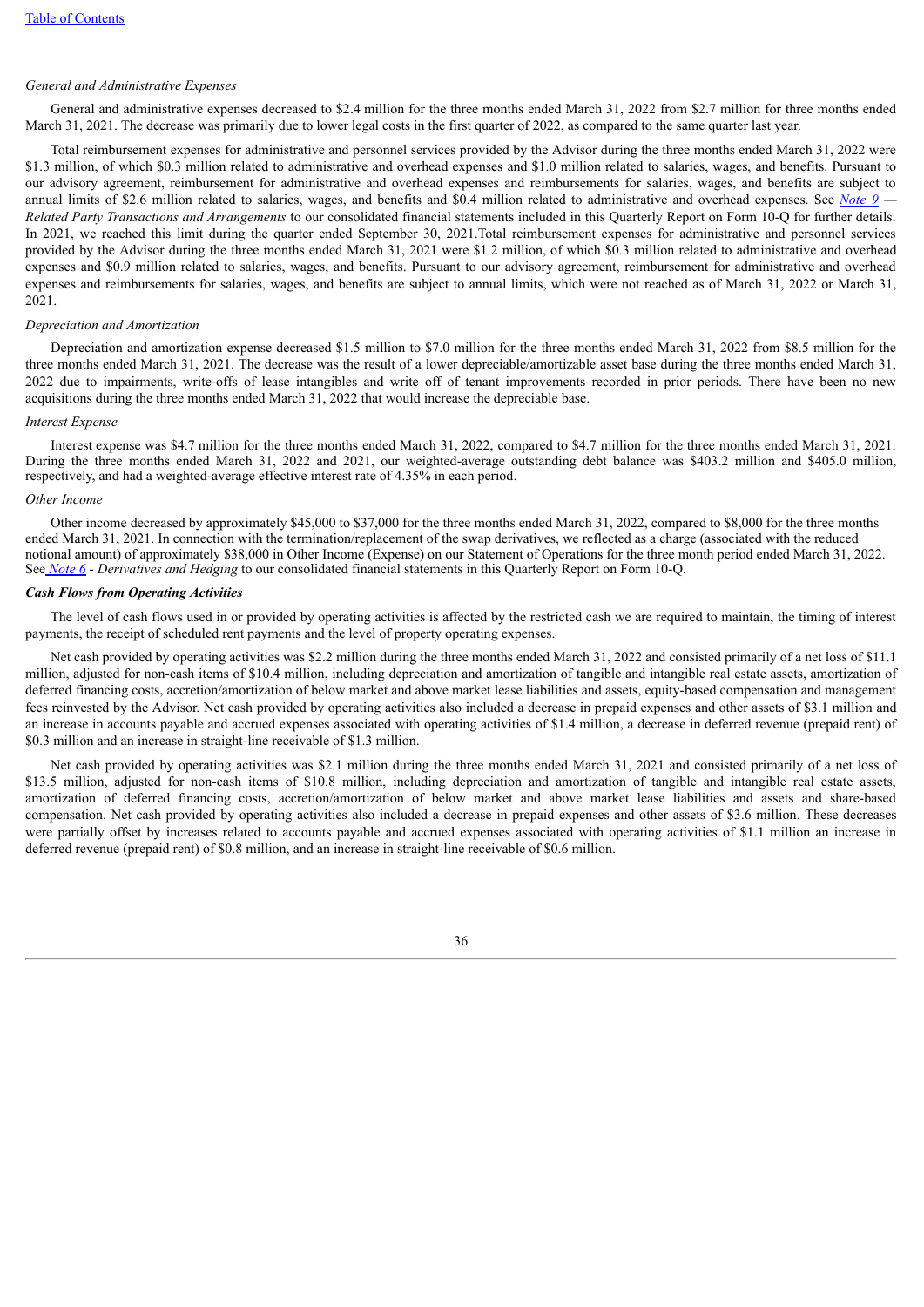# *General and Administrative Expenses*

General and administrative expenses decreased to \$2.4 million for the three months ended March 31, 2022 from \$2.7 million for three months ended March 31, 2021. The decrease was primarily due to lower legal costs in the first quarter of 2022, as compared to the same quarter last year.

Total reimbursement expenses for administrative and personnel services provided by the Advisor during the three months ended March 31, 2022 were \$1.3 million, of which \$0.3 million related to administrative and overhead expenses and \$1.0 million related to salaries, wages, and benefits. Pursuant to our advisory agreement, reimbursement for administrative and overhead expenses and reimbursements for salaries, wages, and benefits are subject to annual limits of \$2.6 million related to salaries, wages, and benefits and \$0.4 million related to administrative and overhead expenses. See *[Note](#page-21-0) 9 — Related Party Transactions and Arrangements* to our consolidated financial statements included in this Quarterly Report on Form 10-Q for further details. In 2021, we reached this limit during the quarter ended September 30, 2021.Total reimbursement expenses for administrative and personnel services provided by the Advisor during the three months ended March 31, 2021 were \$1.2 million, of which \$0.3 million related to administrative and overhead expenses and \$0.9 million related to salaries, wages, and benefits. Pursuant to our advisory agreement, reimbursement for administrative and overhead expenses and reimbursements for salaries, wages, and benefits are subject to annual limits, which were not reached as of March 31, 2022 or March 31, 2021.

# *Depreciation and Amortization*

Depreciation and amortization expense decreased \$1.5 million to \$7.0 million for the three months ended March 31, 2022 from \$8.5 million for the three months ended March 31, 2021. The decrease was the result of a lower depreciable/amortizable asset base during the three months ended March 31, 2022 due to impairments, write-offs of lease intangibles and write off of tenant improvements recorded in prior periods. There have been no new acquisitions during the three months ended March 31, 2022 that would increase the depreciable base.

#### *Interest Expense*

Interest expense was \$4.7 million for the three months ended March 31, 2022, compared to \$4.7 million for the three months ended March 31, 2021. During the three months ended March 31, 2022 and 2021, our weighted-average outstanding debt balance was \$403.2 million and \$405.0 million, respectively, and had a weighted-average effective interest rate of 4.35% in each period.

#### *Other Income*

Other income decreased by approximately \$45,000 to \$37,000 for the three months ended March 31, 2022, compared to \$8,000 for the three months ended March 31, 2021. In connection with the termination/replacement of the swap derivatives, we reflected as a charge (associated with the reduced notional amount) of approximately \$38,000 in Other Income (Expense) on our Statement of Operations for the three month period ended March 31, 2022. See *[Note](#page-17-0) 6* - *Derivatives and Hedging* to our consolidated financial statements in this Quarterly Report on Form 10-Q.

#### *Cash Flows from Operating Activities*

The level of cash flows used in or provided by operating activities is affected by the restricted cash we are required to maintain, the timing of interest payments, the receipt of scheduled rent payments and the level of property operating expenses.

Net cash provided by operating activities was \$2.2 million during the three months ended March 31, 2022 and consisted primarily of a net loss of \$11.1 million, adjusted for non-cash items of \$10.4 million, including depreciation and amortization of tangible and intangible real estate assets, amortization of deferred financing costs, accretion/amortization of below market and above market lease liabilities and assets, equity-based compensation and management fees reinvested by the Advisor. Net cash provided by operating activities also included a decrease in prepaid expenses and other assets of \$3.1 million and an increase in accounts payable and accrued expenses associated with operating activities of \$1.4 million, a decrease in deferred revenue (prepaid rent) of \$0.3 million and an increase in straight-line receivable of \$1.3 million.

Net cash provided by operating activities was \$2.1 million during the three months ended March 31, 2021 and consisted primarily of a net loss of \$13.5 million, adjusted for non-cash items of \$10.8 million, including depreciation and amortization of tangible and intangible real estate assets, amortization of deferred financing costs, accretion/amortization of below market and above market lease liabilities and assets and share-based compensation. Net cash provided by operating activities also included a decrease in prepaid expenses and other assets of \$3.6 million. These decreases were partially offset by increases related to accounts payable and accrued expenses associated with operating activities of \$1.1 million an increase in deferred revenue (prepaid rent) of \$0.8 million, and an increase in straight-line receivable of \$0.6 million.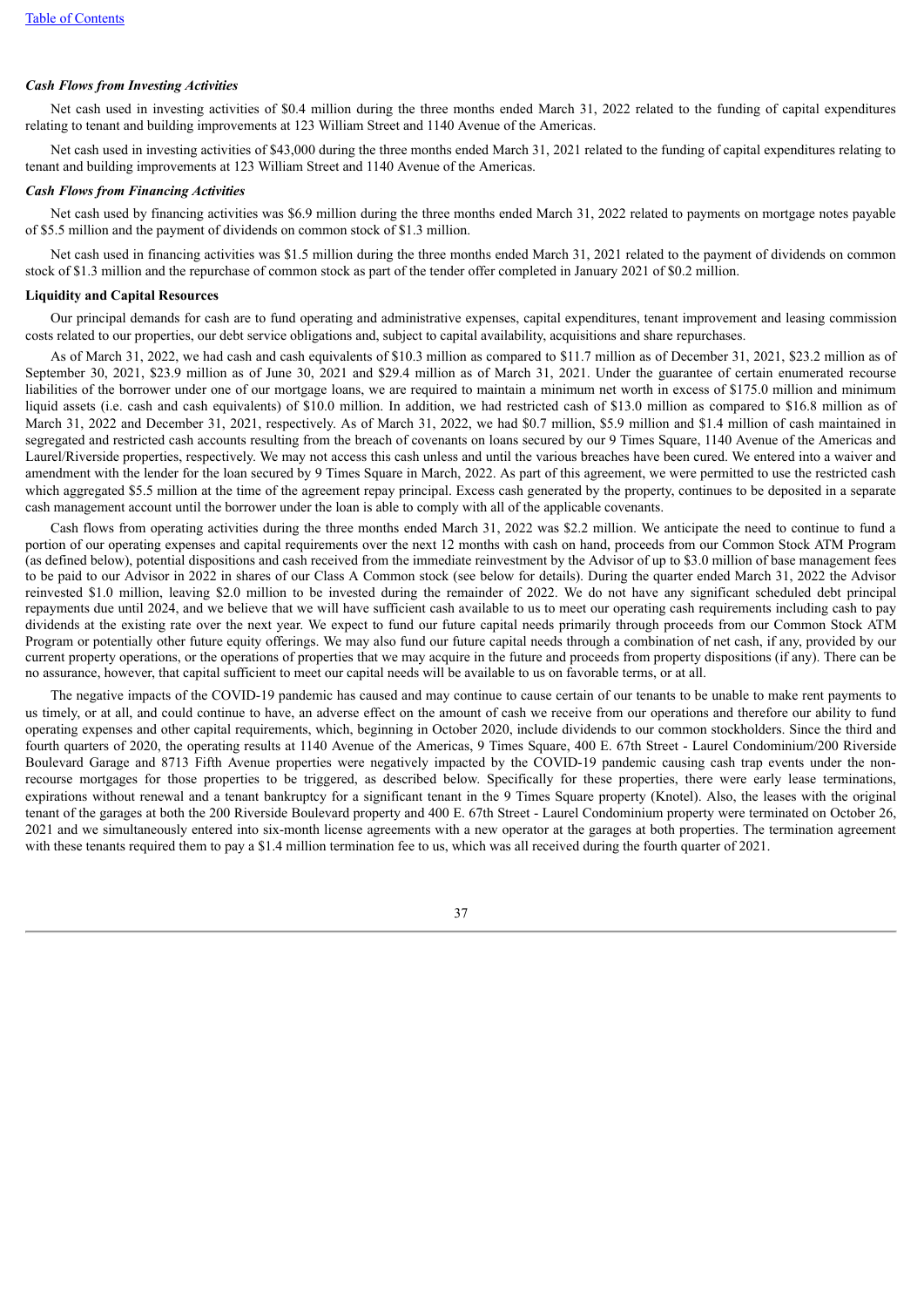# *Cash Flows from Investing Activities*

Net cash used in investing activities of \$0.4 million during the three months ended March 31, 2022 related to the funding of capital expenditures relating to tenant and building improvements at 123 William Street and 1140 Avenue of the Americas.

Net cash used in investing activities of \$43,000 during the three months ended March 31, 2021 related to the funding of capital expenditures relating to tenant and building improvements at 123 William Street and 1140 Avenue of the Americas.

# *Cash Flows from Financing Activities*

Net cash used by financing activities was \$6.9 million during the three months ended March 31, 2022 related to payments on mortgage notes payable of \$5.5 million and the payment of dividends on common stock of \$1.3 million.

Net cash used in financing activities was \$1.5 million during the three months ended March 31, 2021 related to the payment of dividends on common stock of \$1.3 million and the repurchase of common stock as part of the tender offer completed in January 2021 of \$0.2 million.

# **Liquidity and Capital Resources**

Our principal demands for cash are to fund operating and administrative expenses, capital expenditures, tenant improvement and leasing commission costs related to our properties, our debt service obligations and, subject to capital availability, acquisitions and share repurchases.

As of March 31, 2022, we had cash and cash equivalents of \$10.3 million as compared to \$11.7 million as of December 31, 2021, \$23.2 million as of September 30, 2021, \$23.9 million as of June 30, 2021 and \$29.4 million as of March 31, 2021. Under the guarantee of certain enumerated recourse liabilities of the borrower under one of our mortgage loans, we are required to maintain a minimum net worth in excess of \$175.0 million and minimum liquid assets (i.e. cash and cash equivalents) of \$10.0 million. In addition, we had restricted cash of \$13.0 million as compared to \$16.8 million as of March 31, 2022 and December 31, 2021, respectively. As of March 31, 2022, we had \$0.7 million, \$5.9 million and \$1.4 million of cash maintained in segregated and restricted cash accounts resulting from the breach of covenants on loans secured by our 9 Times Square, 1140 Avenue of the Americas and Laurel/Riverside properties, respectively. We may not access this cash unless and until the various breaches have been cured. We entered into a waiver and amendment with the lender for the loan secured by 9 Times Square in March, 2022. As part of this agreement, we were permitted to use the restricted cash which aggregated \$5.5 million at the time of the agreement repay principal. Excess cash generated by the property, continues to be deposited in a separate cash management account until the borrower under the loan is able to comply with all of the applicable covenants.

Cash flows from operating activities during the three months ended March 31, 2022 was \$2.2 million. We anticipate the need to continue to fund a portion of our operating expenses and capital requirements over the next 12 months with cash on hand, proceeds from our Common Stock ATM Program (as defined below), potential dispositions and cash received from the immediate reinvestment by the Advisor of up to \$3.0 million of base management fees to be paid to our Advisor in 2022 in shares of our Class A Common stock (see below for details). During the quarter ended March 31, 2022 the Advisor reinvested \$1.0 million, leaving \$2.0 million to be invested during the remainder of 2022. We do not have any significant scheduled debt principal repayments due until 2024, and we believe that we will have sufficient cash available to us to meet our operating cash requirements including cash to pay dividends at the existing rate over the next year. We expect to fund our future capital needs primarily through proceeds from our Common Stock ATM Program or potentially other future equity offerings. We may also fund our future capital needs through a combination of net cash, if any, provided by our current property operations, or the operations of properties that we may acquire in the future and proceeds from property dispositions (if any). There can be no assurance, however, that capital sufficient to meet our capital needs will be available to us on favorable terms, or at all.

The negative impacts of the COVID-19 pandemic has caused and may continue to cause certain of our tenants to be unable to make rent payments to us timely, or at all, and could continue to have, an adverse effect on the amount of cash we receive from our operations and therefore our ability to fund operating expenses and other capital requirements, which, beginning in October 2020, include dividends to our common stockholders. Since the third and fourth quarters of 2020, the operating results at 1140 Avenue of the Americas, 9 Times Square, 400 E. 67th Street - Laurel Condominium/200 Riverside Boulevard Garage and 8713 Fifth Avenue properties were negatively impacted by the COVID-19 pandemic causing cash trap events under the nonrecourse mortgages for those properties to be triggered, as described below. Specifically for these properties, there were early lease terminations, expirations without renewal and a tenant bankruptcy for a significant tenant in the 9 Times Square property (Knotel). Also, the leases with the original tenant of the garages at both the 200 Riverside Boulevard property and 400 E. 67th Street - Laurel Condominium property were terminated on October 26, 2021 and we simultaneously entered into six-month license agreements with a new operator at the garages at both properties. The termination agreement with these tenants required them to pay a \$1.4 million termination fee to us, which was all received during the fourth quarter of 2021.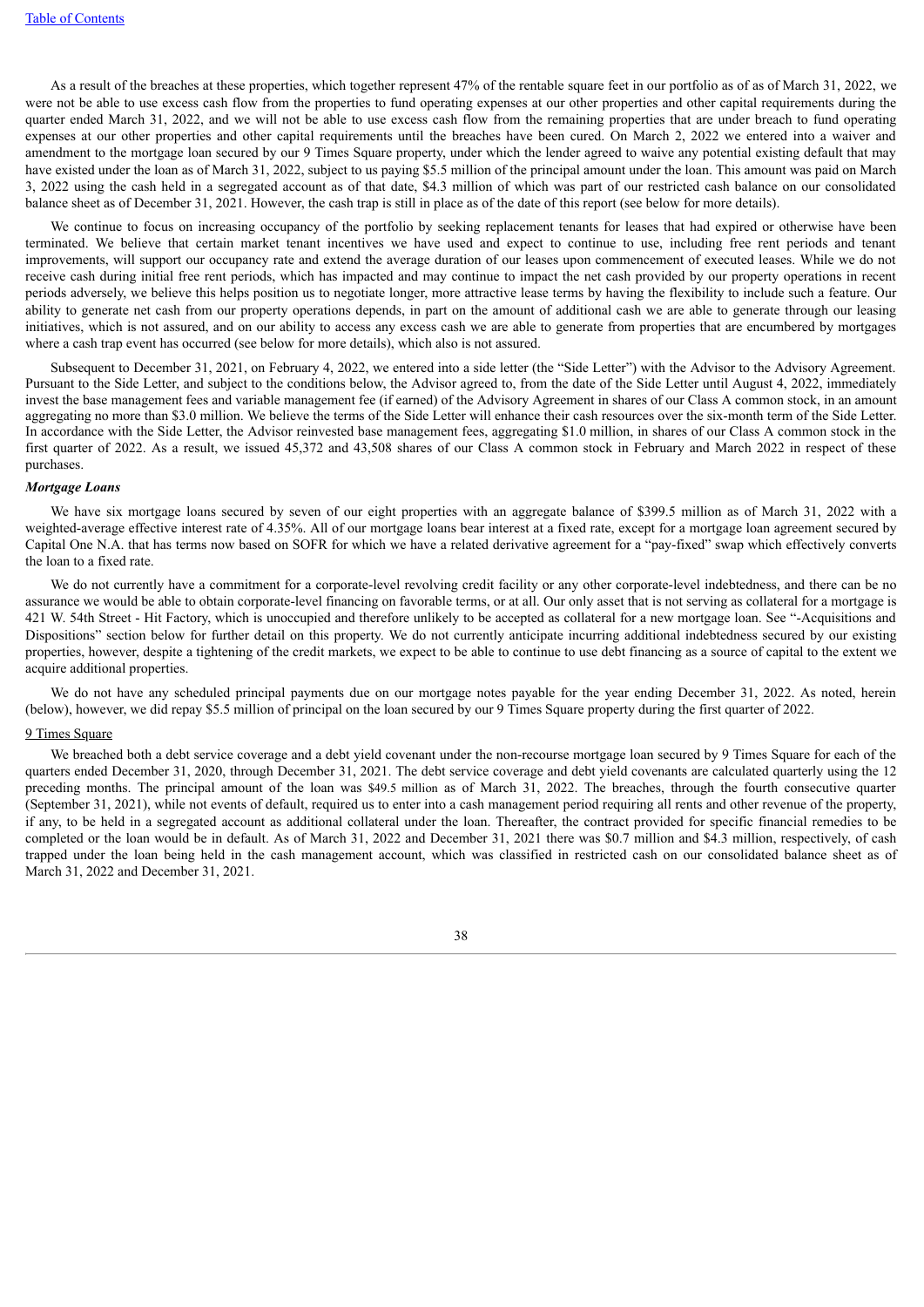As a result of the breaches at these properties, which together represent 47% of the rentable square feet in our portfolio as of as of March 31, 2022, we were not be able to use excess cash flow from the properties to fund operating expenses at our other properties and other capital requirements during the quarter ended March 31, 2022, and we will not be able to use excess cash flow from the remaining properties that are under breach to fund operating expenses at our other properties and other capital requirements until the breaches have been cured. On March 2, 2022 we entered into a waiver and amendment to the mortgage loan secured by our 9 Times Square property, under which the lender agreed to waive any potential existing default that may have existed under the loan as of March 31, 2022, subject to us paying \$5.5 million of the principal amount under the loan. This amount was paid on March 3, 2022 using the cash held in a segregated account as of that date, \$4.3 million of which was part of our restricted cash balance on our consolidated balance sheet as of December 31, 2021. However, the cash trap is still in place as of the date of this report (see below for more details).

We continue to focus on increasing occupancy of the portfolio by seeking replacement tenants for leases that had expired or otherwise have been terminated. We believe that certain market tenant incentives we have used and expect to continue to use, including free rent periods and tenant improvements, will support our occupancy rate and extend the average duration of our leases upon commencement of executed leases. While we do not receive cash during initial free rent periods, which has impacted and may continue to impact the net cash provided by our property operations in recent periods adversely, we believe this helps position us to negotiate longer, more attractive lease terms by having the flexibility to include such a feature. Our ability to generate net cash from our property operations depends, in part on the amount of additional cash we are able to generate through our leasing initiatives, which is not assured, and on our ability to access any excess cash we are able to generate from properties that are encumbered by mortgages where a cash trap event has occurred (see below for more details), which also is not assured.

Subsequent to December 31, 2021, on February 4, 2022, we entered into a side letter (the "Side Letter") with the Advisor to the Advisory Agreement. Pursuant to the Side Letter, and subject to the conditions below, the Advisor agreed to, from the date of the Side Letter until August 4, 2022, immediately invest the base management fees and variable management fee (if earned) of the Advisory Agreement in shares of our Class A common stock, in an amount aggregating no more than \$3.0 million. We believe the terms of the Side Letter will enhance their cash resources over the six-month term of the Side Letter. In accordance with the Side Letter, the Advisor reinvested base management fees, aggregating \$1.0 million, in shares of our Class A common stock in the first quarter of 2022. As a result, we issued 45,372 and 43,508 shares of our Class A common stock in February and March 2022 in respect of these purchases.

#### *Mortgage Loans*

We have six mortgage loans secured by seven of our eight properties with an aggregate balance of \$399.5 million as of March 31, 2022 with a weighted-average effective interest rate of 4.35%. All of our mortgage loans bear interest at a fixed rate, except for a mortgage loan agreement secured by Capital One N.A. that has terms now based on SOFR for which we have a related derivative agreement for a "pay-fixed" swap which effectively converts the loan to a fixed rate.

We do not currently have a commitment for a corporate-level revolving credit facility or any other corporate-level indebtedness, and there can be no assurance we would be able to obtain corporate-level financing on favorable terms, or at all. Our only asset that is not serving as collateral for a mortgage is 421 W. 54th Street - Hit Factory, which is unoccupied and therefore unlikely to be accepted as collateral for a new mortgage loan. See "-Acquisitions and Dispositions" section below for further detail on this property. We do not currently anticipate incurring additional indebtedness secured by our existing properties, however, despite a tightening of the credit markets, we expect to be able to continue to use debt financing as a source of capital to the extent we acquire additional properties.

We do not have any scheduled principal payments due on our mortgage notes payable for the year ending December 31, 2022. As noted, herein (below), however, we did repay \$5.5 million of principal on the loan secured by our 9 Times Square property during the first quarter of 2022.

#### 9 Times Square

We breached both a debt service coverage and a debt yield covenant under the non-recourse mortgage loan secured by 9 Times Square for each of the quarters ended December 31, 2020, through December 31, 2021. The debt service coverage and debt yield covenants are calculated quarterly using the 12 preceding months. The principal amount of the loan was \$49.5 million as of March 31, 2022. The breaches, through the fourth consecutive quarter (September 31, 2021), while not events of default, required us to enter into a cash management period requiring all rents and other revenue of the property, if any, to be held in a segregated account as additional collateral under the loan. Thereafter, the contract provided for specific financial remedies to be completed or the loan would be in default. As of March 31, 2022 and December 31, 2021 there was \$0.7 million and \$4.3 million, respectively, of cash trapped under the loan being held in the cash management account, which was classified in restricted cash on our consolidated balance sheet as of March 31, 2022 and December 31, 2021.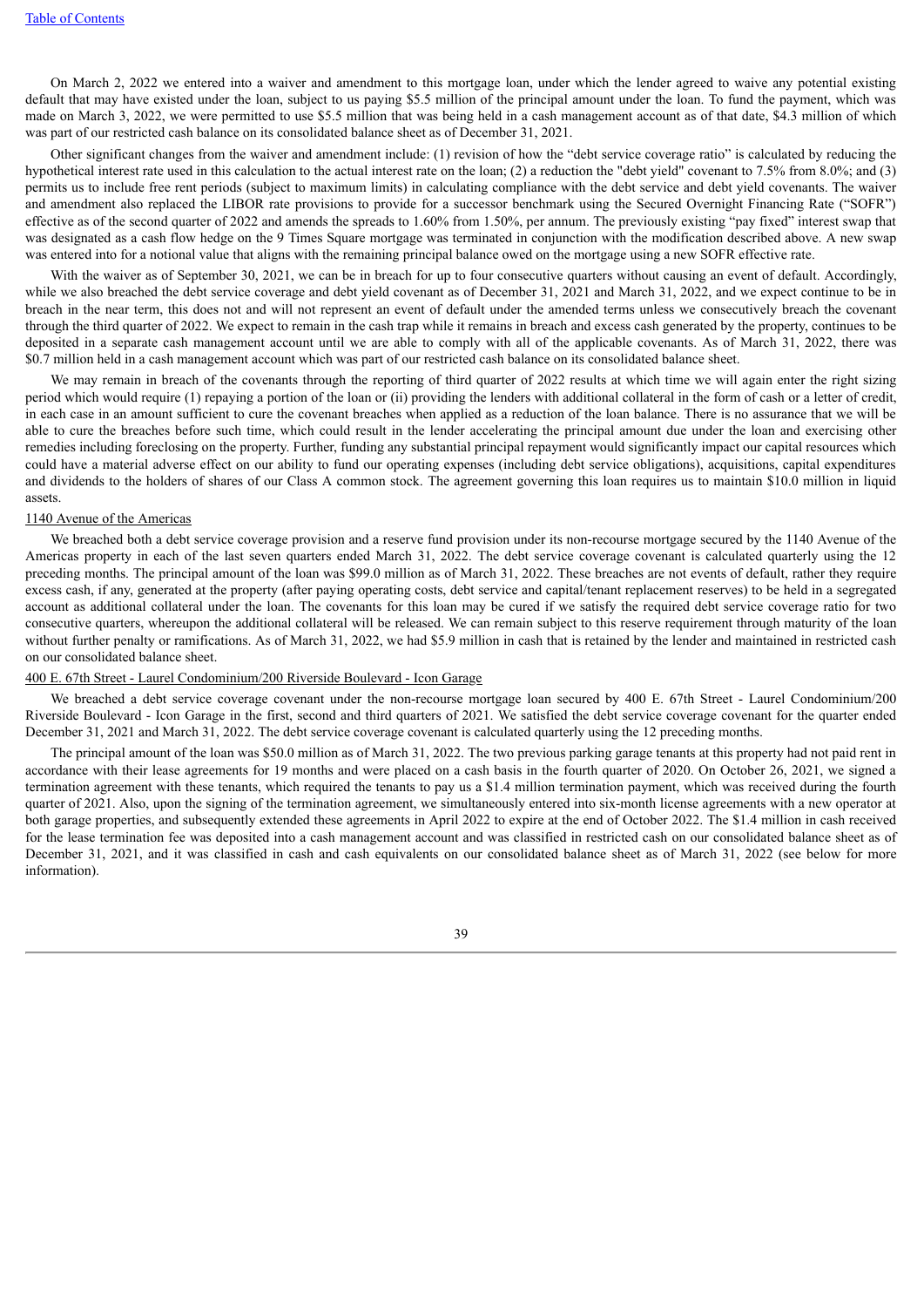On March 2, 2022 we entered into a waiver and amendment to this mortgage loan, under which the lender agreed to waive any potential existing default that may have existed under the loan, subject to us paying \$5.5 million of the principal amount under the loan. To fund the payment, which was made on March 3, 2022, we were permitted to use \$5.5 million that was being held in a cash management account as of that date, \$4.3 million of which was part of our restricted cash balance on its consolidated balance sheet as of December 31, 2021.

Other significant changes from the waiver and amendment include: (1) revision of how the "debt service coverage ratio" is calculated by reducing the hypothetical interest rate used in this calculation to the actual interest rate on the loan; (2) a reduction the "debt yield" covenant to 7.5% from 8.0%; and (3) permits us to include free rent periods (subject to maximum limits) in calculating compliance with the debt service and debt yield covenants. The waiver and amendment also replaced the LIBOR rate provisions to provide for a successor benchmark using the Secured Overnight Financing Rate ("SOFR") effective as of the second quarter of 2022 and amends the spreads to 1.60% from 1.50%, per annum. The previously existing "pay fixed" interest swap that was designated as a cash flow hedge on the 9 Times Square mortgage was terminated in conjunction with the modification described above. A new swap was entered into for a notional value that aligns with the remaining principal balance owed on the mortgage using a new SOFR effective rate.

With the waiver as of September 30, 2021, we can be in breach for up to four consecutive quarters without causing an event of default. Accordingly, while we also breached the debt service coverage and debt yield covenant as of December 31, 2021 and March 31, 2022, and we expect continue to be in breach in the near term, this does not and will not represent an event of default under the amended terms unless we consecutively breach the covenant through the third quarter of 2022. We expect to remain in the cash trap while it remains in breach and excess cash generated by the property, continues to be deposited in a separate cash management account until we are able to comply with all of the applicable covenants. As of March 31, 2022, there was \$0.7 million held in a cash management account which was part of our restricted cash balance on its consolidated balance sheet.

We may remain in breach of the covenants through the reporting of third quarter of 2022 results at which time we will again enter the right sizing period which would require (1) repaying a portion of the loan or (ii) providing the lenders with additional collateral in the form of cash or a letter of credit, in each case in an amount sufficient to cure the covenant breaches when applied as a reduction of the loan balance. There is no assurance that we will be able to cure the breaches before such time, which could result in the lender accelerating the principal amount due under the loan and exercising other remedies including foreclosing on the property. Further, funding any substantial principal repayment would significantly impact our capital resources which could have a material adverse effect on our ability to fund our operating expenses (including debt service obligations), acquisitions, capital expenditures and dividends to the holders of shares of our Class A common stock. The agreement governing this loan requires us to maintain \$10.0 million in liquid assets.

### 1140 Avenue of the Americas

We breached both a debt service coverage provision and a reserve fund provision under its non-recourse mortgage secured by the 1140 Avenue of the Americas property in each of the last seven quarters ended March 31, 2022. The debt service coverage covenant is calculated quarterly using the 12 preceding months. The principal amount of the loan was \$99.0 million as of March 31, 2022. These breaches are not events of default, rather they require excess cash, if any, generated at the property (after paying operating costs, debt service and capital/tenant replacement reserves) to be held in a segregated account as additional collateral under the loan. The covenants for this loan may be cured if we satisfy the required debt service coverage ratio for two consecutive quarters, whereupon the additional collateral will be released. We can remain subject to this reserve requirement through maturity of the loan without further penalty or ramifications. As of March 31, 2022, we had \$5.9 million in cash that is retained by the lender and maintained in restricted cash on our consolidated balance sheet.

### 400 E. 67th Street - Laurel Condominium/200 Riverside Boulevard - Icon Garage

We breached a debt service coverage covenant under the non-recourse mortgage loan secured by 400 E. 67th Street - Laurel Condominium/200 Riverside Boulevard - Icon Garage in the first, second and third quarters of 2021. We satisfied the debt service coverage covenant for the quarter ended December 31, 2021 and March 31, 2022. The debt service coverage covenant is calculated quarterly using the 12 preceding months.

The principal amount of the loan was \$50.0 million as of March 31, 2022. The two previous parking garage tenants at this property had not paid rent in accordance with their lease agreements for 19 months and were placed on a cash basis in the fourth quarter of 2020. On October 26, 2021, we signed a termination agreement with these tenants, which required the tenants to pay us a \$1.4 million termination payment, which was received during the fourth quarter of 2021. Also, upon the signing of the termination agreement, we simultaneously entered into six-month license agreements with a new operator at both garage properties, and subsequently extended these agreements in April 2022 to expire at the end of October 2022. The \$1.4 million in cash received for the lease termination fee was deposited into a cash management account and was classified in restricted cash on our consolidated balance sheet as of December 31, 2021, and it was classified in cash and cash equivalents on our consolidated balance sheet as of March 31, 2022 (see below for more information).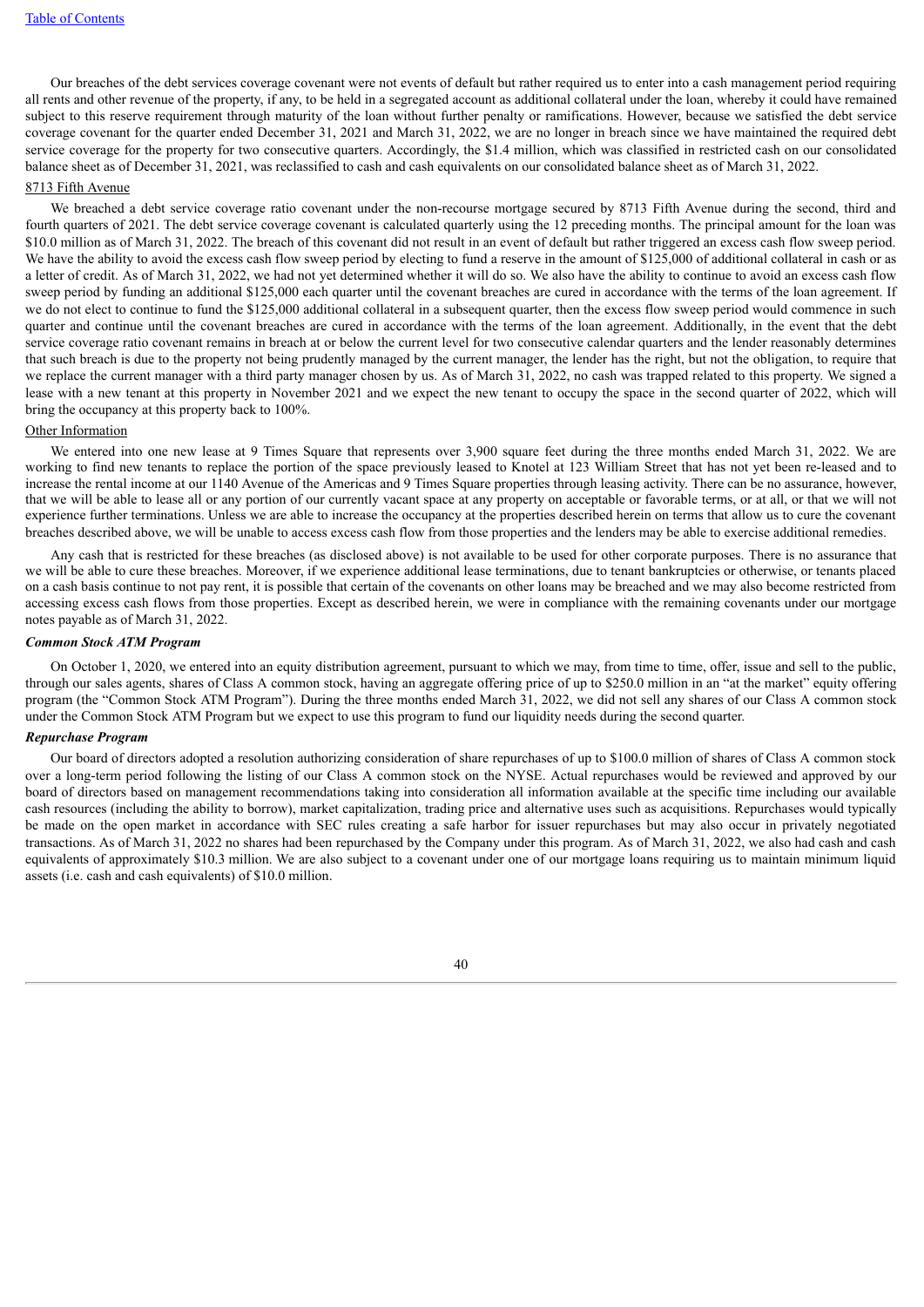Our breaches of the debt services coverage covenant were not events of default but rather required us to enter into a cash management period requiring all rents and other revenue of the property, if any, to be held in a segregated account as additional collateral under the loan, whereby it could have remained subject to this reserve requirement through maturity of the loan without further penalty or ramifications. However, because we satisfied the debt service coverage covenant for the quarter ended December 31, 2021 and March 31, 2022, we are no longer in breach since we have maintained the required debt service coverage for the property for two consecutive quarters. Accordingly, the \$1.4 million, which was classified in restricted cash on our consolidated balance sheet as of December 31, 2021, was reclassified to cash and cash equivalents on our consolidated balance sheet as of March 31, 2022.

## 8713 Fifth Avenue

We breached a debt service coverage ratio covenant under the non-recourse mortgage secured by 8713 Fifth Avenue during the second, third and fourth quarters of 2021. The debt service coverage covenant is calculated quarterly using the 12 preceding months. The principal amount for the loan was \$10.0 million as of March 31, 2022. The breach of this covenant did not result in an event of default but rather triggered an excess cash flow sweep period. We have the ability to avoid the excess cash flow sweep period by electing to fund a reserve in the amount of \$125,000 of additional collateral in cash or as a letter of credit. As of March 31, 2022, we had not yet determined whether it will do so. We also have the ability to continue to avoid an excess cash flow sweep period by funding an additional \$125,000 each quarter until the covenant breaches are cured in accordance with the terms of the loan agreement. If we do not elect to continue to fund the \$125,000 additional collateral in a subsequent quarter, then the excess flow sweep period would commence in such quarter and continue until the covenant breaches are cured in accordance with the terms of the loan agreement. Additionally, in the event that the debt service coverage ratio covenant remains in breach at or below the current level for two consecutive calendar quarters and the lender reasonably determines that such breach is due to the property not being prudently managed by the current manager, the lender has the right, but not the obligation, to require that we replace the current manager with a third party manager chosen by us. As of March 31, 2022, no cash was trapped related to this property. We signed a lease with a new tenant at this property in November 2021 and we expect the new tenant to occupy the space in the second quarter of 2022, which will bring the occupancy at this property back to 100%.

### Other Information

We entered into one new lease at 9 Times Square that represents over 3,900 square feet during the three months ended March 31, 2022. We are working to find new tenants to replace the portion of the space previously leased to Knotel at 123 William Street that has not yet been re-leased and to increase the rental income at our 1140 Avenue of the Americas and 9 Times Square properties through leasing activity. There can be no assurance, however, that we will be able to lease all or any portion of our currently vacant space at any property on acceptable or favorable terms, or at all, or that we will not experience further terminations. Unless we are able to increase the occupancy at the properties described herein on terms that allow us to cure the covenant breaches described above, we will be unable to access excess cash flow from those properties and the lenders may be able to exercise additional remedies.

Any cash that is restricted for these breaches (as disclosed above) is not available to be used for other corporate purposes. There is no assurance that we will be able to cure these breaches. Moreover, if we experience additional lease terminations, due to tenant bankruptcies or otherwise, or tenants placed on a cash basis continue to not pay rent, it is possible that certain of the covenants on other loans may be breached and we may also become restricted from accessing excess cash flows from those properties. Except as described herein, we were in compliance with the remaining covenants under our mortgage notes payable as of March 31, 2022.

### *Common Stock ATM Program*

On October 1, 2020, we entered into an equity distribution agreement, pursuant to which we may, from time to time, offer, issue and sell to the public, through our sales agents, shares of Class A common stock, having an aggregate offering price of up to \$250.0 million in an "at the market" equity offering program (the "Common Stock ATM Program"). During the three months ended March 31, 2022, we did not sell any shares of our Class A common stock under the Common Stock ATM Program but we expect to use this program to fund our liquidity needs during the second quarter.

# *Repurchase Program*

Our board of directors adopted a resolution authorizing consideration of share repurchases of up to \$100.0 million of shares of Class A common stock over a long-term period following the listing of our Class A common stock on the NYSE. Actual repurchases would be reviewed and approved by our board of directors based on management recommendations taking into consideration all information available at the specific time including our available cash resources (including the ability to borrow), market capitalization, trading price and alternative uses such as acquisitions. Repurchases would typically be made on the open market in accordance with SEC rules creating a safe harbor for issuer repurchases but may also occur in privately negotiated transactions. As of March 31, 2022 no shares had been repurchased by the Company under this program. As of March 31, 2022, we also had cash and cash equivalents of approximately \$10.3 million. We are also subject to a covenant under one of our mortgage loans requiring us to maintain minimum liquid assets (i.e. cash and cash equivalents) of \$10.0 million.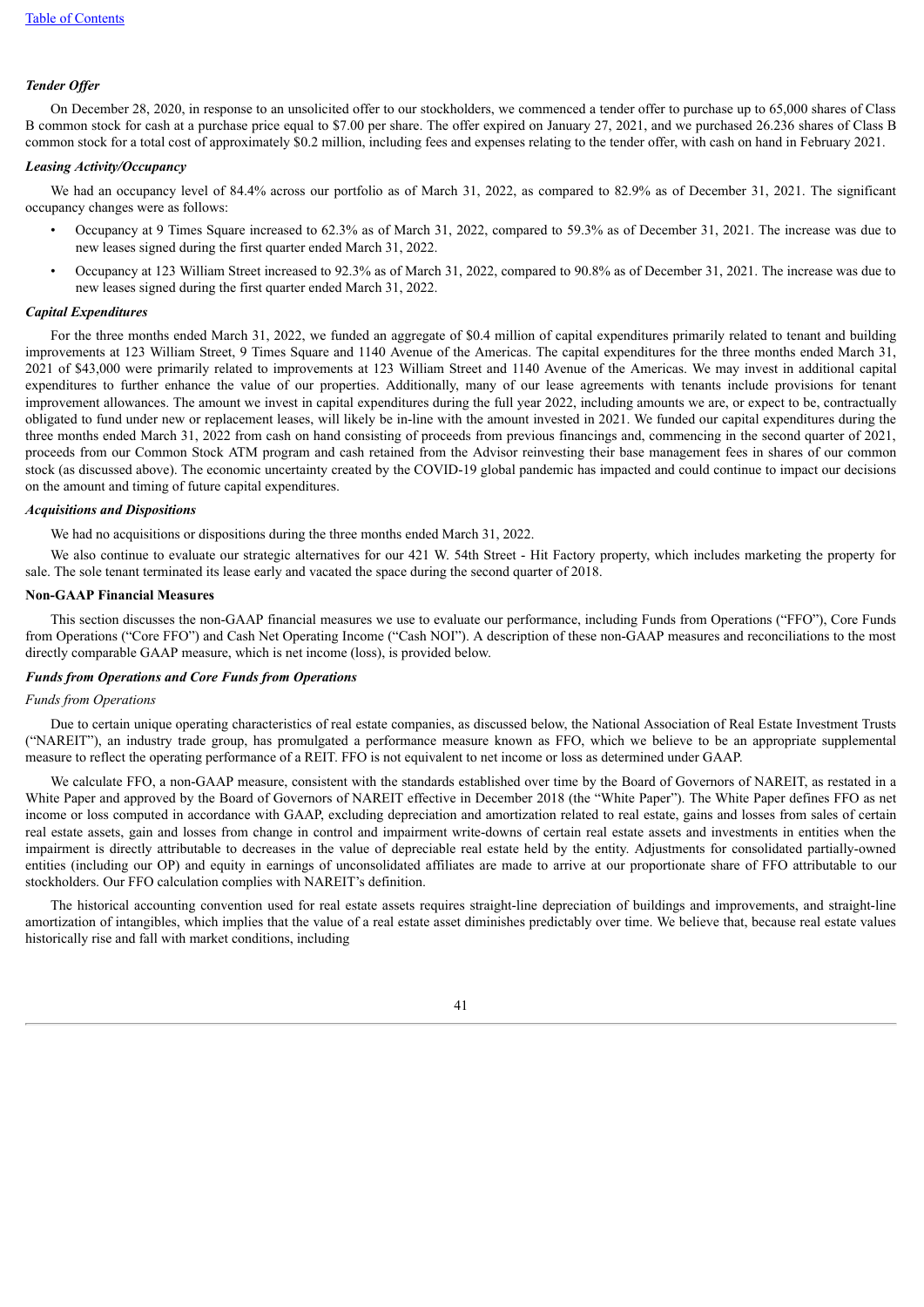#### *Tender Offer*

On December 28, 2020, in response to an unsolicited offer to our stockholders, we commenced a tender offer to purchase up to 65,000 shares of Class B common stock for cash at a purchase price equal to \$7.00 per share. The offer expired on January 27, 2021, and we purchased 26.236 shares of Class B common stock for a total cost of approximately \$0.2 million, including fees and expenses relating to the tender offer, with cash on hand in February 2021.

#### *Leasing Activity/Occupancy*

We had an occupancy level of 84.4% across our portfolio as of March 31, 2022, as compared to 82.9% as of December 31, 2021. The significant occupancy changes were as follows:

- Occupancy at 9 Times Square increased to 62.3% as of March 31, 2022, compared to 59.3% as of December 31, 2021. The increase was due to new leases signed during the first quarter ended March 31, 2022.
- Occupancy at 123 William Street increased to 92.3% as of March 31, 2022, compared to 90.8% as of December 31, 2021. The increase was due to new leases signed during the first quarter ended March 31, 2022.

#### *Capital Expenditures*

For the three months ended March 31, 2022, we funded an aggregate of \$0.4 million of capital expenditures primarily related to tenant and building improvements at 123 William Street, 9 Times Square and 1140 Avenue of the Americas. The capital expenditures for the three months ended March 31, 2021 of \$43,000 were primarily related to improvements at 123 William Street and 1140 Avenue of the Americas. We may invest in additional capital expenditures to further enhance the value of our properties. Additionally, many of our lease agreements with tenants include provisions for tenant improvement allowances. The amount we invest in capital expenditures during the full year 2022, including amounts we are, or expect to be, contractually obligated to fund under new or replacement leases, will likely be in-line with the amount invested in 2021. We funded our capital expenditures during the three months ended March 31, 2022 from cash on hand consisting of proceeds from previous financings and, commencing in the second quarter of 2021, proceeds from our Common Stock ATM program and cash retained from the Advisor reinvesting their base management fees in shares of our common stock (as discussed above). The economic uncertainty created by the COVID-19 global pandemic has impacted and could continue to impact our decisions on the amount and timing of future capital expenditures.

#### *Acquisitions and Dispositions*

We had no acquisitions or dispositions during the three months ended March 31, 2022.

We also continue to evaluate our strategic alternatives for our 421 W. 54th Street - Hit Factory property, which includes marketing the property for sale. The sole tenant terminated its lease early and vacated the space during the second quarter of 2018.

### **Non-GAAP Financial Measures**

This section discusses the non-GAAP financial measures we use to evaluate our performance, including Funds from Operations ("FFO"), Core Funds from Operations ("Core FFO") and Cash Net Operating Income ("Cash NOI"). A description of these non-GAAP measures and reconciliations to the most directly comparable GAAP measure, which is net income (loss), is provided below.

#### *Funds from Operations and Core Funds from Operations*

#### *Funds from Operations*

Due to certain unique operating characteristics of real estate companies, as discussed below, the National Association of Real Estate Investment Trusts ("NAREIT"), an industry trade group, has promulgated a performance measure known as FFO, which we believe to be an appropriate supplemental measure to reflect the operating performance of a REIT. FFO is not equivalent to net income or loss as determined under GAAP.

We calculate FFO, a non-GAAP measure, consistent with the standards established over time by the Board of Governors of NAREIT, as restated in a White Paper and approved by the Board of Governors of NAREIT effective in December 2018 (the "White Paper"). The White Paper defines FFO as net income or loss computed in accordance with GAAP, excluding depreciation and amortization related to real estate, gains and losses from sales of certain real estate assets, gain and losses from change in control and impairment write-downs of certain real estate assets and investments in entities when the impairment is directly attributable to decreases in the value of depreciable real estate held by the entity. Adjustments for consolidated partially-owned entities (including our OP) and equity in earnings of unconsolidated affiliates are made to arrive at our proportionate share of FFO attributable to our stockholders. Our FFO calculation complies with NAREIT's definition.

The historical accounting convention used for real estate assets requires straight-line depreciation of buildings and improvements, and straight-line amortization of intangibles, which implies that the value of a real estate asset diminishes predictably over time. We believe that, because real estate values historically rise and fall with market conditions, including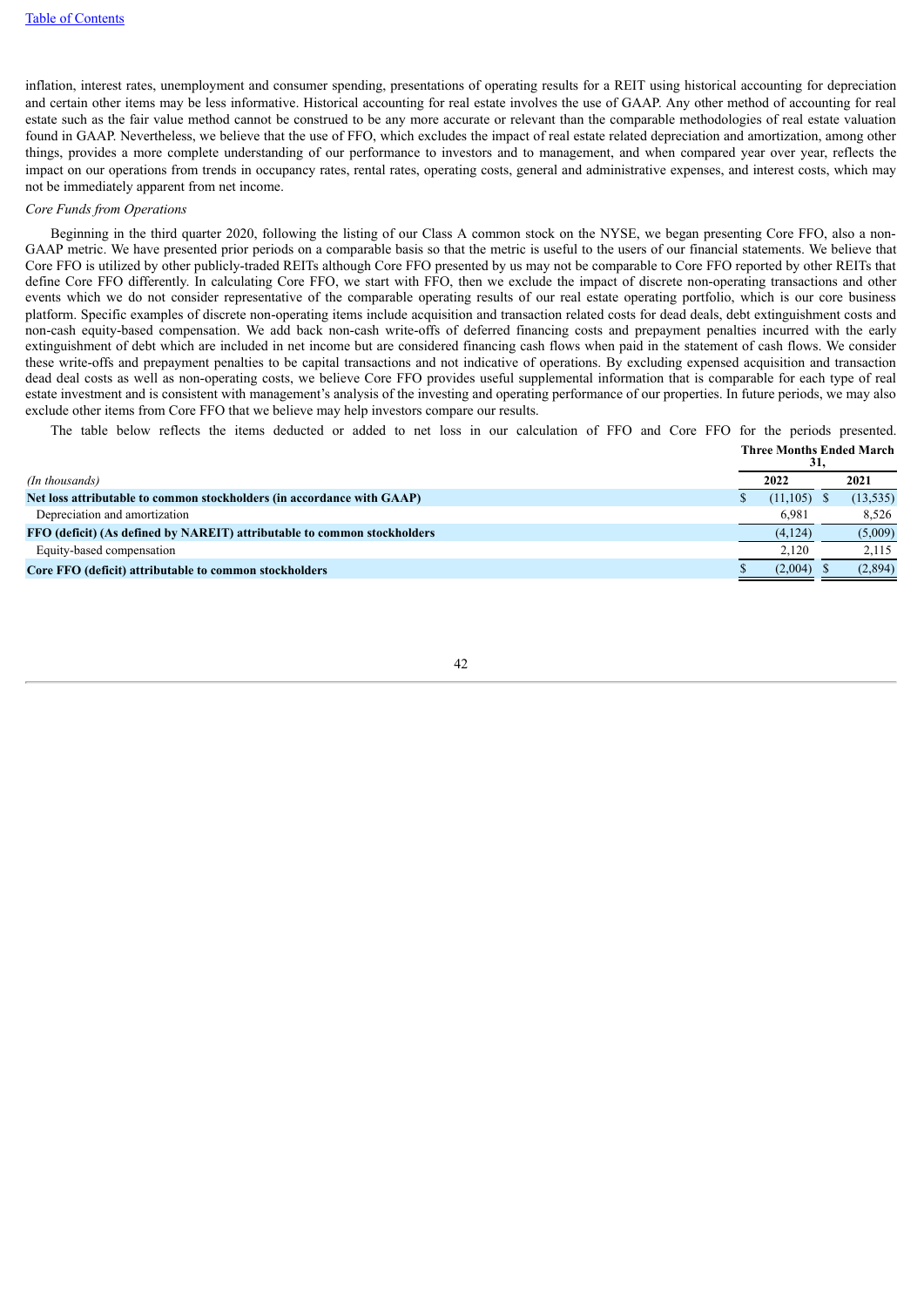inflation, interest rates, unemployment and consumer spending, presentations of operating results for a REIT using historical accounting for depreciation and certain other items may be less informative. Historical accounting for real estate involves the use of GAAP. Any other method of accounting for real estate such as the fair value method cannot be construed to be any more accurate or relevant than the comparable methodologies of real estate valuation found in GAAP. Nevertheless, we believe that the use of FFO, which excludes the impact of real estate related depreciation and amortization, among other things, provides a more complete understanding of our performance to investors and to management, and when compared year over year, reflects the impact on our operations from trends in occupancy rates, rental rates, operating costs, general and administrative expenses, and interest costs, which may not be immediately apparent from net income.

#### *Core Funds from Operations*

Beginning in the third quarter 2020, following the listing of our Class A common stock on the NYSE, we began presenting Core FFO, also a non-GAAP metric. We have presented prior periods on a comparable basis so that the metric is useful to the users of our financial statements. We believe that Core FFO is utilized by other publicly-traded REITs although Core FFO presented by us may not be comparable to Core FFO reported by other REITs that define Core FFO differently. In calculating Core FFO, we start with FFO, then we exclude the impact of discrete non-operating transactions and other events which we do not consider representative of the comparable operating results of our real estate operating portfolio, which is our core business platform. Specific examples of discrete non-operating items include acquisition and transaction related costs for dead deals, debt extinguishment costs and non-cash equity-based compensation. We add back non-cash write-offs of deferred financing costs and prepayment penalties incurred with the early extinguishment of debt which are included in net income but are considered financing cash flows when paid in the statement of cash flows. We consider these write-offs and prepayment penalties to be capital transactions and not indicative of operations. By excluding expensed acquisition and transaction dead deal costs as well as non-operating costs, we believe Core FFO provides useful supplemental information that is comparable for each type of real estate investment and is consistent with management's analysis of the investing and operating performance of our properties. In future periods, we may also exclude other items from Core FFO that we believe may help investors compare our results.

The table below reflects the items deducted or added to net loss in our calculation of FFO and Core FFO for the periods presented.

| <b>Three Months Ended March</b> |  |
|---------------------------------|--|
|                                 |  |

|                                                                          | 31.           |           |
|--------------------------------------------------------------------------|---------------|-----------|
| (In thousands)                                                           | 2022          | 2021      |
| Net loss attributable to common stockholders (in accordance with GAAP)   | $(11,105)$ \$ | (13, 535) |
| Depreciation and amortization                                            | 6.981         | 8.526     |
| FFO (deficit) (As defined by NAREIT) attributable to common stockholders | (4,124)       | (5,009)   |
| Equity-based compensation                                                | 2.120         | 2.115     |
| Core FFO (deficit) attributable to common stockholders                   | (2,004)       | (2,894)   |
|                                                                          |               |           |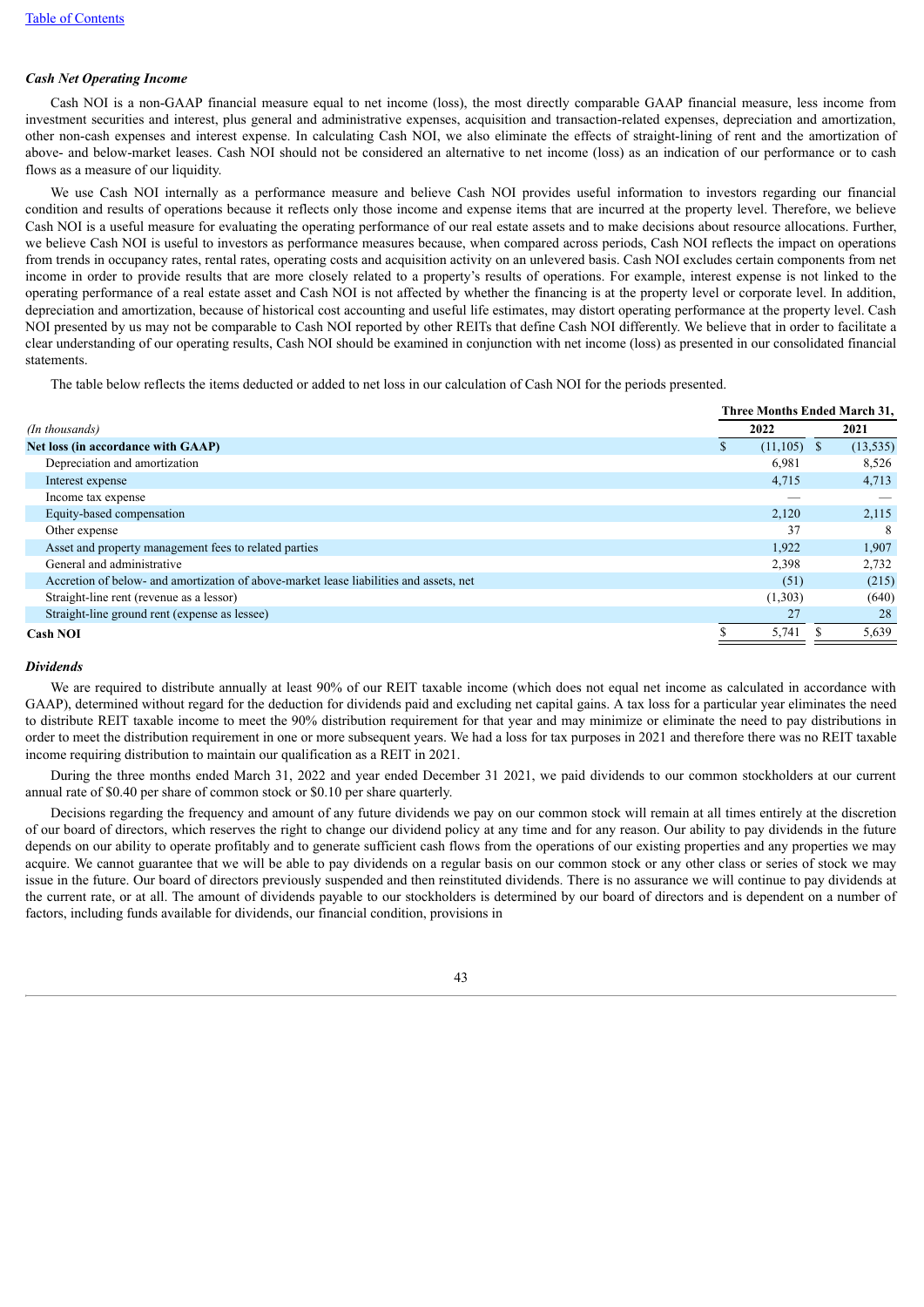## *Cash Net Operating Income*

Cash NOI is a non-GAAP financial measure equal to net income (loss), the most directly comparable GAAP financial measure, less income from investment securities and interest, plus general and administrative expenses, acquisition and transaction-related expenses, depreciation and amortization, other non-cash expenses and interest expense. In calculating Cash NOI, we also eliminate the effects of straight-lining of rent and the amortization of above- and below-market leases. Cash NOI should not be considered an alternative to net income (loss) as an indication of our performance or to cash flows as a measure of our liquidity.

We use Cash NOI internally as a performance measure and believe Cash NOI provides useful information to investors regarding our financial condition and results of operations because it reflects only those income and expense items that are incurred at the property level. Therefore, we believe Cash NOI is a useful measure for evaluating the operating performance of our real estate assets and to make decisions about resource allocations. Further, we believe Cash NOI is useful to investors as performance measures because, when compared across periods, Cash NOI reflects the impact on operations from trends in occupancy rates, rental rates, operating costs and acquisition activity on an unlevered basis. Cash NOI excludes certain components from net income in order to provide results that are more closely related to a property's results of operations. For example, interest expense is not linked to the operating performance of a real estate asset and Cash NOI is not affected by whether the financing is at the property level or corporate level. In addition, depreciation and amortization, because of historical cost accounting and useful life estimates, may distort operating performance at the property level. Cash NOI presented by us may not be comparable to Cash NOI reported by other REITs that define Cash NOI differently. We believe that in order to facilitate a clear understanding of our operating results, Cash NOI should be examined in conjunction with net income (loss) as presented in our consolidated financial statements.

The table below reflects the items deducted or added to net loss in our calculation of Cash NOI for the periods presented.

|                                                                                        | Three Months Ended March 31, |                |  |           |
|----------------------------------------------------------------------------------------|------------------------------|----------------|--|-----------|
| (In thousands)                                                                         |                              | 2022           |  | 2021      |
| Net loss (in accordance with GAAP)                                                     |                              | $(11, 105)$ \$ |  | (13, 535) |
| Depreciation and amortization                                                          |                              | 6,981          |  | 8,526     |
| Interest expense                                                                       |                              | 4,715          |  | 4,713     |
| Income tax expense                                                                     |                              |                |  |           |
| Equity-based compensation                                                              |                              | 2,120          |  | 2,115     |
| Other expense                                                                          |                              | 37             |  | 8         |
| Asset and property management fees to related parties                                  |                              | 1,922          |  | 1,907     |
| General and administrative                                                             |                              | 2,398          |  | 2,732     |
| Accretion of below- and amortization of above-market lease liabilities and assets, net |                              | (51)           |  | (215)     |
| Straight-line rent (revenue as a lessor)                                               |                              | (1,303)        |  | (640)     |
| Straight-line ground rent (expense as lessee)                                          |                              | 27             |  | 28        |
| <b>Cash NOI</b>                                                                        |                              | 5,741          |  | 5,639     |

#### *Dividends*

We are required to distribute annually at least 90% of our REIT taxable income (which does not equal net income as calculated in accordance with GAAP), determined without regard for the deduction for dividends paid and excluding net capital gains. A tax loss for a particular year eliminates the need to distribute REIT taxable income to meet the 90% distribution requirement for that year and may minimize or eliminate the need to pay distributions in order to meet the distribution requirement in one or more subsequent years. We had a loss for tax purposes in 2021 and therefore there was no REIT taxable income requiring distribution to maintain our qualification as a REIT in 2021.

During the three months ended March 31, 2022 and year ended December 31 2021, we paid dividends to our common stockholders at our current annual rate of \$0.40 per share of common stock or \$0.10 per share quarterly.

Decisions regarding the frequency and amount of any future dividends we pay on our common stock will remain at all times entirely at the discretion of our board of directors, which reserves the right to change our dividend policy at any time and for any reason. Our ability to pay dividends in the future depends on our ability to operate profitably and to generate sufficient cash flows from the operations of our existing properties and any properties we may acquire. We cannot guarantee that we will be able to pay dividends on a regular basis on our common stock or any other class or series of stock we may issue in the future. Our board of directors previously suspended and then reinstituted dividends. There is no assurance we will continue to pay dividends at the current rate, or at all. The amount of dividends payable to our stockholders is determined by our board of directors and is dependent on a number of factors, including funds available for dividends, our financial condition, provisions in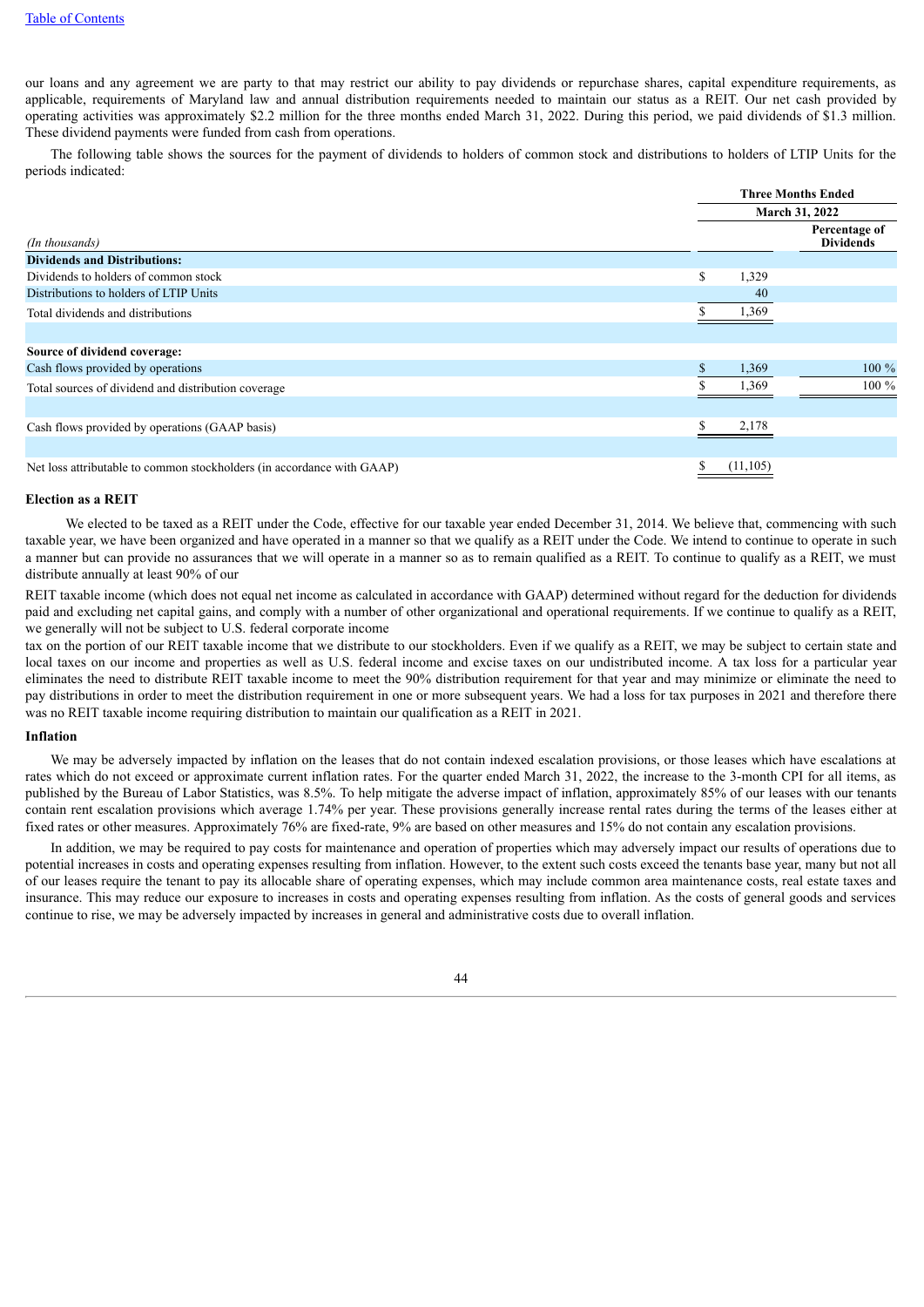our loans and any agreement we are party to that may restrict our ability to pay dividends or repurchase shares, capital expenditure requirements, as applicable, requirements of Maryland law and annual distribution requirements needed to maintain our status as a REIT. Our net cash provided by operating activities was approximately \$2.2 million for the three months ended March 31, 2022. During this period, we paid dividends of \$1.3 million. These dividend payments were funded from cash from operations.

The following table shows the sources for the payment of dividends to holders of common stock and distributions to holders of LTIP Units for the periods indicated:

|                                                                        | <b>Three Months Ended</b> |                                   |  |
|------------------------------------------------------------------------|---------------------------|-----------------------------------|--|
|                                                                        |                           | <b>March 31, 2022</b>             |  |
| (In thousands)                                                         |                           | Percentage of<br><b>Dividends</b> |  |
| <b>Dividends and Distributions:</b>                                    |                           |                                   |  |
| Dividends to holders of common stock                                   | \$<br>1,329               |                                   |  |
| Distributions to holders of LTIP Units                                 | 40                        |                                   |  |
| Total dividends and distributions                                      | 1,369                     |                                   |  |
|                                                                        |                           |                                   |  |
| Source of dividend coverage:                                           |                           |                                   |  |
| Cash flows provided by operations                                      | 1,369                     | $100 \%$                          |  |
| Total sources of dividend and distribution coverage                    | 1,369                     | $100 \%$                          |  |
|                                                                        |                           |                                   |  |
| Cash flows provided by operations (GAAP basis)                         | 2,178                     |                                   |  |
|                                                                        |                           |                                   |  |
| Net loss attributable to common stockholders (in accordance with GAAP) | (11, 105)                 |                                   |  |

#### **Election as a REIT**

We elected to be taxed as a REIT under the Code, effective for our taxable year ended December 31, 2014. We believe that, commencing with such taxable year, we have been organized and have operated in a manner so that we qualify as a REIT under the Code. We intend to continue to operate in such a manner but can provide no assurances that we will operate in a manner so as to remain qualified as a REIT. To continue to qualify as a REIT, we must distribute annually at least 90% of our

REIT taxable income (which does not equal net income as calculated in accordance with GAAP) determined without regard for the deduction for dividends paid and excluding net capital gains, and comply with a number of other organizational and operational requirements. If we continue to qualify as a REIT, we generally will not be subject to U.S. federal corporate income

tax on the portion of our REIT taxable income that we distribute to our stockholders. Even if we qualify as a REIT, we may be subject to certain state and local taxes on our income and properties as well as U.S. federal income and excise taxes on our undistributed income. A tax loss for a particular year eliminates the need to distribute REIT taxable income to meet the 90% distribution requirement for that year and may minimize or eliminate the need to pay distributions in order to meet the distribution requirement in one or more subsequent years. We had a loss for tax purposes in 2021 and therefore there was no REIT taxable income requiring distribution to maintain our qualification as a REIT in 2021.

#### **Inflation**

We may be adversely impacted by inflation on the leases that do not contain indexed escalation provisions, or those leases which have escalations at rates which do not exceed or approximate current inflation rates. For the quarter ended March 31, 2022, the increase to the 3-month CPI for all items, as published by the Bureau of Labor Statistics, was 8.5%. To help mitigate the adverse impact of inflation, approximately 85% of our leases with our tenants contain rent escalation provisions which average 1.74% per year. These provisions generally increase rental rates during the terms of the leases either at fixed rates or other measures. Approximately 76% are fixed-rate, 9% are based on other measures and 15% do not contain any escalation provisions.

In addition, we may be required to pay costs for maintenance and operation of properties which may adversely impact our results of operations due to potential increases in costs and operating expenses resulting from inflation. However, to the extent such costs exceed the tenants base year, many but not all of our leases require the tenant to pay its allocable share of operating expenses, which may include common area maintenance costs, real estate taxes and insurance. This may reduce our exposure to increases in costs and operating expenses resulting from inflation. As the costs of general goods and services continue to rise, we may be adversely impacted by increases in general and administrative costs due to overall inflation.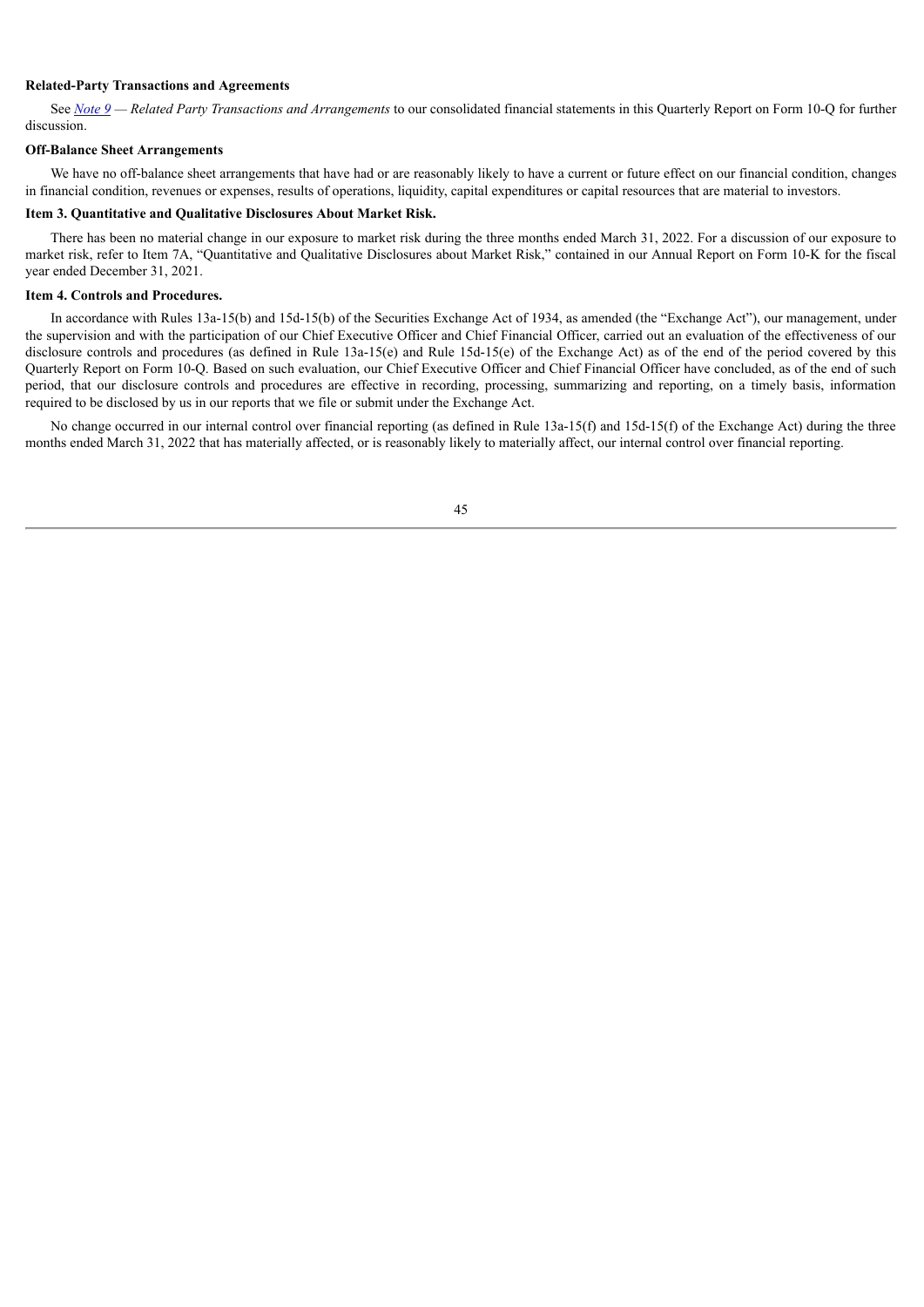#### **Related-Party Transactions and Agreements**

See *[Note](#page-21-0) 9 — Related Party Transactions and Arrangements* to our consolidated financial statements in this Quarterly Report on Form 10-Q for further discussion.

#### **Off-Balance Sheet Arrangements**

We have no off-balance sheet arrangements that have had or are reasonably likely to have a current or future effect on our financial condition, changes in financial condition, revenues or expenses, results of operations, liquidity, capital expenditures or capital resources that are material to investors.

#### <span id="page-44-0"></span>**Item 3. Quantitative and Qualitative Disclosures About Market Risk.**

There has been no material change in our exposure to market risk during the three months ended March 31, 2022. For a discussion of our exposure to market risk, refer to Item 7A, "Quantitative and Qualitative Disclosures about Market Risk," contained in our Annual Report on Form 10-K for the fiscal year ended December 31, 2021.

#### <span id="page-44-1"></span>**Item 4. Controls and Procedures.**

In accordance with Rules 13a-15(b) and 15d-15(b) of the Securities Exchange Act of 1934, as amended (the "Exchange Act"), our management, under the supervision and with the participation of our Chief Executive Officer and Chief Financial Officer, carried out an evaluation of the effectiveness of our disclosure controls and procedures (as defined in Rule 13a-15(e) and Rule 15d-15(e) of the Exchange Act) as of the end of the period covered by this Quarterly Report on Form 10-Q. Based on such evaluation, our Chief Executive Officer and Chief Financial Officer have concluded, as of the end of such period, that our disclosure controls and procedures are effective in recording, processing, summarizing and reporting, on a timely basis, information required to be disclosed by us in our reports that we file or submit under the Exchange Act.

<span id="page-44-2"></span>No change occurred in our internal control over financial reporting (as defined in Rule 13a-15(f) and 15d-15(f) of the Exchange Act) during the three months ended March 31, 2022 that has materially affected, or is reasonably likely to materially affect, our internal control over financial reporting.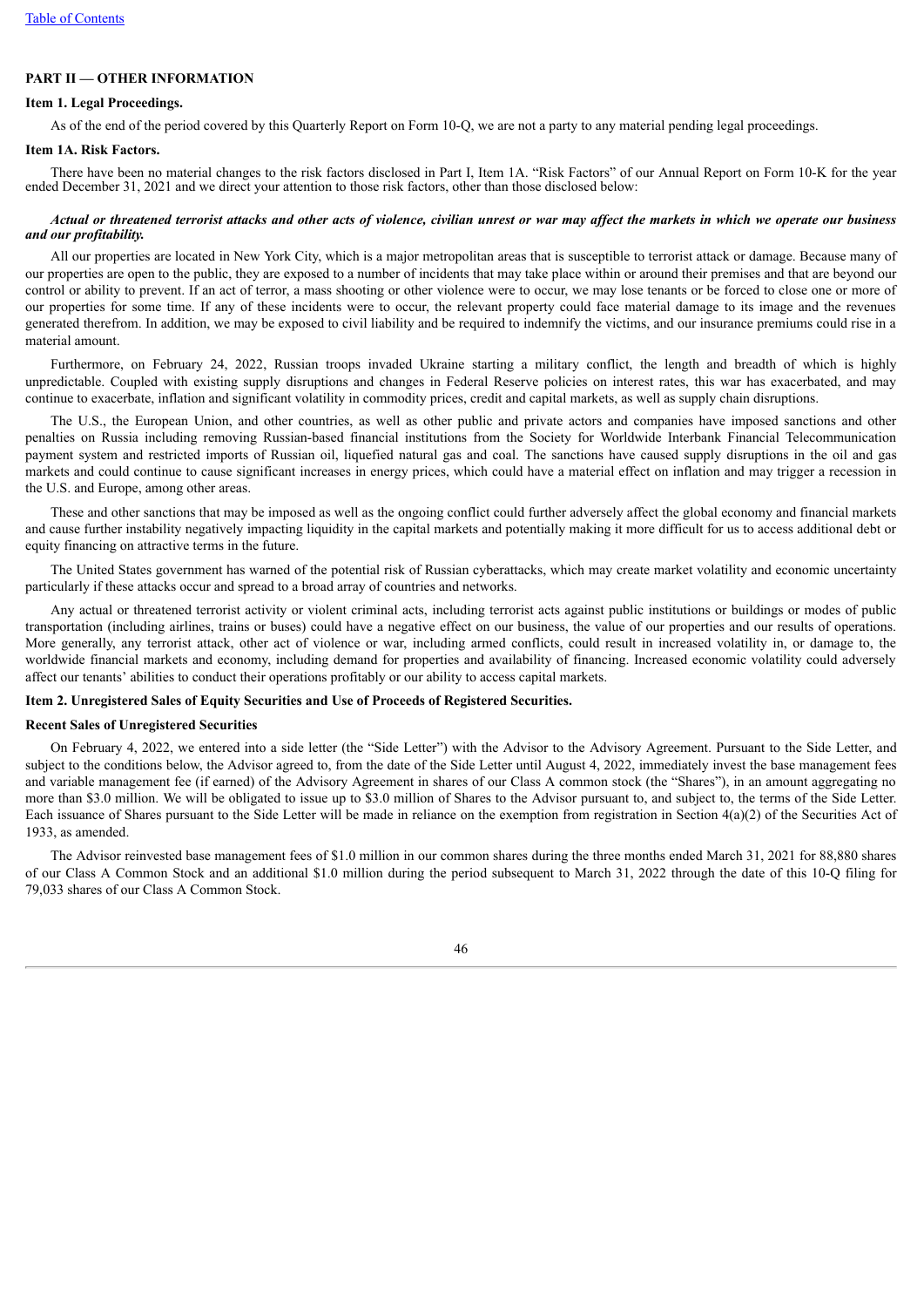# **PART II — OTHER INFORMATION**

# <span id="page-45-0"></span>**Item 1. Legal Proceedings.**

As of the end of the period covered by this Quarterly Report on Form 10-Q, we are not a party to any material pending legal proceedings.

# <span id="page-45-1"></span>**Item 1A. Risk Factors.**

There have been no material changes to the risk factors disclosed in Part I, Item 1A. "Risk Factors" of our Annual Report on Form 10-K for the year ended December 31, 2021 and we direct your attention to those risk factors, other than those disclosed below:

# Actual or threatened terrorist attacks and other acts of violence, civilian unrest or war may affect the markets in which we operate our business *and our profitability.*

All our properties are located in New York City, which is a major metropolitan areas that is susceptible to terrorist attack or damage. Because many of our properties are open to the public, they are exposed to a number of incidents that may take place within or around their premises and that are beyond our control or ability to prevent. If an act of terror, a mass shooting or other violence were to occur, we may lose tenants or be forced to close one or more of our properties for some time. If any of these incidents were to occur, the relevant property could face material damage to its image and the revenues generated therefrom. In addition, we may be exposed to civil liability and be required to indemnify the victims, and our insurance premiums could rise in a material amount.

Furthermore, on February 24, 2022, Russian troops invaded Ukraine starting a military conflict, the length and breadth of which is highly unpredictable. Coupled with existing supply disruptions and changes in Federal Reserve policies on interest rates, this war has exacerbated, and may continue to exacerbate, inflation and significant volatility in commodity prices, credit and capital markets, as well as supply chain disruptions.

The U.S., the European Union, and other countries, as well as other public and private actors and companies have imposed sanctions and other penalties on Russia including removing Russian-based financial institutions from the Society for Worldwide Interbank Financial Telecommunication payment system and restricted imports of Russian oil, liquefied natural gas and coal. The sanctions have caused supply disruptions in the oil and gas markets and could continue to cause significant increases in energy prices, which could have a material effect on inflation and may trigger a recession in the U.S. and Europe, among other areas.

These and other sanctions that may be imposed as well as the ongoing conflict could further adversely affect the global economy and financial markets and cause further instability negatively impacting liquidity in the capital markets and potentially making it more difficult for us to access additional debt or equity financing on attractive terms in the future.

The United States government has warned of the potential risk of Russian cyberattacks, which may create market volatility and economic uncertainty particularly if these attacks occur and spread to a broad array of countries and networks.

Any actual or threatened terrorist activity or violent criminal acts, including terrorist acts against public institutions or buildings or modes of public transportation (including airlines, trains or buses) could have a negative effect on our business, the value of our properties and our results of operations. More generally, any terrorist attack, other act of violence or war, including armed conflicts, could result in increased volatility in, or damage to, the worldwide financial markets and economy, including demand for properties and availability of financing. Increased economic volatility could adversely affect our tenants' abilities to conduct their operations profitably or our ability to access capital markets.

# <span id="page-45-2"></span>**Item 2. Unregistered Sales of Equity Securities and Use of Proceeds of Registered Securities.**

# **Recent Sales of Unregistered Securities**

On February 4, 2022, we entered into a side letter (the "Side Letter") with the Advisor to the Advisory Agreement. Pursuant to the Side Letter, and subject to the conditions below, the Advisor agreed to, from the date of the Side Letter until August 4, 2022, immediately invest the base management fees and variable management fee (if earned) of the Advisory Agreement in shares of our Class A common stock (the "Shares"), in an amount aggregating no more than \$3.0 million. We will be obligated to issue up to \$3.0 million of Shares to the Advisor pursuant to, and subject to, the terms of the Side Letter. Each issuance of Shares pursuant to the Side Letter will be made in reliance on the exemption from registration in Section  $4(a)(2)$  of the Securities Act of 1933, as amended.

The Advisor reinvested base management fees of \$1.0 million in our common shares during the three months ended March 31, 2021 for 88,880 shares of our Class A Common Stock and an additional \$1.0 million during the period subsequent to March 31, 2022 through the date of this 10-Q filing for 79,033 shares of our Class A Common Stock.

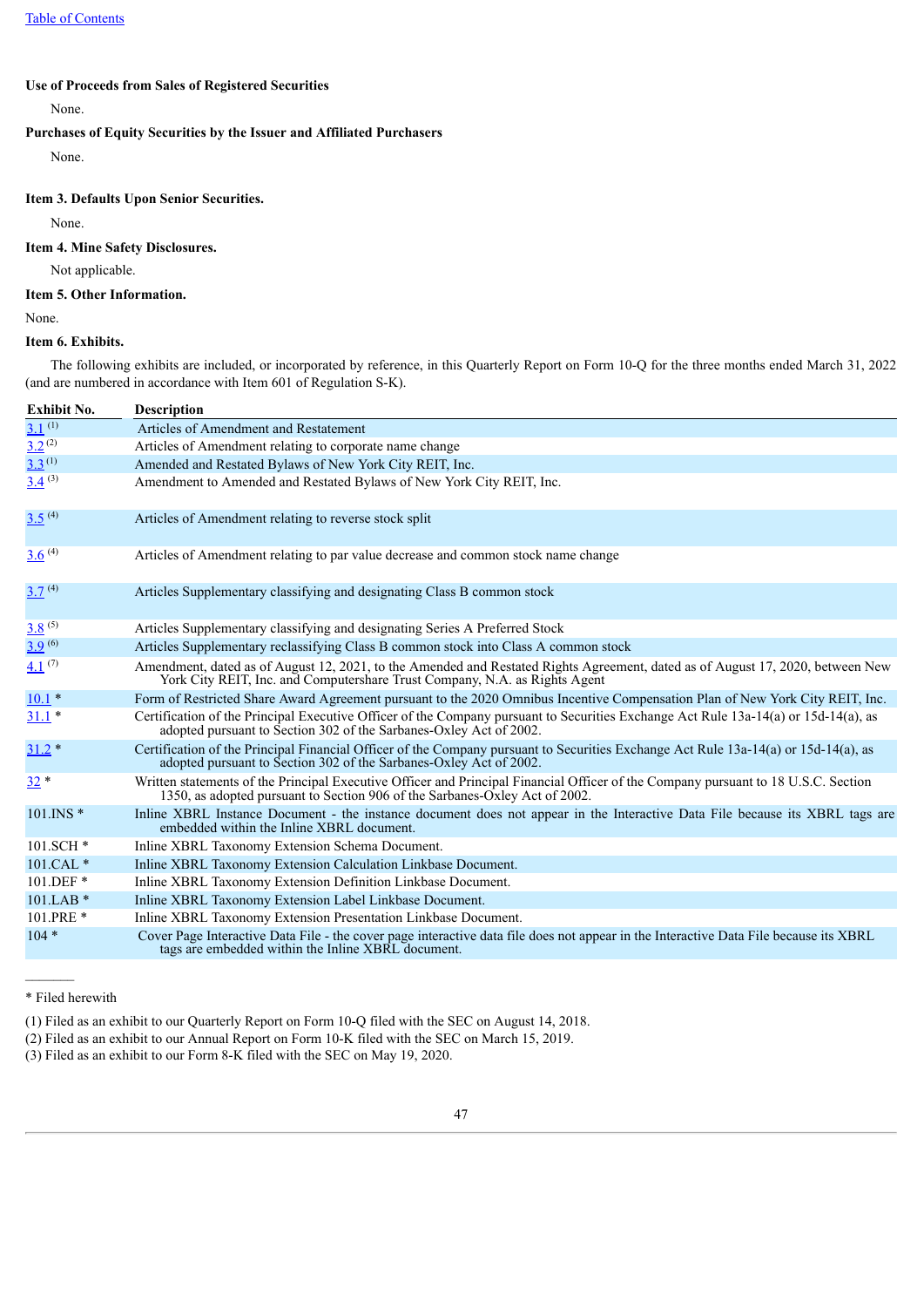### **Use of Proceeds from Sales of Registered Securities**

None.

# **Purchases of Equity Securities by the Issuer and Affiliated Purchasers**

None.

## <span id="page-46-0"></span>**Item 3. Defaults Upon Senior Securities.**

None.

### <span id="page-46-1"></span>**Item 4. Mine Safety Disclosures.**

Not applicable.

### <span id="page-46-2"></span>**Item 5. Other Information.**

None.

# <span id="page-46-3"></span>**Item 6. Exhibits.**

The following exhibits are included, or incorporated by reference, in this Quarterly Report on Form 10-Q for the three months ended March 31, 2022 (and are numbered in accordance with Item 601 of Regulation S-K).

| <b>Description</b>                                                                                                                                                                                                |
|-------------------------------------------------------------------------------------------------------------------------------------------------------------------------------------------------------------------|
| Articles of Amendment and Restatement                                                                                                                                                                             |
| Articles of Amendment relating to corporate name change                                                                                                                                                           |
| Amended and Restated Bylaws of New York City REIT, Inc.                                                                                                                                                           |
| Amendment to Amended and Restated Bylaws of New York City REIT, Inc.                                                                                                                                              |
| Articles of Amendment relating to reverse stock split                                                                                                                                                             |
| Articles of Amendment relating to par value decrease and common stock name change                                                                                                                                 |
| Articles Supplementary classifying and designating Class B common stock                                                                                                                                           |
| Articles Supplementary classifying and designating Series A Preferred Stock                                                                                                                                       |
| Articles Supplementary reclassifying Class B common stock into Class A common stock                                                                                                                               |
| Amendment, dated as of August 12, 2021, to the Amended and Restated Rights Agreement, dated as of August 17, 2020, between New<br>York City REIT, Inc. and Computershare Trust Company, N.A. as Rights Agent      |
| Form of Restricted Share Award Agreement pursuant to the 2020 Omnibus Incentive Compensation Plan of New York City REIT, Inc.                                                                                     |
| Certification of the Principal Executive Officer of the Company pursuant to Securities Exchange Act Rule 13a-14(a) or 15d-14(a), as<br>adopted pursuant to Section 302 of the Sarbanes-Oxley Act of 2002.         |
| Certification of the Principal Financial Officer of the Company pursuant to Securities Exchange Act Rule 13a-14(a) or 15d-14(a), as<br>adopted pursuant to Section 302 of the Sarbanes-Oxley Act of 2002.         |
| Written statements of the Principal Executive Officer and Principal Financial Officer of the Company pursuant to 18 U.S.C. Section<br>1350, as adopted pursuant to Section 906 of the Sarbanes-Oxley Act of 2002. |
| Inline XBRL Instance Document - the instance document does not appear in the Interactive Data File because its XBRL tags are<br>embedded within the Inline XBRL document.                                         |
| Inline XBRL Taxonomy Extension Schema Document.                                                                                                                                                                   |
| Inline XBRL Taxonomy Extension Calculation Linkbase Document.                                                                                                                                                     |
| Inline XBRL Taxonomy Extension Definition Linkbase Document.                                                                                                                                                      |
| Inline XBRL Taxonomy Extension Label Linkbase Document.                                                                                                                                                           |
| Inline XBRL Taxonomy Extension Presentation Linkbase Document.                                                                                                                                                    |
| Cover Page Interactive Data File - the cover page interactive data file does not appear in the Interactive Data File because its XBRL<br>tags are embedded within the Inline XBRL document.                       |
|                                                                                                                                                                                                                   |

\* Filed herewith

 $\mathcal{L}_\text{max}$ 

<sup>(1)</sup> Filed as an exhibit to our Quarterly Report on Form 10-Q filed with the SEC on August 14, 2018.

<sup>(2)</sup> Filed as an exhibit to our Annual Report on Form 10-K filed with the SEC on March 15, 2019.

<sup>(3)</sup> Filed as an exhibit to our Form 8-K filed with the SEC on May 19, 2020.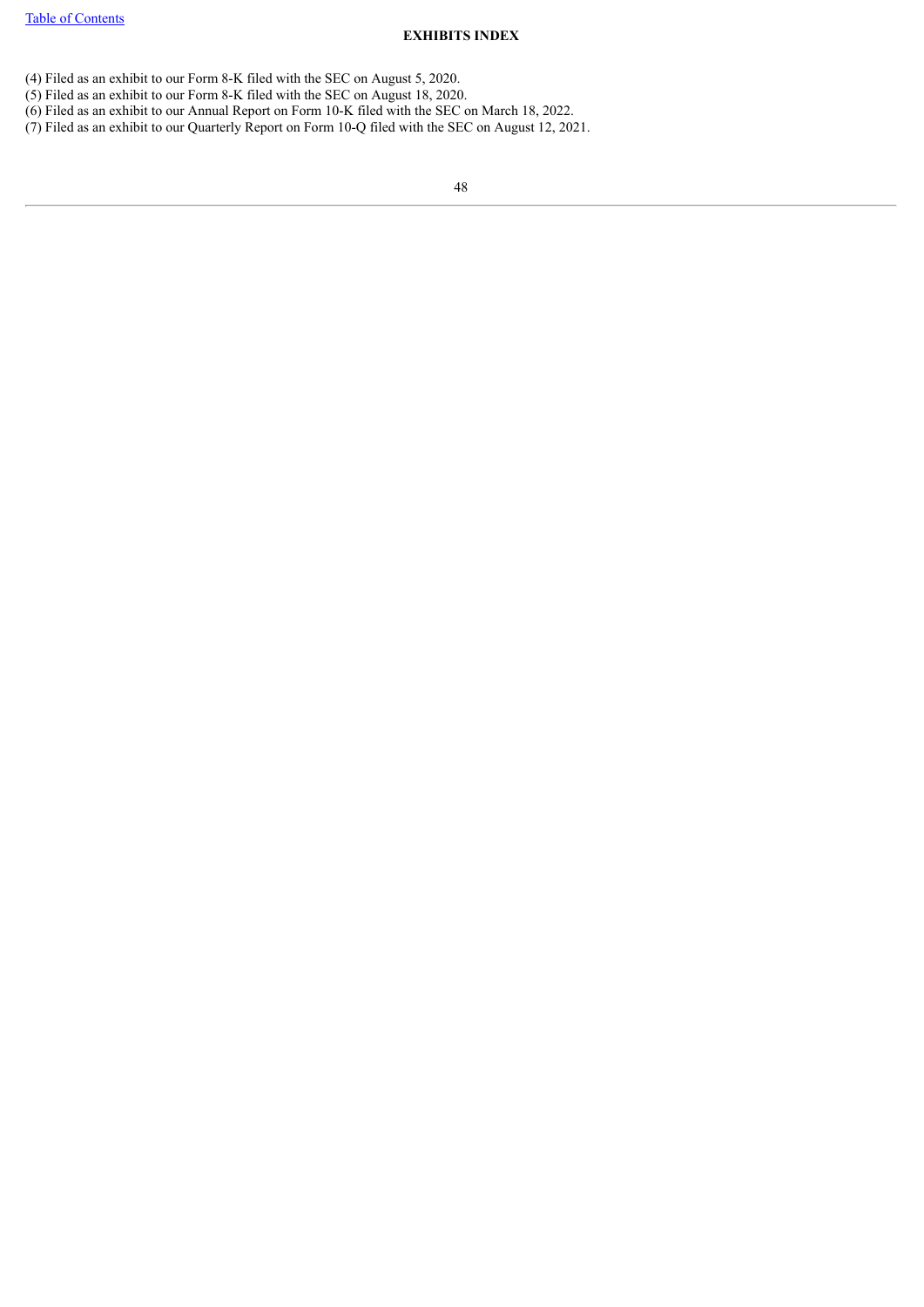## **EXHIBITS INDEX**

- (4) Filed as an exhibit to our Form 8-K filed with the SEC on August 5, 2020.
- (5) Filed as an exhibit to our Form 8-K filed with the SEC on August 18, 2020.
- (6) Filed as an exhibit to our Annual Report on Form 10-K filed with the SEC on March 18, 2022.
- <span id="page-47-0"></span>(7) Filed as an exhibit to our Quarterly Report on Form 10-Q filed with the SEC on August 12, 2021.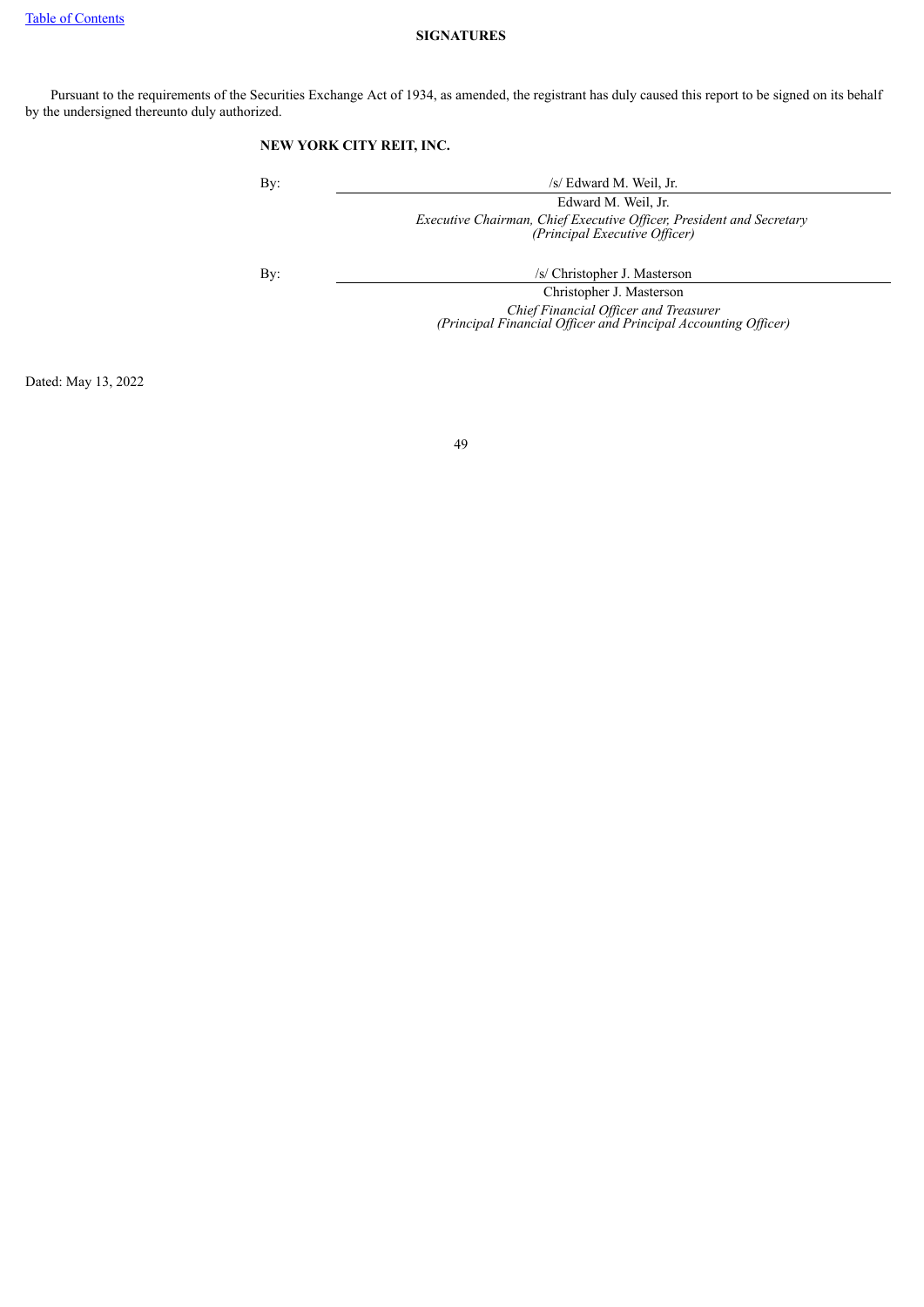## **SIGNATURES**

Pursuant to the requirements of the Securities Exchange Act of 1934, as amended, the registrant has duly caused this report to be signed on its behalf by the undersigned thereunto duly authorized.

# **NEW YORK CITY REIT, INC.**

| Bv: | /s/ Edward M. Weil, Jr.                                                                               |
|-----|-------------------------------------------------------------------------------------------------------|
|     | Edward M. Weil, Jr.                                                                                   |
|     | Executive Chairman, Chief Executive Officer, President and Secretary<br>(Principal Executive Officer) |
|     |                                                                                                       |

By: /s/ Christopher J. Masterson

Christopher J. Masterson *Chief Financial Of icer and Treasurer (Principal Financial Of icer and Principal Accounting Of icer)*

Dated: May 13, 2022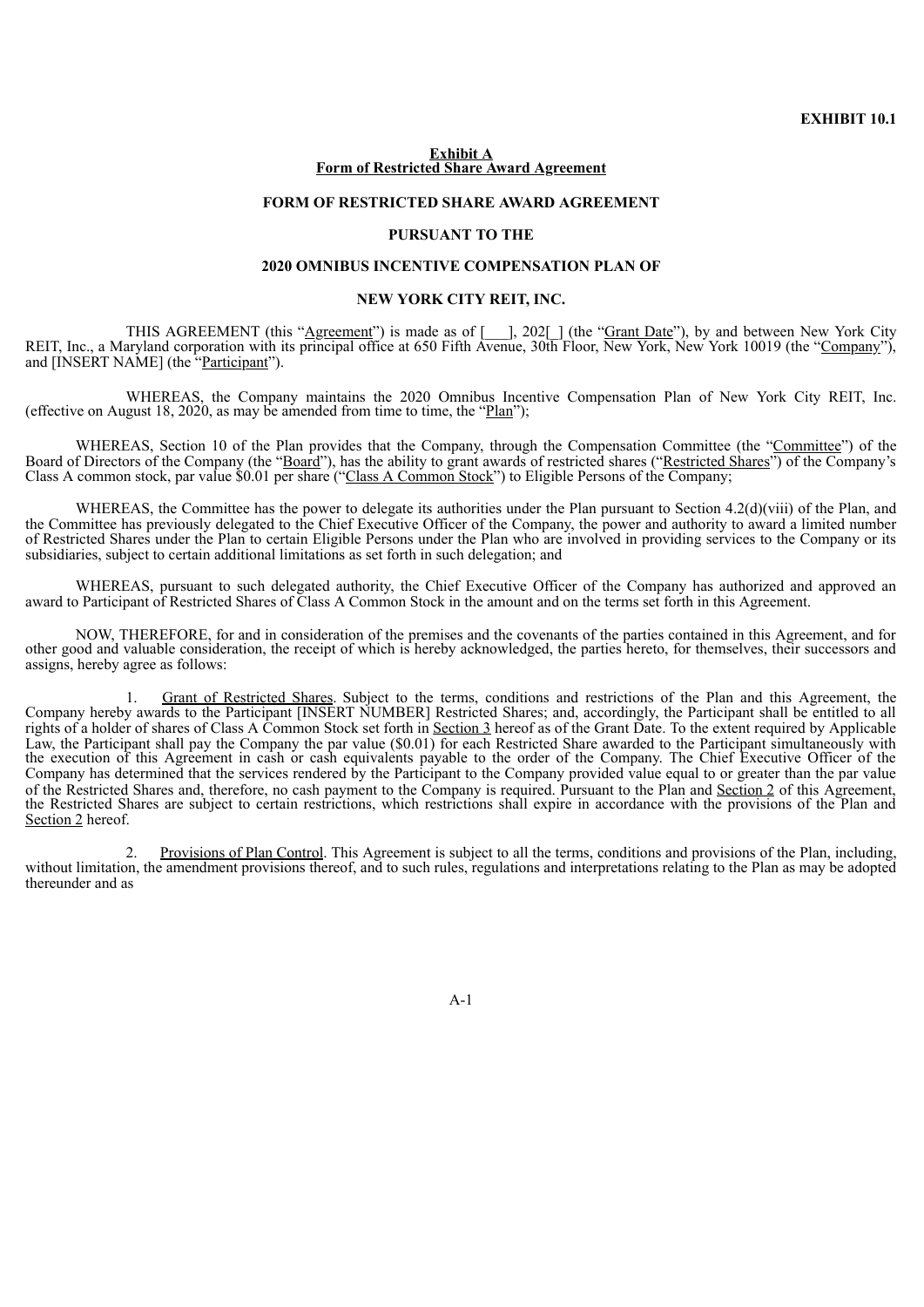## **Exhibit A Form of Restricted Share Award Agreement**

# <span id="page-49-0"></span>**FORM OF RESTRICTED SHARE AWARD AGREEMENT**

## **PURSUANT TO THE**

# **2020 OMNIBUS INCENTIVE COMPENSATION PLAN OF**

# **NEW YORK CITY REIT, INC.**

THIS AGREEMENT (this "Agreement") is made as of [\_\_\_], 202[\_] (the "Grant Date"), by and between New York City REIT, Inc., a Maryland corporation with its principal office at 650 Fifth Avenue, 30th Floor, New York, New York 10019 (the "Company"), and [INSERT NAME] (the "Participant").

WHEREAS, the Company maintains the 2020 Omnibus Incentive Compensation Plan of New York City REIT, Inc. (effective on August 18, 2020, as may be amended from time to time, the " $Plan$ ");

WHEREAS, Section 10 of the Plan provides that the Company, through the Compensation Committee (the "Committee") of the Board of Directors of the Company (the "Board"), has the ability to grant awards of restricted shares ("Restricted Shares") of the Company's Class A common stock, par value \$0.01 per share ("Class A Common Stock") to Eligible Persons of the Company;

WHEREAS, the Committee has the power to delegate its authorities under the Plan pursuant to Section 4.2(d)(viii) of the Plan, and the Committee has previously delegated to the Chief Executive Officer of the Company, the power and authority to award a limited number of Restricted Shares under the Plan to certain Eligible Persons under the Plan who are involved in providing services to the Company or its subsidiaries, subject to certain additional limitations as set forth in such delegation; and

WHEREAS, pursuant to such delegated authority, the Chief Executive Officer of the Company has authorized and approved an award to Participant of Restricted Shares of Class A Common Stock in the amount and on the terms set forth in this Agreement.

NOW, THEREFORE, for and in consideration of the premises and the covenants of the parties contained in this Agreement, and for other good and valuable consideration, the receipt of which is hereby acknowledged, the parties hereto, for themselves, their successors and assigns, hereby agree as follows:

1. Grant of Restricted Shares. Subject to the terms, conditions and restrictions of the Plan and this Agreement, the Company hereby awards to the Participant [INSERT NUMBER] Restricted Shares; and, accordingly, the Participant shall be entitled to all rights of a holder of shares of Class A Common Stock set forth in Section 3 hereof as of the Grant Date. To the extent required by Applicable Law, the Participant shall pay the Company the par value (\$0.01) for each Restricted Share awarded to the Participant simultaneously with the execution of this Agreement in cash or cash equivalents payable to the order of the Company. The Chief Executive Officer of the Company has determined that the services rendered by the Participant to the Company provided value equal to or greater than the par value of the Restricted Shares and, therefore, no cash payment to the Company is required. Pursuant to the Plan and Section 2 of this Agreement, the Restricted Shares are subject to certain restrictions, which restrictions shall expire in accordance with the provisions of the Plan and Section 2 hereof.

2. Provisions of Plan Control. This Agreement is subject to all the terms, conditions and provisions of the Plan, including, without limitation, the amendment provisions thereof, and to such rules, regulations and interpretations relating to the Plan as may be adopted thereunder and as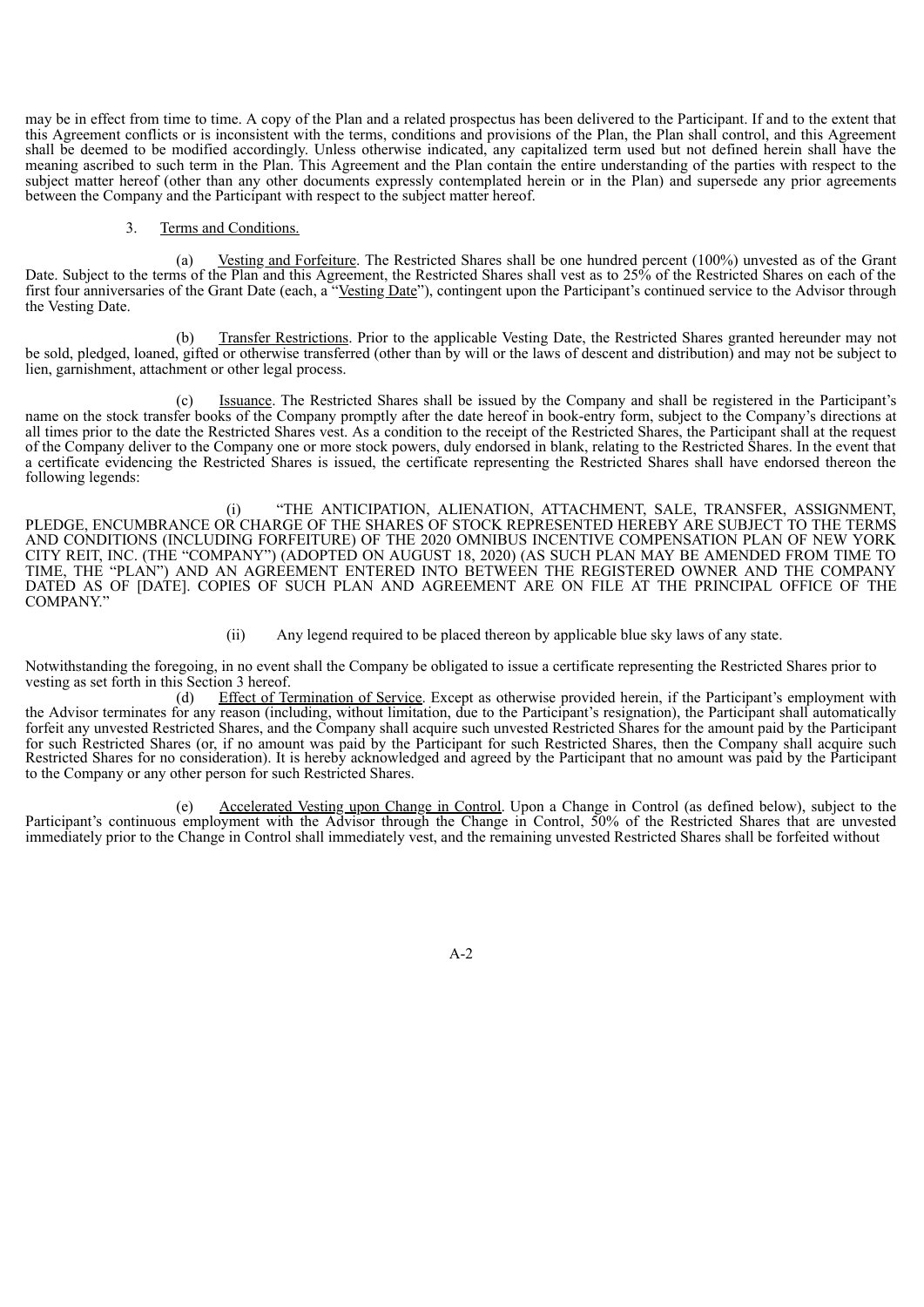may be in effect from time to time. A copy of the Plan and a related prospectus has been delivered to the Participant. If and to the extent that this Agreement conflicts or is inconsistent with the terms, conditions and provisions of the Plan, the Plan shall control, and this Agreement shall be deemed to be modified accordingly. Unless otherwise indicated, any capitalized term used but not defined herein shall have the meaning ascribed to such term in the Plan. This Agreement and the Plan contain the entire understanding of the parties with respect to the subject matter hereof (other than any other documents expressly contemplated herein or in the Plan) and supersede any prior agreements between the Company and the Participant with respect to the subject matter hereof.

### 3. Terms and Conditions.

(a) Vesting and Forfeiture. The Restricted Shares shall be one hundred percent (100%) unvested as of the Grant Date. Subject to the terms of the Plan and this Agreement, the Restricted Shares shall vest as to 25% of the Restricted Shares on each of the first four anniversaries of the Grant Date (each, a "<u>Vesting Date</u>"), contingent upon the Participant's continued service to the Advisor through the Vesting Date.

(b) Transfer Restrictions. Prior to the applicable Vesting Date, the Restricted Shares granted hereunder may not be sold, pledged, loaned, gifted or otherwise transferred (other than by will or the laws of descent and distribution) and may not be subject to lien, garnishment, attachment or other legal process.

(c) Issuance. The Restricted Shares shall be issued by the Company and shall be registered in the Participant's name on the stock transfer books of the Company promptly after the date hereof in book-entry form, subject to the Company's directions at all times prior to the date the Restricted Shares vest. As a condition to the receipt of the Restricted Shares, the Participant shall at the request of the Company deliver to the Company one or more stock powers, duly endorsed in blank, relating to the Restricted Shares. In the event that a certificate evidencing the Restricted Shares is issued, the certificate representing the Restricted Shares shall have endorsed thereon the following legends:

(i) "THE ANTICIPATION, ALIENATION, ATTACHMENT, SALE, TRANSFER, ASSIGNMENT, PLEDGE, ENCUMBRANCE OR CHARGE OF THE SHARES OF STOCK REPRESENTED HEREBY ARE SUBJECT TO THE TERMS AND CONDITIONS (INCLUDING FORFEITURE) OF THE 2020 OMNIBUS INCENTIVE COMPENSATION PLAN OF NEW YORK CITY REIT, INC. (THE "COMPANY") (ADOPTED ON AUGUST 18, 2020) (AS SUCH PLAN MAY BE AMENDED FROM TIME TO TIME, THE "PLAN") AND AN AGREEMENT ENTERED INTO BETWEEN THE REGISTERED OWNER AND THE COMPANY DATED AS OF [DATE]. COPIES OF SUCH PLAN AND AGREEMENT ARE ON FILE AT THE PRINCIPAL OFFICE OF THE COMPANY."

(ii) Any legend required to be placed thereon by applicable blue sky laws of any state.

Notwithstanding the foregoing, in no event shall the Company be obligated to issue a certificate representing the Restricted Shares prior to vesting as set forth in this Section 3 hereof.

(d) Effect of Termination of Service. Except as otherwise provided herein, if the Participant's employment with the Advisor terminates for any reason (including, without limitation, due to the Participant's resignation), the Participant shall automatically forfeit any unvested Restricted Shares, and the Company shall acquire such unvested Restricted Shares for the amount paid by the Participant for such Restricted Shares (or, if no amount was paid by the Participant for such Restricted Shares, then the Company shall acquire such Restricted Shares for no consideration). It is hereby acknowledged and agreed by the Participant that no amount was paid by the Participant to the Company or any other person for such Restricted Shares.

(e) Accelerated Vesting upon Change in Control. Upon a Change in Control (as defined below), subject to the Participant's continuous employment with the Advisor through the Change in Control, 50% of the Restricted Shares that are unvested immediately prior to the Change in Control shall immediately vest, and the remaining unvested Restricted Shares shall be forfeited without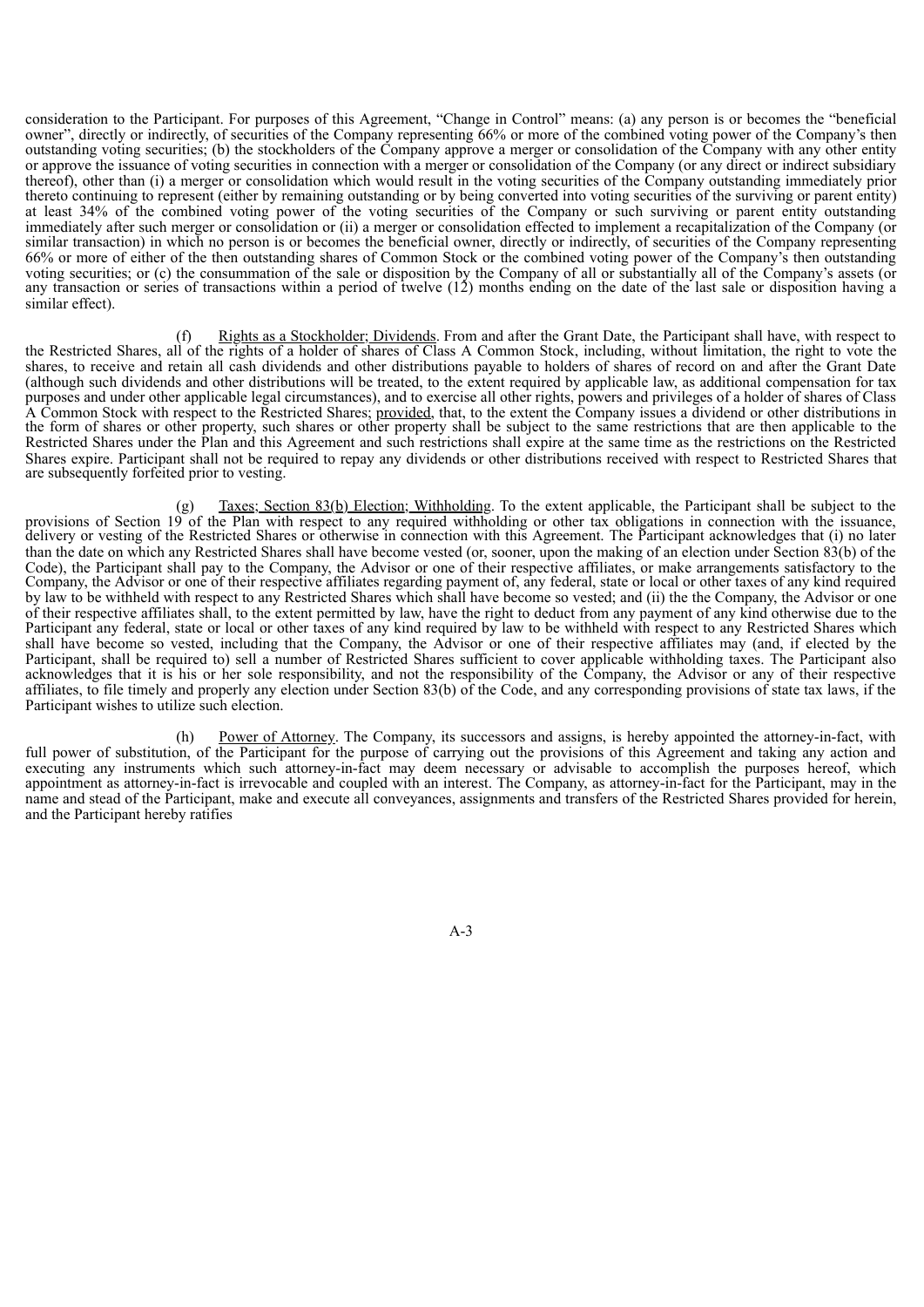consideration to the Participant. For purposes of this Agreement, "Change in Control" means: (a) any person is or becomes the "beneficial owner", directly or indirectly, of securities of the Company representing 66% or more of the combined voting power of the Company's then outstanding voting securities; (b) the stockholders of the Company approve a merger or consolidation of the Company with any other entity or approve the issuance of voting securities in connection with a merger or consolidation of the Company (or any direct or indirect subsidiary thereof), other than (i) a merger or consolidation which would result in the voting securities of the Company outstanding immediately prior thereto continuing to represent (either by remaining outstanding or by being converted into voting securities of the surviving or parent entity) at least 34% of the combined voting power of the voting securities of the Company or such surviving or parent entity outstanding immediately after such merger or consolidation or (ii) a merger or consolidation effected to implement a recapitalization of the Company (or similar transaction) in which no person is or becomes the beneficial owner, directly or indirectly, of securities of the Company representing 66% or more of either of the then outstanding shares of Common Stock or the combined voting power of the Company's then outstanding voting securities; or (c) the consummation of the sale or disposition by the Company of all or substantially all of the Company's assets (or any transaction or series of transactions within a period of twelve (12) months ending on the date of the last sale or disposition having a similar effect).

(f) Rights as a Stockholder; Dividends. From and after the Grant Date, the Participant shall have, with respect to the Restricted Shares, all of the rights of a holder of shares of Class A Common Stock, including, without limitation, the right to vote the shares, to receive and retain all cash dividends and other distributions payable to holders of shares of record on and after the Grant Date (although such dividends and other distributions will be treated, to the extent required by applicable law, as additional compensation for tax purposes and under other applicable legal circumstances), and to exercise all other rights, powers and privileges of a holder of shares of Class A Common Stock with respect to the Restricted Shares; provided, that, to the extent the Company issues a dividend or other distributions in the form of shares or other property, such shares or other property shall be subject to the same restrictions that are then applicable to the Restricted Shares under the Plan and this Agreement and such restrictions shall expire at the same time as the restrictions on the Restricted Shares expire. Participant shall not be required to repay any dividends or other distributions received with respect to Restricted Shares that are subsequently forfeited prior to vesting.

Taxes; Section 83(b) Election; Withholding. To the extent applicable, the Participant shall be subject to the (g) Taxes; Section 83(b) Election; Withholding. To the extent applicable, the Participant shall be subject to the provisions of Section 19 of the Plan with respect to any required withholding or other tax obligations in co delivery or vesting of the Restricted Shares or otherwise in connection with this Agreement. The Participant acknowledges that (i) no later than the date on which any Restricted Shares shall have become vested (or, sooner, upon the making of an election under Section 83(b) of the Code), the Participant shall pay to the Company, the Advisor or one of their respective affiliates, or make arrangements satisfactory to the Company, the Advisor or one of their respective affiliates regarding payment of, any federal, state or local or other taxes of any kind required by law to be withheld with respect to any Restricted Shares which shall have become so vested; and (ii) the the Company, the Advisor or one of their respective affiliates shall, to the extent permitted by law, have the right to deduct from any payment of any kind otherwise due to the Participant any federal, state or local or other taxes of any kind required by law to be withheld with respect to any Restricted Shares which shall have become so vested, including that the Company, the Advisor or one of their respective affiliates may (and, if elected by the Participant, shall be required to) sell a number of Restricted Shares sufficient to cover applicable withholding taxes. The Participant also acknowledges that it is his or her sole responsibility, and not the responsibility of the Company, the Advisor or any of their respective affiliates, to file timely and properly any election under Section 83(b) of the Code, and any corresponding provisions of state tax laws, if the Participant wishes to utilize such election.

(h) Power of Attorney. The Company, its successors and assigns, is hereby appointed the attorney-in-fact, with full power of substitution, of the Participant for the purpose of carrying out the provisions of this Agreement and taking any action and executing any instruments which such attorney-in-fact may deem necessary or advisable to accomplish the purposes hereof, which appointment as attorney-in-fact is irrevocable and coupled with an interest. The Company, as attorney-in-fact for the Participant, may in the name and stead of the Participant, make and execute all conveyances, assignments and transfers of the Restricted Shares provided for herein, and the Participant hereby ratifies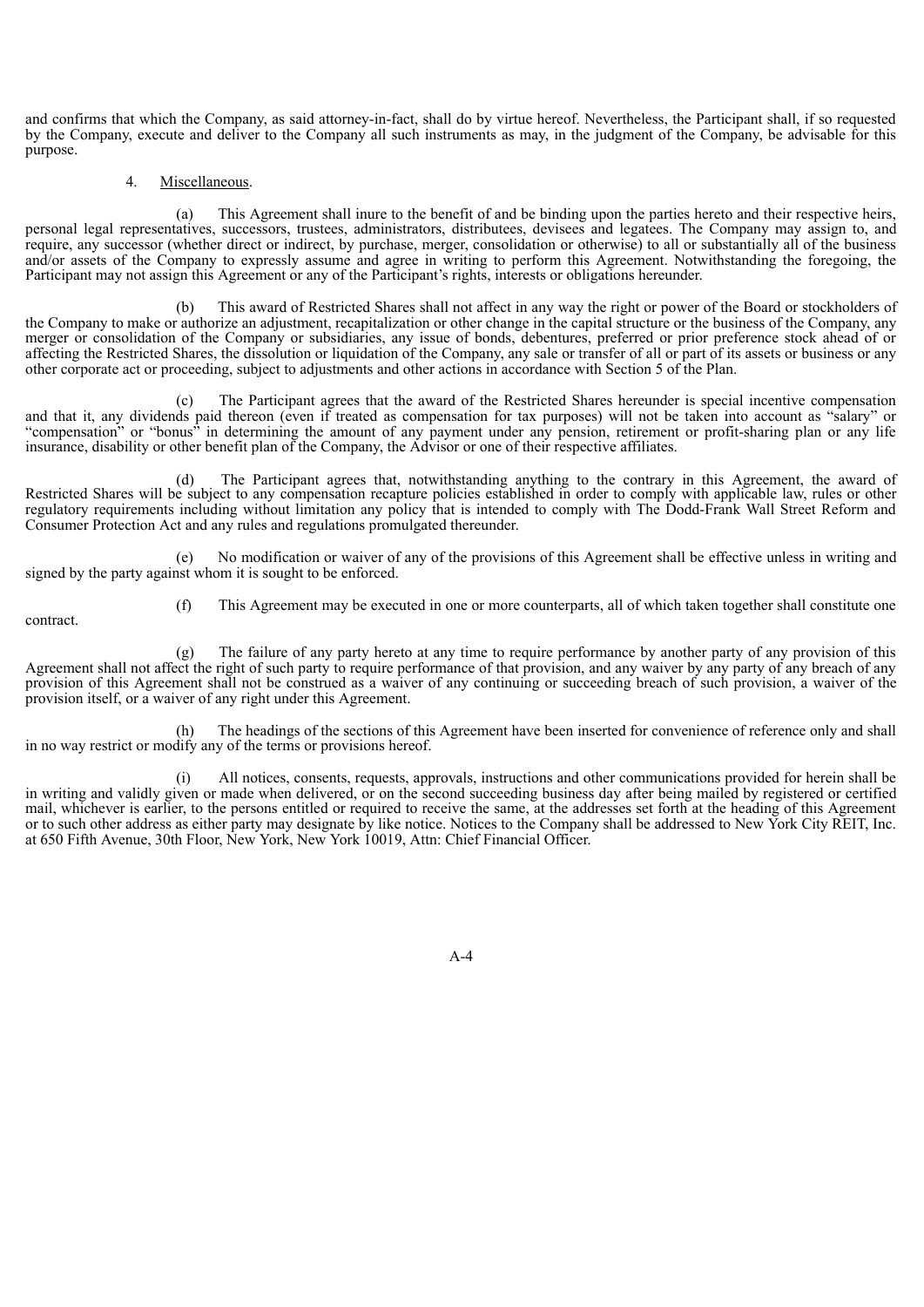and confirms that which the Company, as said attorney-in-fact, shall do by virtue hereof. Nevertheless, the Participant shall, if so requested by the Company, execute and deliver to the Company all such instruments as may, in the judgment of the Company, be advisable for this purpose.

### 4. Miscellaneous.

(a) This Agreement shall inure to the benefit of and be binding upon the parties hereto and their respective heirs, personal legal representatives, successors, trustees, administrators, distributees, devisees and legatees. The Company may assign to, and require, any successor (whether direct or indirect, by purchase, merger, consolidation or otherwise) to all or substantially all of the business and/or assets of the Company to expressly assume and agree in writing to perform this Agreement. Notwithstanding the foregoing, the Participant may not assign this Agreement or any of the Participant's rights, interests or obligations hereunder.

(b) This award of Restricted Shares shall not affect in any way the right or power of the Board or stockholders of the Company to make or authorize an adjustment, recapitalization or other change in the capital structure or the business of the Company, any merger or consolidation of the Company or subsidiaries, any issue of bonds, debentures, preferred or prior preference stock ahead of or affecting the Restricted Shares, the dissolution or liquidation of the Company, any sale or transfer of all or part of its assets or business or any other corporate act or proceeding, subject to adjustments and other actions in accordance with Section 5 of the Plan.

(c) The Participant agrees that the award of the Restricted Shares hereunder is special incentive compensation and that it, any dividends paid thereon (even if treated as compensation for tax purposes) will not be taken into account as "salary" or "compensation" or "bonus" in determining the amount of any payment under any pension, retirement or profit-sharing plan or any life insurance, disability or other benefit plan of the Company, the Advisor or one of their respective affiliates.

(d) The Participant agrees that, notwithstanding anything to the contrary in this Agreement, the award of Restricted Shares will be subject to any compensation recapture policies established in order to comply with applicable law, rules or other regulatory requirements including without limitation any policy that is intended to comply with The Dodd-Frank Wall Street Reform and Consumer Protection Act and any rules and regulations promulgated thereunder.

(e) No modification or waiver of any of the provisions of this Agreement shall be effective unless in writing and signed by the party against whom it is sought to be enforced.

contract.

(f) This Agreement may be executed in one or more counterparts, all of which taken together shall constitute one

(g) The failure of any party hereto at any time to require performance by another party of any provision of this Agreement shall not affect the right of such party to require performance of that provision, and any waiver by any party of any breach of any provision of this Agreement shall not be construed as a waiver of any continuing or succeeding breach of such provision, a waiver of the provision itself, or a waiver of any right under this Agreement.

(h) The headings of the sections of this Agreement have been inserted for convenience of reference only and shall in no way restrict or modify any of the terms or provisions hereof.

(i) All notices, consents, requests, approvals, instructions and other communications provided for herein shall be in writing and validly given or made when delivered, or on the second succeeding business day after being mailed by registered or certified mail, whichever is earlier, to the persons entitled or required to receive the same, at the addresses set forth at the heading of this Agreement or to such other address as either party may designate by like notice. Notices to the Company shall be addressed to New York City REIT, Inc. at 650 Fifth Avenue, 30th Floor, New York, New York 10019, Attn: Chief Financial Officer.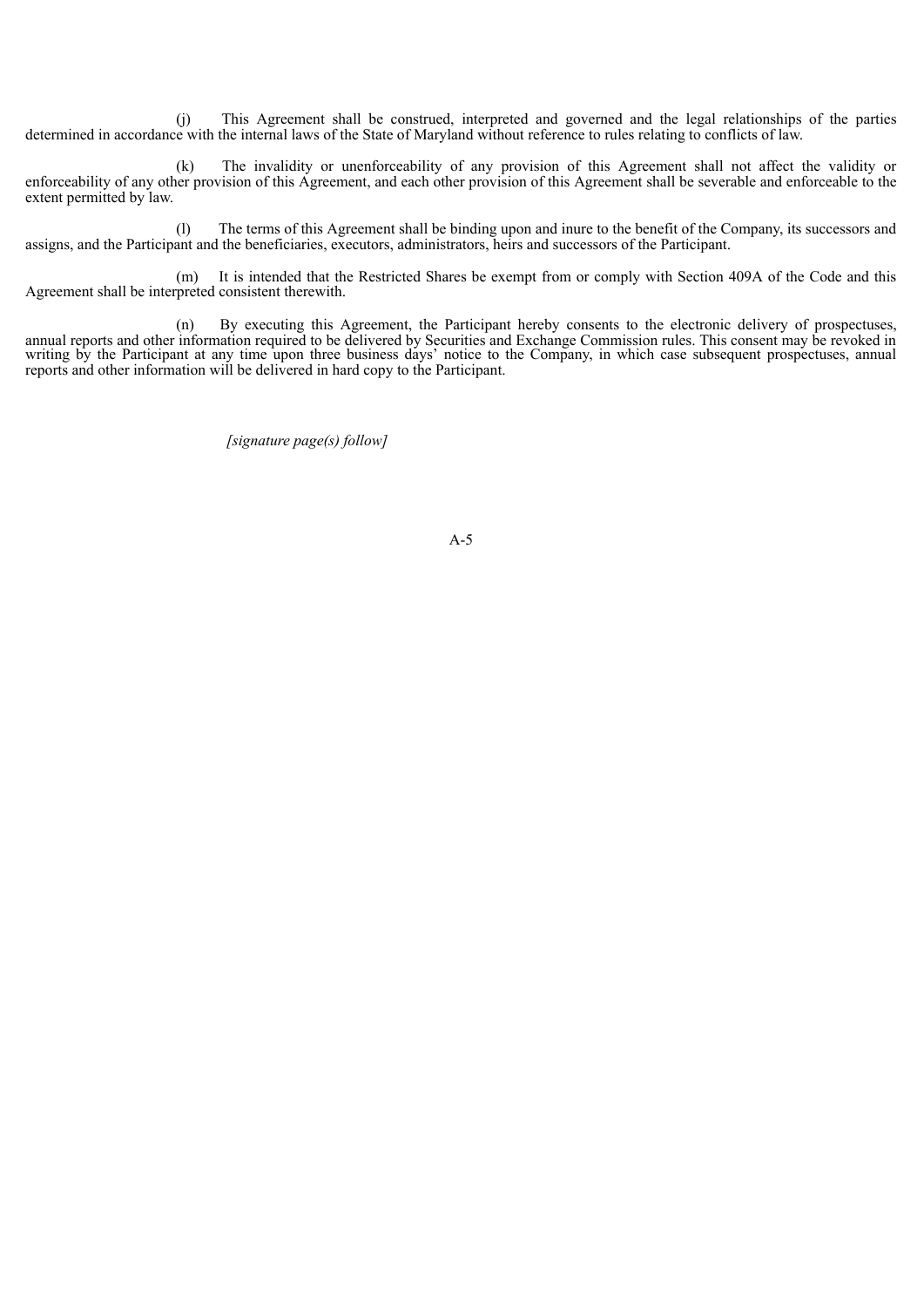(j) This Agreement shall be construed, interpreted and governed and the legal relationships of the parties determined in accordance with the internal laws of the State of Maryland without reference to rules relating to conflicts of law.

(k) The invalidity or unenforceability of any provision of this Agreement shall not affect the validity or enforceability of any other provision of this Agreement, and each other provision of this Agreement shall be severable and enforceable to the extent permitted by law.

(l) The terms of this Agreement shall be binding upon and inure to the benefit of the Company, its successors and assigns, and the Participant and the beneficiaries, executors, administrators, heirs and successors of the Participant.

(m) It is intended that the Restricted Shares be exempt from or comply with Section 409A of the Code and this Agreement shall be interpreted consistent therewith.

(n) By executing this Agreement, the Participant hereby consents to the electronic delivery of prospectuses, annual reports and other information required to be delivered by Securities and Exchange Commission rules. This consent may be revoked in writing by the Participant at any time upon three business days' notice to the Company, in which case subsequent prospectuses, annual reports and other information will be delivered in hard copy to the Participant.

*[signature page(s) follow]*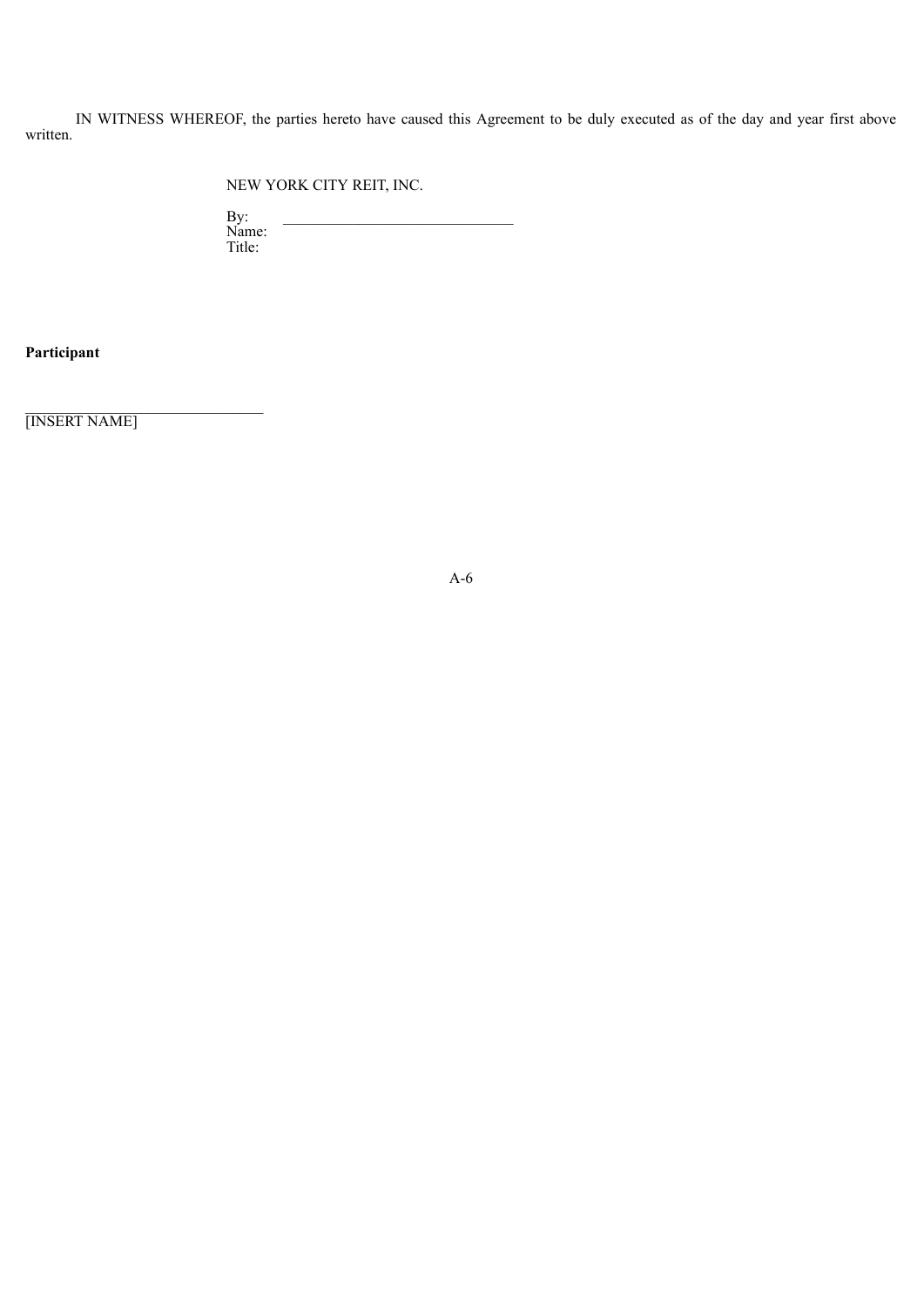IN WITNESS WHEREOF, the parties hereto have caused this Agreement to be duly executed as of the day and year first above written.

NEW YORK CITY REIT, INC.

 $\mathbf{By:}$ Name: Title:

**Participant**

[INSERT NAME]

 $\mathcal{L}_\text{max}$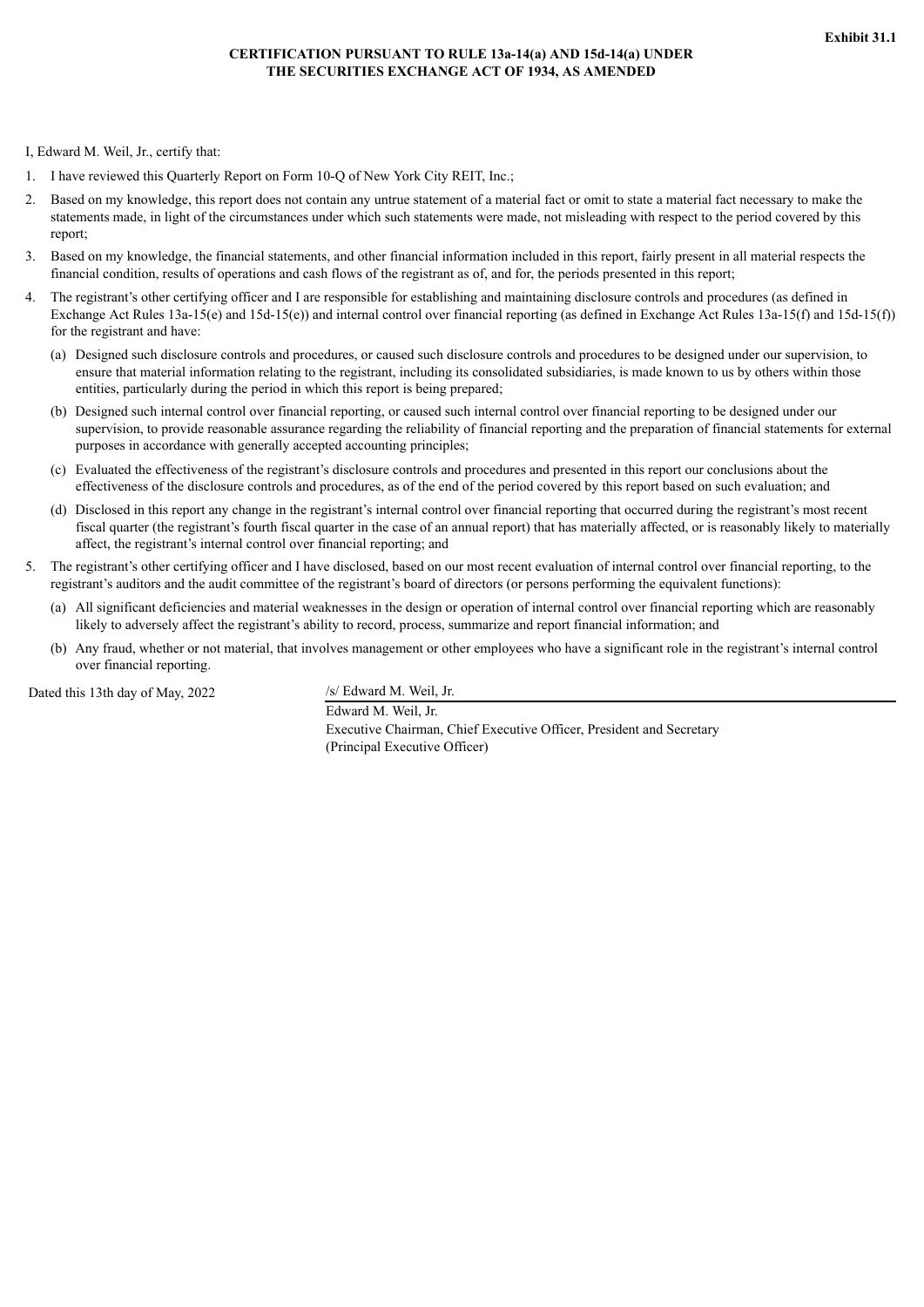# **CERTIFICATION PURSUANT TO RULE 13a-14(a) AND 15d-14(a) UNDER THE SECURITIES EXCHANGE ACT OF 1934, AS AMENDED**

<span id="page-55-0"></span>I, Edward M. Weil, Jr., certify that:

- 1. I have reviewed this Quarterly Report on Form 10-Q of New York City REIT, Inc.;
- 2. Based on my knowledge, this report does not contain any untrue statement of a material fact or omit to state a material fact necessary to make the statements made, in light of the circumstances under which such statements were made, not misleading with respect to the period covered by this report;
- 3. Based on my knowledge, the financial statements, and other financial information included in this report, fairly present in all material respects the financial condition, results of operations and cash flows of the registrant as of, and for, the periods presented in this report;
- 4. The registrant's other certifying officer and I are responsible for establishing and maintaining disclosure controls and procedures (as defined in Exchange Act Rules 13a-15(e) and 15d-15(e)) and internal control over financial reporting (as defined in Exchange Act Rules 13a-15(f) and 15d-15(f)) for the registrant and have:
	- (a) Designed such disclosure controls and procedures, or caused such disclosure controls and procedures to be designed under our supervision, to ensure that material information relating to the registrant, including its consolidated subsidiaries, is made known to us by others within those entities, particularly during the period in which this report is being prepared;
	- (b) Designed such internal control over financial reporting, or caused such internal control over financial reporting to be designed under our supervision, to provide reasonable assurance regarding the reliability of financial reporting and the preparation of financial statements for external purposes in accordance with generally accepted accounting principles;
	- (c) Evaluated the effectiveness of the registrant's disclosure controls and procedures and presented in this report our conclusions about the effectiveness of the disclosure controls and procedures, as of the end of the period covered by this report based on such evaluation; and
	- (d) Disclosed in this report any change in the registrant's internal control over financial reporting that occurred during the registrant's most recent fiscal quarter (the registrant's fourth fiscal quarter in the case of an annual report) that has materially affected, or is reasonably likely to materially affect, the registrant's internal control over financial reporting; and
- 5. The registrant's other certifying officer and I have disclosed, based on our most recent evaluation of internal control over financial reporting, to the registrant's auditors and the audit committee of the registrant's board of directors (or persons performing the equivalent functions):
	- (a) All significant deficiencies and material weaknesses in the design or operation of internal control over financial reporting which are reasonably likely to adversely affect the registrant's ability to record, process, summarize and report financial information; and
	- (b) Any fraud, whether or not material, that involves management or other employees who have a significant role in the registrant's internal control over financial reporting.

Dated this 13th day of May, 2022 /s/ Edward M. Weil, Jr.

Edward M. Weil, Jr. Executive Chairman, Chief Executive Officer, President and Secretary (Principal Executive Officer)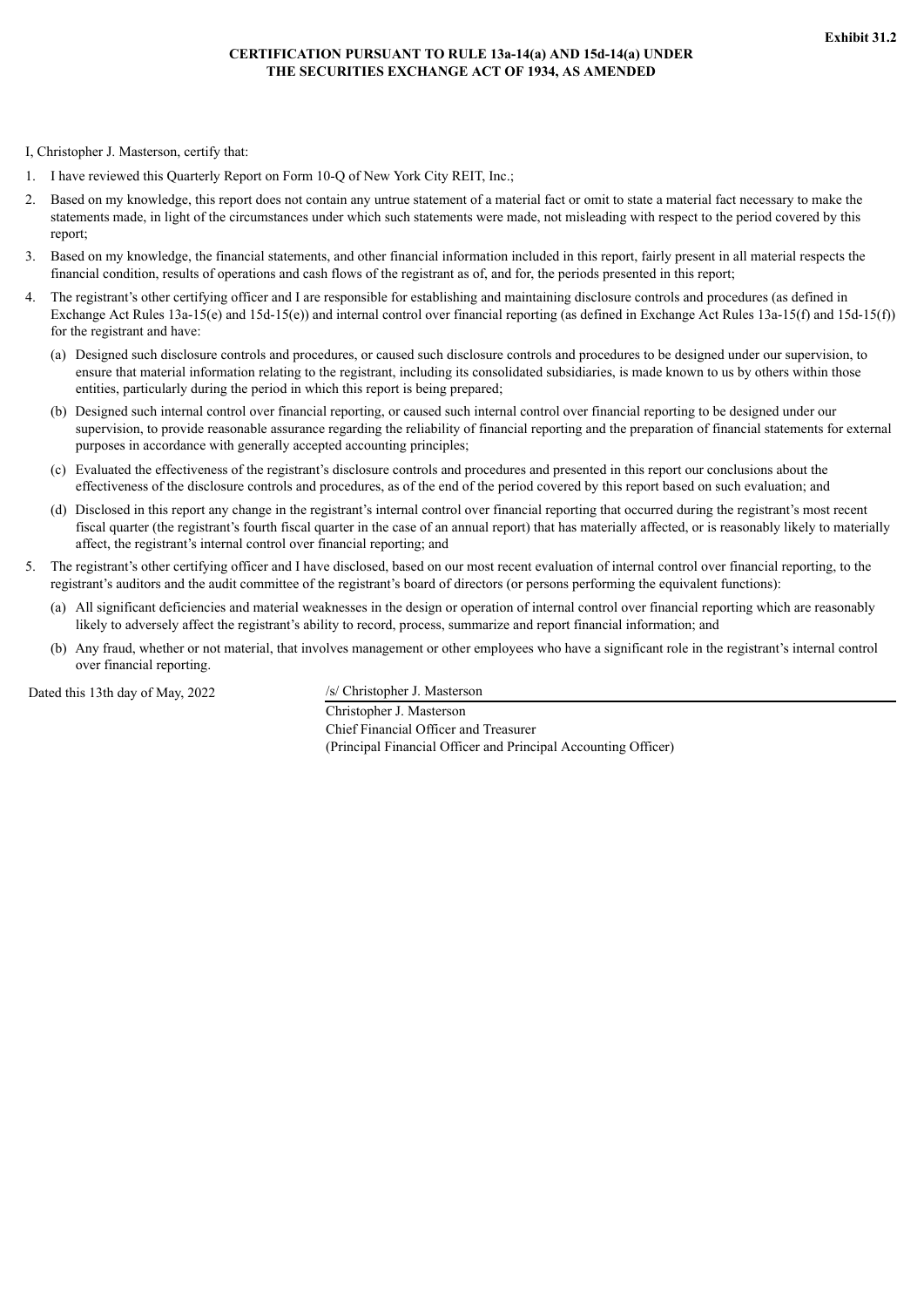# **CERTIFICATION PURSUANT TO RULE 13a-14(a) AND 15d-14(a) UNDER THE SECURITIES EXCHANGE ACT OF 1934, AS AMENDED**

<span id="page-56-0"></span>I, Christopher J. Masterson, certify that:

- 1. I have reviewed this Quarterly Report on Form 10-Q of New York City REIT, Inc.;
- Based on my knowledge, this report does not contain any untrue statement of a material fact or omit to state a material fact necessary to make the statements made, in light of the circumstances under which such statements were made, not misleading with respect to the period covered by this report;
- 3. Based on my knowledge, the financial statements, and other financial information included in this report, fairly present in all material respects the financial condition, results of operations and cash flows of the registrant as of, and for, the periods presented in this report;
- 4. The registrant's other certifying officer and I are responsible for establishing and maintaining disclosure controls and procedures (as defined in Exchange Act Rules 13a-15(e) and 15d-15(e)) and internal control over financial reporting (as defined in Exchange Act Rules 13a-15(f) and 15d-15(f)) for the registrant and have:
	- (a) Designed such disclosure controls and procedures, or caused such disclosure controls and procedures to be designed under our supervision, to ensure that material information relating to the registrant, including its consolidated subsidiaries, is made known to us by others within those entities, particularly during the period in which this report is being prepared;
	- (b) Designed such internal control over financial reporting, or caused such internal control over financial reporting to be designed under our supervision, to provide reasonable assurance regarding the reliability of financial reporting and the preparation of financial statements for external purposes in accordance with generally accepted accounting principles;
	- (c) Evaluated the effectiveness of the registrant's disclosure controls and procedures and presented in this report our conclusions about the effectiveness of the disclosure controls and procedures, as of the end of the period covered by this report based on such evaluation; and
	- (d) Disclosed in this report any change in the registrant's internal control over financial reporting that occurred during the registrant's most recent fiscal quarter (the registrant's fourth fiscal quarter in the case of an annual report) that has materially affected, or is reasonably likely to materially affect, the registrant's internal control over financial reporting; and
- 5. The registrant's other certifying officer and I have disclosed, based on our most recent evaluation of internal control over financial reporting, to the registrant's auditors and the audit committee of the registrant's board of directors (or persons performing the equivalent functions):
	- (a) All significant deficiencies and material weaknesses in the design or operation of internal control over financial reporting which are reasonably likely to adversely affect the registrant's ability to record, process, summarize and report financial information; and
	- (b) Any fraud, whether or not material, that involves management or other employees who have a significant role in the registrant's internal control over financial reporting.

Dated this 13th day of May, 2022 /s/ Christopher J. Masterson

Christopher J. Masterson Chief Financial Officer and Treasurer (Principal Financial Officer and Principal Accounting Officer)